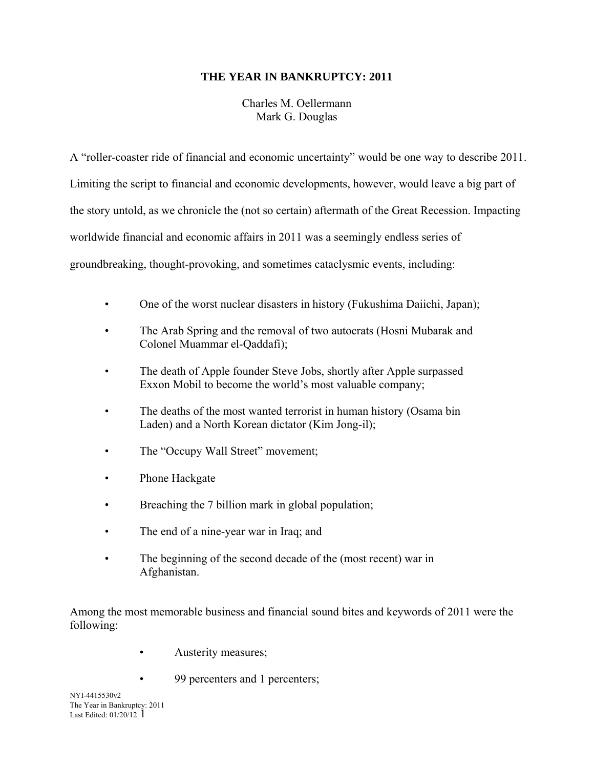# **THE YEAR IN BANKRUPTCY: 2011**

Charles M. Oellermann Mark G. Douglas

A "roller-coaster ride of financial and economic uncertainty" would be one way to describe 2011. Limiting the script to financial and economic developments, however, would leave a big part of the story untold, as we chronicle the (not so certain) aftermath of the Great Recession. Impacting worldwide financial and economic affairs in 2011 was a seemingly endless series of groundbreaking, thought-provoking, and sometimes cataclysmic events, including:

- One of the worst nuclear disasters in history (Fukushima Daiichi, Japan);
- The Arab Spring and the removal of two autocrats (Hosni Mubarak and Colonel Muammar el-Qaddafi);
- The death of Apple founder Steve Jobs, shortly after Apple surpassed Exxon Mobil to become the world's most valuable company;
- The deaths of the most wanted terrorist in human history (Osama bin Laden) and a North Korean dictator (Kim Jong-il);
- The "Occupy Wall Street" movement;
- Phone Hackgate
- Breaching the 7 billion mark in global population;
- The end of a nine-year war in Iraq; and
- The beginning of the second decade of the (most recent) war in Afghanistan.

Among the most memorable business and financial sound bites and keywords of 2011 were the following:

- **Austerity measures**;
	- 99 percenters and 1 percenters;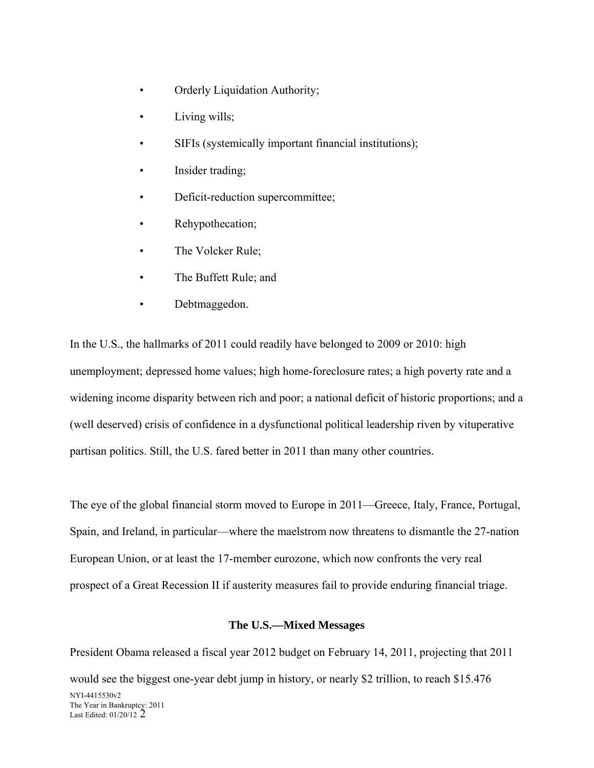- Orderly Liquidation Authority;
- Living wills;
- SIFIs (systemically important financial institutions);
- Insider trading;
- Deficit-reduction supercommittee;
- Rehypothecation;
- The Volcker Rule;
- The Buffett Rule; and
- Debtmaggedon.

In the U.S., the hallmarks of 2011 could readily have belonged to 2009 or 2010: high unemployment; depressed home values; high home-foreclosure rates; a high poverty rate and a widening income disparity between rich and poor; a national deficit of historic proportions; and a (well deserved) crisis of confidence in a dysfunctional political leadership riven by vituperative partisan politics. Still, the U.S. fared better in 2011 than many other countries.

The eye of the global financial storm moved to Europe in 2011—Greece, Italy, France, Portugal, Spain, and Ireland, in particular—where the maelstrom now threatens to dismantle the 27-nation European Union, or at least the 17-member eurozone, which now confronts the very real prospect of a Great Recession II if austerity measures fail to provide enduring financial triage.

# **The U.S.—Mixed Messages**

NYI-4415530v2 The Year in Bankruptcy: 2011 Last Edited: 01/20/12 2 President Obama released a fiscal year 2012 budget on February 14, 2011, projecting that 2011 would see the biggest one-year debt jump in history, or nearly \$2 trillion, to reach \$15.476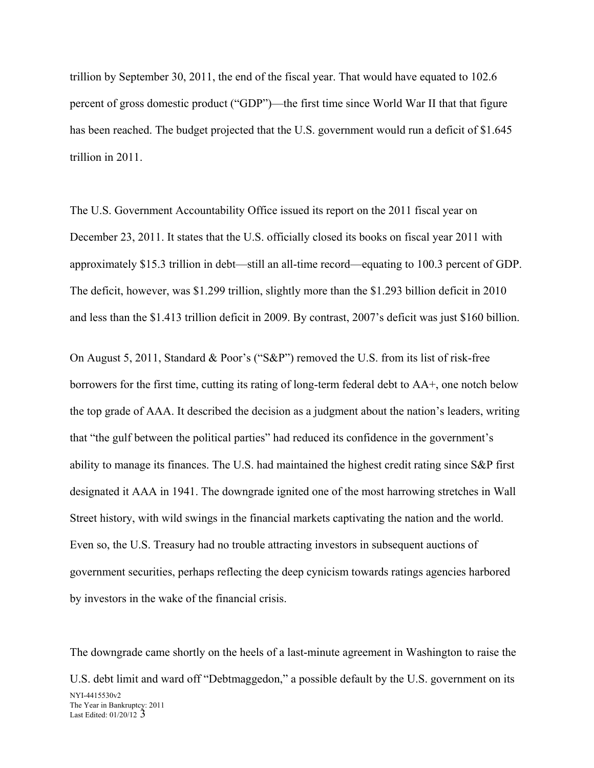trillion by September 30, 2011, the end of the fiscal year. That would have equated to 102.6 percent of gross domestic product ("GDP")—the first time since World War II that that figure has been reached. The budget projected that the U.S. government would run a deficit of \$1.645 trillion in 2011.

The U.S. Government Accountability Office issued its report on the 2011 fiscal year on December 23, 2011. It states that the U.S. officially closed its books on fiscal year 2011 with approximately \$15.3 trillion in debt—still an all-time record—equating to 100.3 percent of GDP. The deficit, however, was \$1.299 trillion, slightly more than the \$1.293 billion deficit in 2010 and less than the \$1.413 trillion deficit in 2009. By contrast, 2007's deficit was just \$160 billion.

On August 5, 2011, Standard & Poor's ("S&P") removed the U.S. from its list of risk-free borrowers for the first time, cutting its rating of long-term federal debt to AA+, one notch below the top grade of AAA. It described the decision as a judgment about the nation's leaders, writing that "the gulf between the political parties" had reduced its confidence in the government's ability to manage its finances. The U.S. had maintained the highest credit rating since S&P first designated it AAA in 1941. The downgrade ignited one of the most harrowing stretches in Wall Street history, with wild swings in the financial markets captivating the nation and the world. Even so, the U.S. Treasury had no trouble attracting investors in subsequent auctions of government securities, perhaps reflecting the deep cynicism towards ratings agencies harbored by investors in the wake of the financial crisis.

NYI-4415530v2 The Year in Bankruptcy: 2011 Last Edited: 01/20/12 3 The downgrade came shortly on the heels of a last-minute agreement in Washington to raise the U.S. debt limit and ward off "Debtmaggedon," a possible default by the U.S. government on its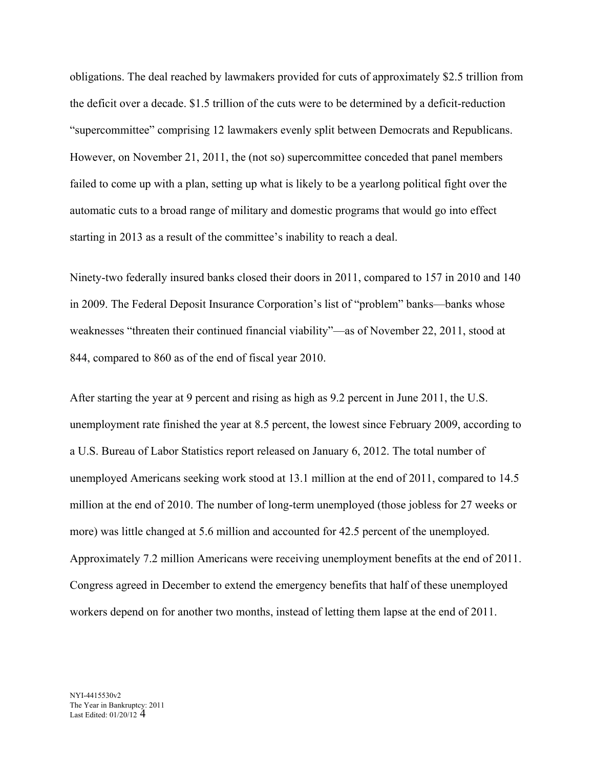obligations. The deal reached by lawmakers provided for cuts of approximately \$2.5 trillion from the deficit over a decade. \$1.5 trillion of the cuts were to be determined by a deficit-reduction "supercommittee" comprising 12 lawmakers evenly split between Democrats and Republicans. However, on November 21, 2011, the (not so) supercommittee conceded that panel members failed to come up with a plan, setting up what is likely to be a yearlong political fight over the automatic cuts to a broad range of military and domestic programs that would go into effect starting in 2013 as a result of the committee's inability to reach a deal.

Ninety-two federally insured banks closed their doors in 2011, compared to 157 in 2010 and 140 in 2009. The Federal Deposit Insurance Corporation's list of "problem" banks—banks whose weaknesses "threaten their continued financial viability"—as of November 22, 2011, stood at 844, compared to 860 as of the end of fiscal year 2010.

After starting the year at 9 percent and rising as high as 9.2 percent in June 2011, the U.S. unemployment rate finished the year at 8.5 percent, the lowest since February 2009, according to a U.S. Bureau of Labor Statistics report released on January 6, 2012. The total number of unemployed Americans seeking work stood at 13.1 million at the end of 2011, compared to 14.5 million at the end of 2010. The number of long-term unemployed (those jobless for 27 weeks or more) was little changed at 5.6 million and accounted for 42.5 percent of the unemployed. Approximately 7.2 million Americans were receiving unemployment benefits at the end of 2011. Congress agreed in December to extend the emergency benefits that half of these unemployed workers depend on for another two months, instead of letting them lapse at the end of 2011.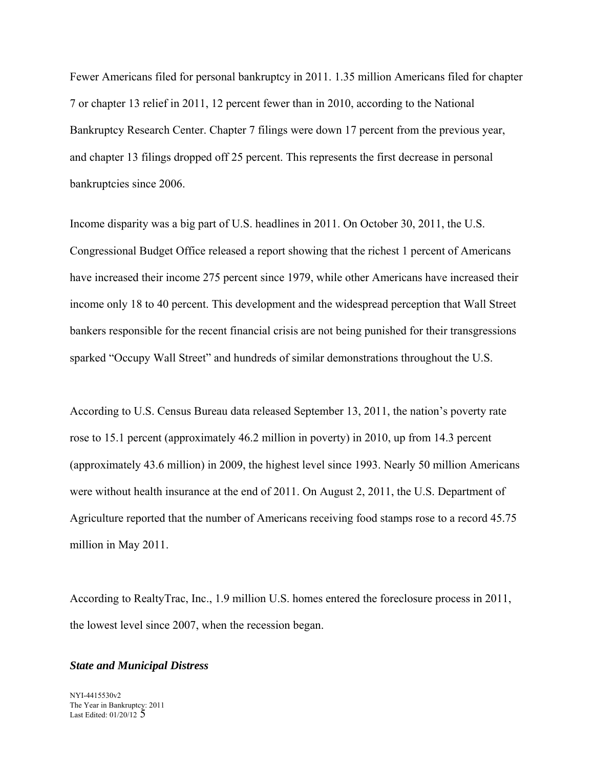Fewer Americans filed for personal bankruptcy in 2011. 1.35 million Americans filed for chapter 7 or chapter 13 relief in 2011, 12 percent fewer than in 2010, according to the National Bankruptcy Research Center. Chapter 7 filings were down 17 percent from the previous year, and chapter 13 filings dropped off 25 percent. This represents the first decrease in personal bankruptcies since 2006.

Income disparity was a big part of U.S. headlines in 2011. On October 30, 2011, the U.S. Congressional Budget Office released a report showing that the richest 1 percent of Americans have increased their income 275 percent since 1979, while other Americans have increased their income only 18 to 40 percent. This development and the widespread perception that Wall Street bankers responsible for the recent financial crisis are not being punished for their transgressions sparked "Occupy Wall Street" and hundreds of similar demonstrations throughout the U.S.

According to U.S. Census Bureau data released September 13, 2011, the nation's poverty rate rose to 15.1 percent (approximately 46.2 million in poverty) in 2010, up from 14.3 percent (approximately 43.6 million) in 2009, the highest level since 1993. Nearly 50 million Americans were without health insurance at the end of 2011. On August 2, 2011, the U.S. Department of Agriculture reported that the number of Americans receiving food stamps rose to a record 45.75 million in May 2011.

According to RealtyTrac, Inc., 1.9 million U.S. homes entered the foreclosure process in 2011, the lowest level since 2007, when the recession began.

#### *State and Municipal Distress*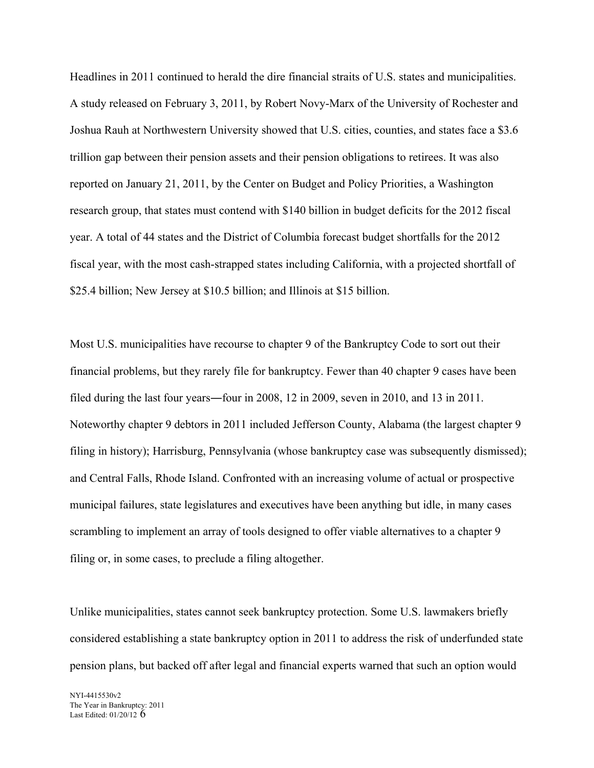Headlines in 2011 continued to herald the dire financial straits of U.S. states and municipalities. A study released on February 3, 2011, by Robert Novy-Marx of the University of Rochester and Joshua Rauh at Northwestern University showed that U.S. cities, counties, and states face a \$3.6 trillion gap between their pension assets and their pension obligations to retirees. It was also reported on January 21, 2011, by the Center on Budget and Policy Priorities, a Washington research group, that states must contend with \$140 billion in budget deficits for the 2012 fiscal year. A total of 44 states and the District of Columbia forecast budget shortfalls for the 2012 fiscal year, with the most cash-strapped states including California, with a projected shortfall of \$25.4 billion; New Jersey at \$10.5 billion; and Illinois at \$15 billion.

Most U.S. municipalities have recourse to chapter 9 of the Bankruptcy Code to sort out their financial problems, but they rarely file for bankruptcy. Fewer than 40 chapter 9 cases have been filed during the last four years―four in 2008, 12 in 2009, seven in 2010, and 13 in 2011. Noteworthy chapter 9 debtors in 2011 included Jefferson County, Alabama (the largest chapter 9 filing in history); Harrisburg, Pennsylvania (whose bankruptcy case was subsequently dismissed); and Central Falls, Rhode Island. Confronted with an increasing volume of actual or prospective municipal failures, state legislatures and executives have been anything but idle, in many cases scrambling to implement an array of tools designed to offer viable alternatives to a chapter 9 filing or, in some cases, to preclude a filing altogether.

Unlike municipalities, states cannot seek bankruptcy protection. Some U.S. lawmakers briefly considered establishing a state bankruptcy option in 2011 to address the risk of underfunded state pension plans, but backed off after legal and financial experts warned that such an option would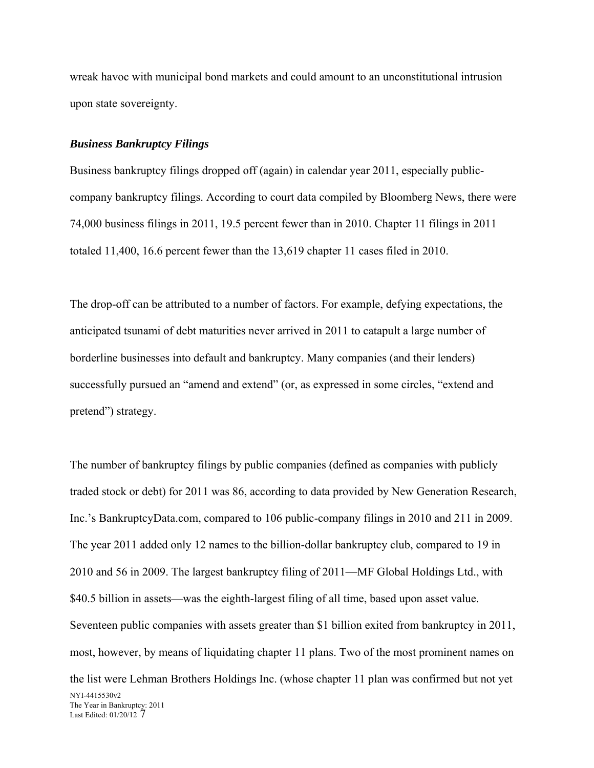wreak havoc with municipal bond markets and could amount to an unconstitutional intrusion upon state sovereignty.

### *Business Bankruptcy Filings*

Business bankruptcy filings dropped off (again) in calendar year 2011, especially publiccompany bankruptcy filings. According to court data compiled by Bloomberg News, there were 74,000 business filings in 2011, 19.5 percent fewer than in 2010. Chapter 11 filings in 2011 totaled 11,400, 16.6 percent fewer than the 13,619 chapter 11 cases filed in 2010.

The drop-off can be attributed to a number of factors. For example, defying expectations, the anticipated tsunami of debt maturities never arrived in 2011 to catapult a large number of borderline businesses into default and bankruptcy. Many companies (and their lenders) successfully pursued an "amend and extend" (or, as expressed in some circles, "extend and pretend") strategy.

NYI-4415530v2 The Year in Bankruptcy: 2011 Last Edited: 01/20/12 7 The number of bankruptcy filings by public companies (defined as companies with publicly traded stock or debt) for 2011 was 86, according to data provided by New Generation Research, Inc.'s BankruptcyData.com, compared to 106 public-company filings in 2010 and 211 in 2009. The year 2011 added only 12 names to the billion-dollar bankruptcy club, compared to 19 in 2010 and 56 in 2009. The largest bankruptcy filing of 2011—MF Global Holdings Ltd., with \$40.5 billion in assets—was the eighth-largest filing of all time, based upon asset value. Seventeen public companies with assets greater than \$1 billion exited from bankruptcy in 2011, most, however, by means of liquidating chapter 11 plans. Two of the most prominent names on the list were Lehman Brothers Holdings Inc. (whose chapter 11 plan was confirmed but not yet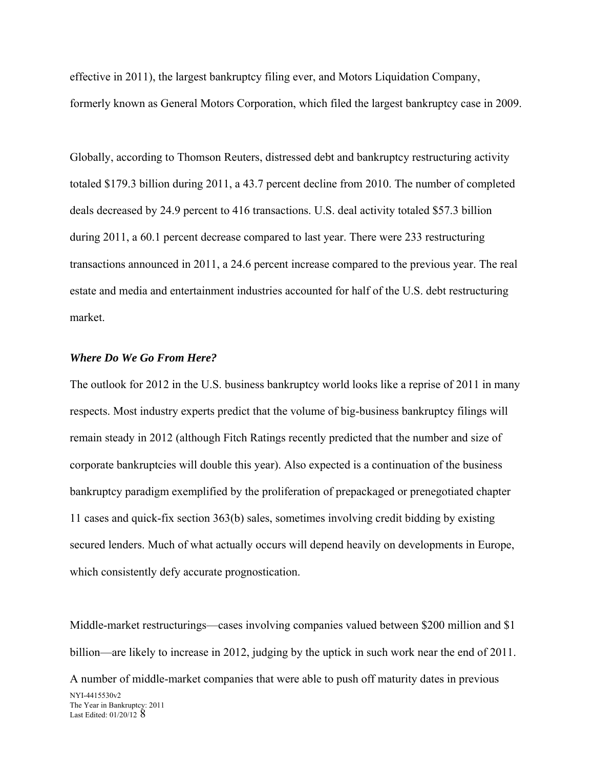effective in 2011), the largest bankruptcy filing ever, and Motors Liquidation Company, formerly known as General Motors Corporation, which filed the largest bankruptcy case in 2009.

Globally, according to Thomson Reuters, distressed debt and bankruptcy restructuring activity totaled \$179.3 billion during 2011, a 43.7 percent decline from 2010. The number of completed deals decreased by 24.9 percent to 416 transactions. U.S. deal activity totaled \$57.3 billion during 2011, a 60.1 percent decrease compared to last year. There were 233 restructuring transactions announced in 2011, a 24.6 percent increase compared to the previous year. The real estate and media and entertainment industries accounted for half of the U.S. debt restructuring market.

## *Where Do We Go From Here?*

The outlook for 2012 in the U.S. business bankruptcy world looks like a reprise of 2011 in many respects. Most industry experts predict that the volume of big-business bankruptcy filings will remain steady in 2012 (although Fitch Ratings recently predicted that the number and size of corporate bankruptcies will double this year). Also expected is a continuation of the business bankruptcy paradigm exemplified by the proliferation of prepackaged or prenegotiated chapter 11 cases and quick-fix section 363(b) sales, sometimes involving credit bidding by existing secured lenders. Much of what actually occurs will depend heavily on developments in Europe, which consistently defy accurate prognostication.

Middle-market restructurings—cases involving companies valued between \$200 million and \$1 billion—are likely to increase in 2012, judging by the uptick in such work near the end of 2011.

NYI-4415530v2 The Year in Bankruptcy: 2011 Last Edited: 01/20/12 8 A number of middle-market companies that were able to push off maturity dates in previous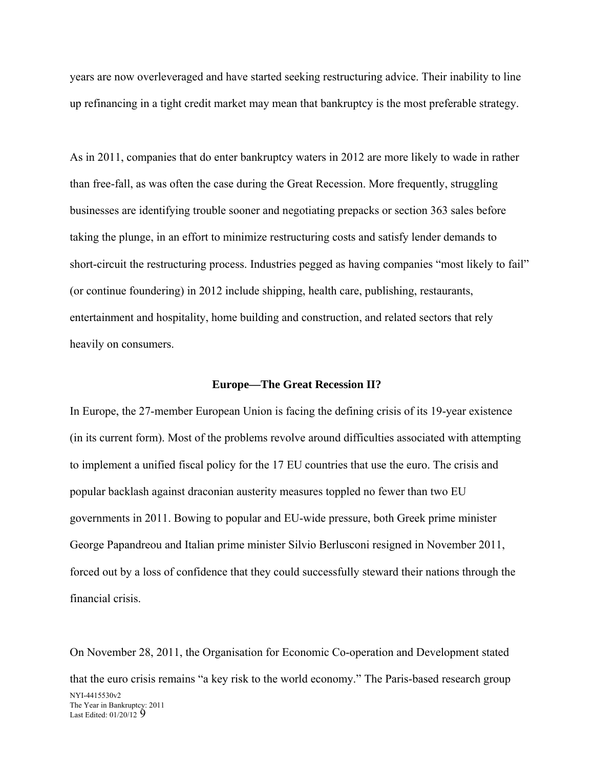years are now overleveraged and have started seeking restructuring advice. Their inability to line up refinancing in a tight credit market may mean that bankruptcy is the most preferable strategy.

short-circuit the restructuring process. Industries pegged as having companies "most likely to fail" As in 2011, companies that do enter bankruptcy waters in 2012 are more likely to wade in rather than free-fall, as was often the case during the Great Recession. More frequently, struggling businesses are identifying trouble sooner and negotiating prepacks or section 363 sales before taking the plunge, in an effort to minimize restructuring costs and satisfy lender demands to (or continue foundering) in 2012 include shipping, health care, publishing, restaurants, entertainment and hospitality, home building and construction, and related sectors that rely heavily on consumers.

#### **Europe—The Great Recession II?**

In Europe, the 27-member European Union is facing the defining crisis of its 19-year existence (in its current form). Most of the problems revolve around difficulties associated with attempting to implement a unified fiscal policy for the 17 EU countries that use the euro. The crisis and popular backlash against draconian austerity measures toppled no fewer than two EU governments in 2011. Bowing to popular and EU-wide pressure, both Greek prime minister George Papandreou and Italian prime minister Silvio Berlusconi resigned in November 2011, forced out by a loss of confidence that they could successfully steward their nations through the financial crisis.

NYI-4415530v2 The Year in Bankruptcy: 2011 Last Edited: 01/20/12 9 On November 28, 2011, the Organisation for Economic Co-operation and Development stated that the euro crisis remains "a key risk to the world economy." The Paris-based research group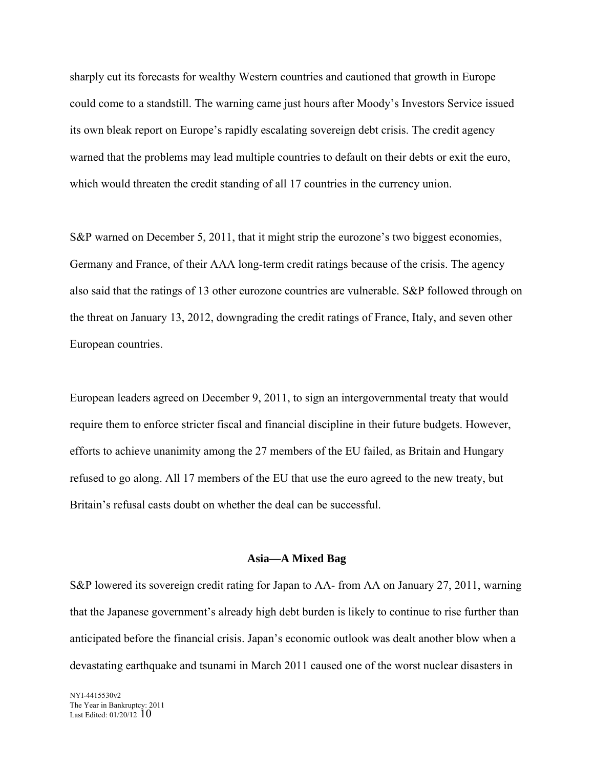sharply cut its forecasts for wealthy Western countries and cautioned that growth in Europe could come to a standstill. The warning came just hours after Moody's Investors Service issued its own bleak report on Europe's rapidly escalating sovereign debt crisis. The credit agency warned that the problems may lead multiple countries to default on their debts or exit the euro, which would threaten the credit standing of all 17 countries in the currency union.

S&P warned on December 5, 2011, that it might strip the eurozone's two biggest economies, Germany and France, of their AAA long-term credit ratings because of the crisis. The agency also said that the ratings of 13 other eurozone countries are vulnerable. S&P followed through on the threat on January 13, 2012, downgrading the credit ratings of France, Italy, and seven other European countries.

European leaders agreed on December 9, 2011, to sign an intergovernmental treaty that would require them to enforce stricter fiscal and financial discipline in their future budgets. However, efforts to achieve unanimity among the 27 members of the EU failed, as Britain and Hungary refused to go along. All 17 members of the EU that use the euro agreed to the new treaty, but Britain's refusal casts doubt on whether the deal can be successful.

#### **Asia—A Mixed Bag**

S&P lowered its sovereign credit rating for Japan to AA- from AA on January 27, 2011, warning that the Japanese government's already high debt burden is likely to continue to rise further than anticipated before the financial crisis. Japan's economic outlook was dealt another blow when a devastating earthquake and tsunami in March 2011 caused one of the worst nuclear disasters in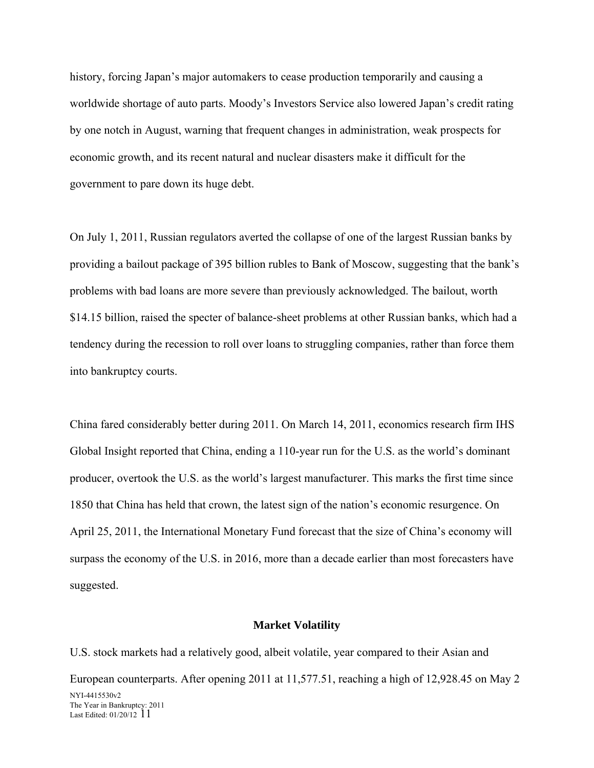history, forcing Japan's major automakers to cease production temporarily and causing a worldwide shortage of auto parts. Moody's Investors Service also lowered Japan's credit rating by one notch in August, warning that frequent changes in administration, weak prospects for economic growth, and its recent natural and nuclear disasters make it difficult for the government to pare down its huge debt.

On July 1, 2011, Russian regulators averted the collapse of one of the largest Russian banks by providing a bailout package of 395 billion rubles to Bank of Moscow, suggesting that the bank's problems with bad loans are more severe than previously acknowledged. The bailout, worth \$14.15 billion, raised the specter of balance-sheet problems at other Russian banks, which had a tendency during the recession to roll over loans to struggling companies, rather than force them into bankruptcy courts.

China fared considerably better during 2011. On March 14, 2011, economics research firm IHS Global Insight reported that China, ending a 110-year run for the U.S. as the world's dominant producer, overtook the U.S. as the world's largest manufacturer. This marks the first time since 1850 that China has held that crown, the latest sign of the nation's economic resurgence. On April 25, 2011, the International Monetary Fund forecast that the size of China's economy will surpass the economy of the U.S. in 2016, more than a decade earlier than most forecasters have suggested.

### **Market Volatility**

NYI-4415530v2 The Year in Bankruptcy: 2011 Last Edited:  $01/20/12$  11 U.S. stock markets had a relatively good, albeit volatile, year compared to their Asian and European counterparts. After opening 2011 at 11,577.51, reaching a high of 12,928.45 on May 2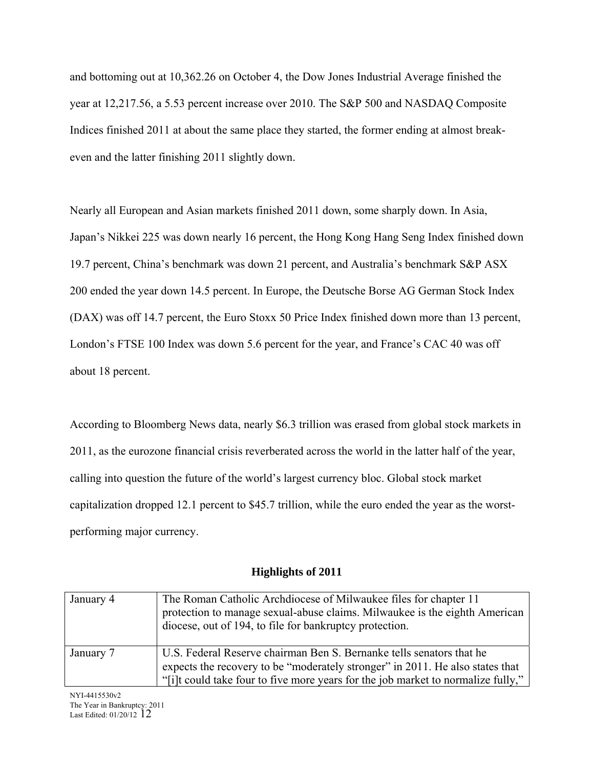and bottoming out at 10,362.26 on October 4, the Dow Jones Industrial Average finished the year at 12,217.56, a 5.53 percent increase over 2010. The S&P 500 and NASDAQ Composite Indices finished 2011 at about the same place they started, the former ending at almost breakeven and the latter finishing 2011 slightly down.

Nearly all European and Asian markets finished 2011 down, some sharply down. In Asia, Japan's Nikkei 225 was down nearly 16 percent, the Hong Kong Hang Seng Index finished down 19.7 percent, China's benchmark was down 21 percent, and Australia's benchmark S&P ASX 200 ended the year down 14.5 percent. In Europe, the Deutsche Borse AG German Stock Index (DAX) was off 14.7 percent, the Euro Stoxx 50 Price Index finished down more than 13 percent, London's FTSE 100 Index was down 5.6 percent for the year, and France's CAC 40 was off about 18 percent.

According to Bloomberg News data, nearly \$6.3 trillion was erased from global stock markets in 2011, as the eurozone financial crisis reverberated across the world in the latter half of the year, calling into question the future of the world's largest currency bloc. Global stock market capitalization dropped 12.1 percent to \$45.7 trillion, while the euro ended the year as the worstperforming major currency.

## **Highlights of 2011**

| January 4 | The Roman Catholic Archdiocese of Milwaukee files for chapter 11<br>protection to manage sexual-abuse claims. Milwaukee is the eighth American<br>diocese, out of 194, to file for bankruptcy protection. |
|-----------|-----------------------------------------------------------------------------------------------------------------------------------------------------------------------------------------------------------|
|           |                                                                                                                                                                                                           |
| January 7 | U.S. Federal Reserve chairman Ben S. Bernanke tells senators that he                                                                                                                                      |
|           | expects the recovery to be "moderately stronger" in 2011. He also states that                                                                                                                             |
|           | "[i]t could take four to five more years for the job market to normalize fully,"                                                                                                                          |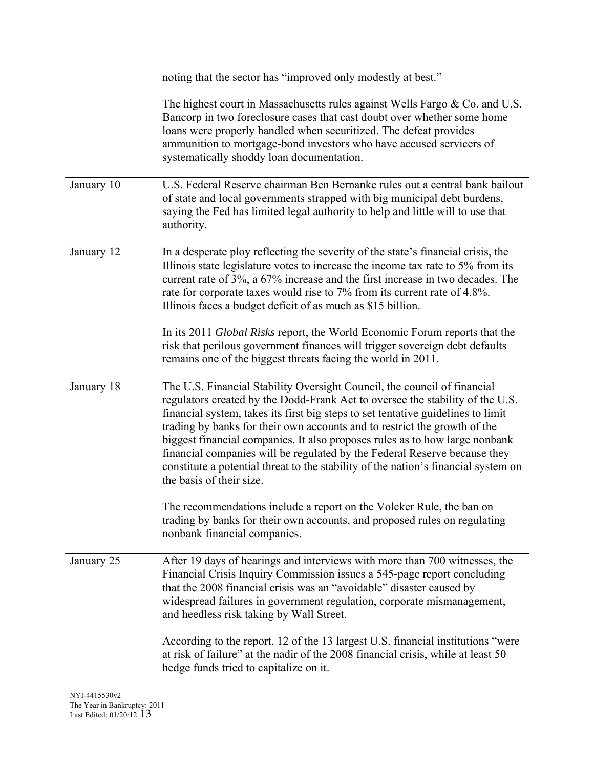|            | noting that the sector has "improved only modestly at best."                                                                                                                                                                                                                                                                                                                                                                                                                                                                                                                                             |
|------------|----------------------------------------------------------------------------------------------------------------------------------------------------------------------------------------------------------------------------------------------------------------------------------------------------------------------------------------------------------------------------------------------------------------------------------------------------------------------------------------------------------------------------------------------------------------------------------------------------------|
|            | The highest court in Massachusetts rules against Wells Fargo & Co. and U.S.<br>Bancorp in two foreclosure cases that cast doubt over whether some home<br>loans were properly handled when securitized. The defeat provides<br>ammunition to mortgage-bond investors who have accused servicers of<br>systematically shoddy loan documentation.                                                                                                                                                                                                                                                          |
| January 10 | U.S. Federal Reserve chairman Ben Bernanke rules out a central bank bailout<br>of state and local governments strapped with big municipal debt burdens,<br>saying the Fed has limited legal authority to help and little will to use that<br>authority.                                                                                                                                                                                                                                                                                                                                                  |
| January 12 | In a desperate ploy reflecting the severity of the state's financial crisis, the<br>Illinois state legislature votes to increase the income tax rate to 5% from its<br>current rate of 3%, a 67% increase and the first increase in two decades. The<br>rate for corporate taxes would rise to 7% from its current rate of 4.8%.<br>Illinois faces a budget deficit of as much as \$15 billion.                                                                                                                                                                                                          |
|            | In its 2011 Global Risks report, the World Economic Forum reports that the<br>risk that perilous government finances will trigger sovereign debt defaults<br>remains one of the biggest threats facing the world in 2011.                                                                                                                                                                                                                                                                                                                                                                                |
| January 18 | The U.S. Financial Stability Oversight Council, the council of financial<br>regulators created by the Dodd-Frank Act to oversee the stability of the U.S.<br>financial system, takes its first big steps to set tentative guidelines to limit<br>trading by banks for their own accounts and to restrict the growth of the<br>biggest financial companies. It also proposes rules as to how large nonbank<br>financial companies will be regulated by the Federal Reserve because they<br>constitute a potential threat to the stability of the nation's financial system on<br>the basis of their size. |
|            | The recommendations include a report on the Volcker Rule, the ban on<br>trading by banks for their own accounts, and proposed rules on regulating<br>nonbank financial companies.                                                                                                                                                                                                                                                                                                                                                                                                                        |
| January 25 | After 19 days of hearings and interviews with more than 700 witnesses, the<br>Financial Crisis Inquiry Commission issues a 545-page report concluding<br>that the 2008 financial crisis was an "avoidable" disaster caused by<br>widespread failures in government regulation, corporate mismanagement,<br>and heedless risk taking by Wall Street.                                                                                                                                                                                                                                                      |
|            | According to the report, 12 of the 13 largest U.S. financial institutions "were<br>at risk of failure" at the nadir of the 2008 financial crisis, while at least 50<br>hedge funds tried to capitalize on it.                                                                                                                                                                                                                                                                                                                                                                                            |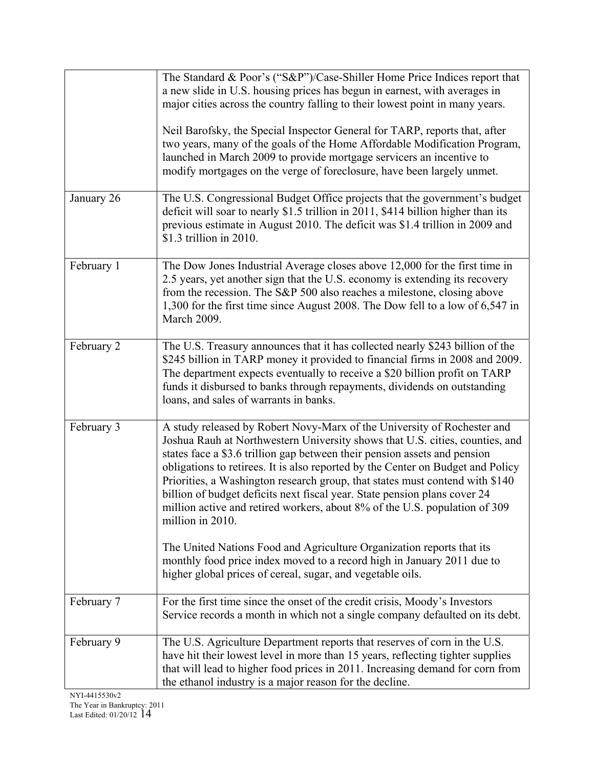|            | The Standard & Poor's ("S&P")/Case-Shiller Home Price Indices report that<br>a new slide in U.S. housing prices has begun in earnest, with averages in<br>major cities across the country falling to their lowest point in many years.<br>Neil Barofsky, the Special Inspector General for TARP, reports that, after<br>two years, many of the goals of the Home Affordable Modification Program,<br>launched in March 2009 to provide mortgage servicers an incentive to<br>modify mortgages on the verge of foreclosure, have been largely unmet.                                                                                                             |
|------------|-----------------------------------------------------------------------------------------------------------------------------------------------------------------------------------------------------------------------------------------------------------------------------------------------------------------------------------------------------------------------------------------------------------------------------------------------------------------------------------------------------------------------------------------------------------------------------------------------------------------------------------------------------------------|
| January 26 | The U.S. Congressional Budget Office projects that the government's budget<br>deficit will soar to nearly \$1.5 trillion in 2011, \$414 billion higher than its<br>previous estimate in August 2010. The deficit was \$1.4 trillion in 2009 and<br>\$1.3 trillion in 2010.                                                                                                                                                                                                                                                                                                                                                                                      |
| February 1 | The Dow Jones Industrial Average closes above 12,000 for the first time in<br>2.5 years, yet another sign that the U.S. economy is extending its recovery<br>from the recession. The S&P 500 also reaches a milestone, closing above<br>1,300 for the first time since August 2008. The Dow fell to a low of 6,547 in<br><b>March 2009.</b>                                                                                                                                                                                                                                                                                                                     |
| February 2 | The U.S. Treasury announces that it has collected nearly \$243 billion of the<br>\$245 billion in TARP money it provided to financial firms in 2008 and 2009.<br>The department expects eventually to receive a \$20 billion profit on TARP<br>funds it disbursed to banks through repayments, dividends on outstanding<br>loans, and sales of warrants in banks.                                                                                                                                                                                                                                                                                               |
| February 3 | A study released by Robert Novy-Marx of the University of Rochester and<br>Joshua Rauh at Northwestern University shows that U.S. cities, counties, and<br>states face a \$3.6 trillion gap between their pension assets and pension<br>obligations to retirees. It is also reported by the Center on Budget and Policy<br>Priorities, a Washington research group, that states must contend with \$140<br>billion of budget deficits next fiscal year. State pension plans cover 24<br>million active and retired workers, about 8% of the U.S. population of 309<br>million in 2010.<br>The United Nations Food and Agriculture Organization reports that its |
|            | monthly food price index moved to a record high in January 2011 due to<br>higher global prices of cereal, sugar, and vegetable oils.                                                                                                                                                                                                                                                                                                                                                                                                                                                                                                                            |
| February 7 | For the first time since the onset of the credit crisis, Moody's Investors<br>Service records a month in which not a single company defaulted on its debt.                                                                                                                                                                                                                                                                                                                                                                                                                                                                                                      |
| February 9 | The U.S. Agriculture Department reports that reserves of corn in the U.S.<br>have hit their lowest level in more than 15 years, reflecting tighter supplies<br>that will lead to higher food prices in 2011. Increasing demand for corn from<br>the ethanol industry is a major reason for the decline.                                                                                                                                                                                                                                                                                                                                                         |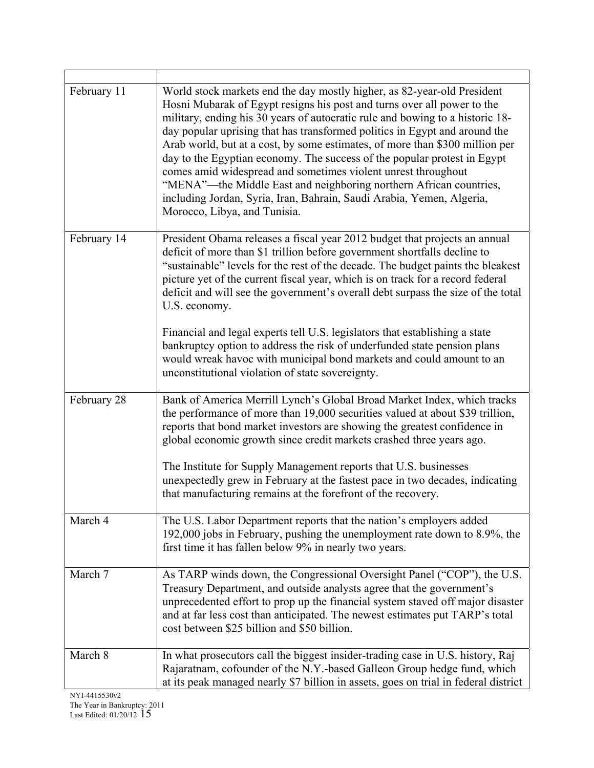| February 11 | World stock markets end the day mostly higher, as 82-year-old President<br>Hosni Mubarak of Egypt resigns his post and turns over all power to the<br>military, ending his 30 years of autocratic rule and bowing to a historic 18-<br>day popular uprising that has transformed politics in Egypt and around the<br>Arab world, but at a cost, by some estimates, of more than \$300 million per<br>day to the Egyptian economy. The success of the popular protest in Egypt<br>comes amid widespread and sometimes violent unrest throughout<br>"MENA"—the Middle East and neighboring northern African countries,<br>including Jordan, Syria, Iran, Bahrain, Saudi Arabia, Yemen, Algeria,<br>Morocco, Libya, and Tunisia. |
|-------------|-------------------------------------------------------------------------------------------------------------------------------------------------------------------------------------------------------------------------------------------------------------------------------------------------------------------------------------------------------------------------------------------------------------------------------------------------------------------------------------------------------------------------------------------------------------------------------------------------------------------------------------------------------------------------------------------------------------------------------|
| February 14 | President Obama releases a fiscal year 2012 budget that projects an annual<br>deficit of more than \$1 trillion before government shortfalls decline to<br>"sustainable" levels for the rest of the decade. The budget paints the bleakest<br>picture yet of the current fiscal year, which is on track for a record federal<br>deficit and will see the government's overall debt surpass the size of the total<br>U.S. economy.                                                                                                                                                                                                                                                                                             |
|             | Financial and legal experts tell U.S. legislators that establishing a state<br>bankruptcy option to address the risk of underfunded state pension plans<br>would wreak havoc with municipal bond markets and could amount to an<br>unconstitutional violation of state sovereignty.                                                                                                                                                                                                                                                                                                                                                                                                                                           |
| February 28 | Bank of America Merrill Lynch's Global Broad Market Index, which tracks<br>the performance of more than 19,000 securities valued at about \$39 trillion,<br>reports that bond market investors are showing the greatest confidence in<br>global economic growth since credit markets crashed three years ago.                                                                                                                                                                                                                                                                                                                                                                                                                 |
|             | The Institute for Supply Management reports that U.S. businesses<br>unexpectedly grew in February at the fastest pace in two decades, indicating<br>that manufacturing remains at the forefront of the recovery.                                                                                                                                                                                                                                                                                                                                                                                                                                                                                                              |
| March 4     | The U.S. Labor Department reports that the nation's employers added<br>192,000 jobs in February, pushing the unemployment rate down to 8.9%, the<br>first time it has fallen below 9% in nearly two years.                                                                                                                                                                                                                                                                                                                                                                                                                                                                                                                    |
| March 7     | As TARP winds down, the Congressional Oversight Panel ("COP"), the U.S.<br>Treasury Department, and outside analysts agree that the government's<br>unprecedented effort to prop up the financial system staved off major disaster<br>and at far less cost than anticipated. The newest estimates put TARP's total<br>cost between \$25 billion and \$50 billion.                                                                                                                                                                                                                                                                                                                                                             |
| March 8     | In what prosecutors call the biggest insider-trading case in U.S. history, Raj<br>Rajaratnam, cofounder of the N.Y.-based Galleon Group hedge fund, which<br>at its peak managed nearly \$7 billion in assets, goes on trial in federal district                                                                                                                                                                                                                                                                                                                                                                                                                                                                              |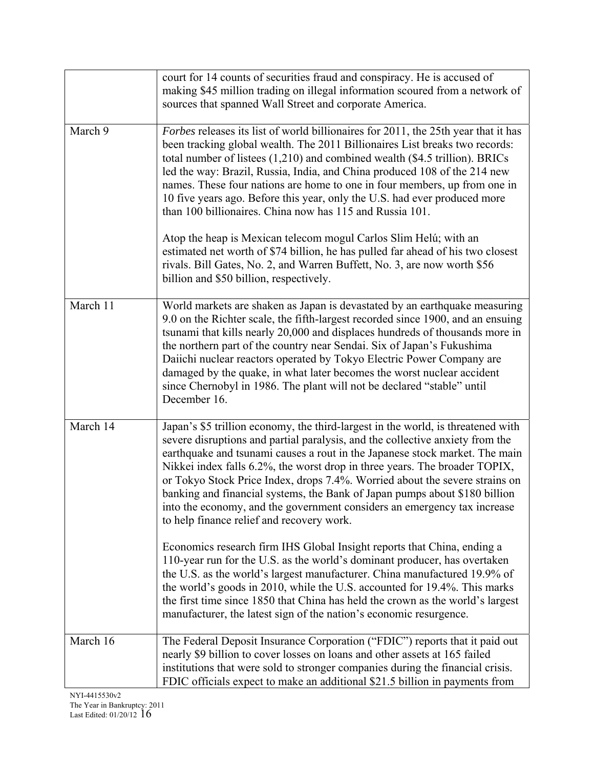|          | court for 14 counts of securities fraud and conspiracy. He is accused of<br>making \$45 million trading on illegal information scoured from a network of<br>sources that spanned Wall Street and corporate America.                                                                                                                                                                                                                                                                                                                                                                                                  |
|----------|----------------------------------------------------------------------------------------------------------------------------------------------------------------------------------------------------------------------------------------------------------------------------------------------------------------------------------------------------------------------------------------------------------------------------------------------------------------------------------------------------------------------------------------------------------------------------------------------------------------------|
| March 9  | Forbes releases its list of world billionaires for 2011, the 25th year that it has<br>been tracking global wealth. The 2011 Billionaires List breaks two records:<br>total number of listees $(1,210)$ and combined wealth (\$4.5 trillion). BRICs<br>led the way: Brazil, Russia, India, and China produced 108 of the 214 new<br>names. These four nations are home to one in four members, up from one in<br>10 five years ago. Before this year, only the U.S. had ever produced more<br>than 100 billionaires. China now has 115 and Russia 101.                                                                |
|          | Atop the heap is Mexican telecom mogul Carlos Slim Helú; with an<br>estimated net worth of \$74 billion, he has pulled far ahead of his two closest<br>rivals. Bill Gates, No. 2, and Warren Buffett, No. 3, are now worth \$56<br>billion and \$50 billion, respectively.                                                                                                                                                                                                                                                                                                                                           |
| March 11 | World markets are shaken as Japan is devastated by an earthquake measuring<br>9.0 on the Richter scale, the fifth-largest recorded since 1900, and an ensuing<br>tsunami that kills nearly 20,000 and displaces hundreds of thousands more in<br>the northern part of the country near Sendai. Six of Japan's Fukushima<br>Daiichi nuclear reactors operated by Tokyo Electric Power Company are<br>damaged by the quake, in what later becomes the worst nuclear accident<br>since Chernobyl in 1986. The plant will not be declared "stable" until<br>December 16.                                                 |
| March 14 | Japan's \$5 trillion economy, the third-largest in the world, is threatened with<br>severe disruptions and partial paralysis, and the collective anxiety from the<br>earthquake and tsunami causes a rout in the Japanese stock market. The main<br>Nikkei index falls 6.2%, the worst drop in three years. The broader TOPIX,<br>or Tokyo Stock Price Index, drops 7.4%. Worried about the severe strains on<br>banking and financial systems, the Bank of Japan pumps about \$180 billion<br>into the economy, and the government considers an emergency tax increase<br>to help finance relief and recovery work. |
|          | Economics research firm IHS Global Insight reports that China, ending a<br>110-year run for the U.S. as the world's dominant producer, has overtaken<br>the U.S. as the world's largest manufacturer. China manufactured 19.9% of<br>the world's goods in 2010, while the U.S. accounted for 19.4%. This marks<br>the first time since 1850 that China has held the crown as the world's largest<br>manufacturer, the latest sign of the nation's economic resurgence.                                                                                                                                               |
| March 16 | The Federal Deposit Insurance Corporation ("FDIC") reports that it paid out<br>nearly \$9 billion to cover losses on loans and other assets at 165 failed<br>institutions that were sold to stronger companies during the financial crisis.<br>FDIC officials expect to make an additional \$21.5 billion in payments from                                                                                                                                                                                                                                                                                           |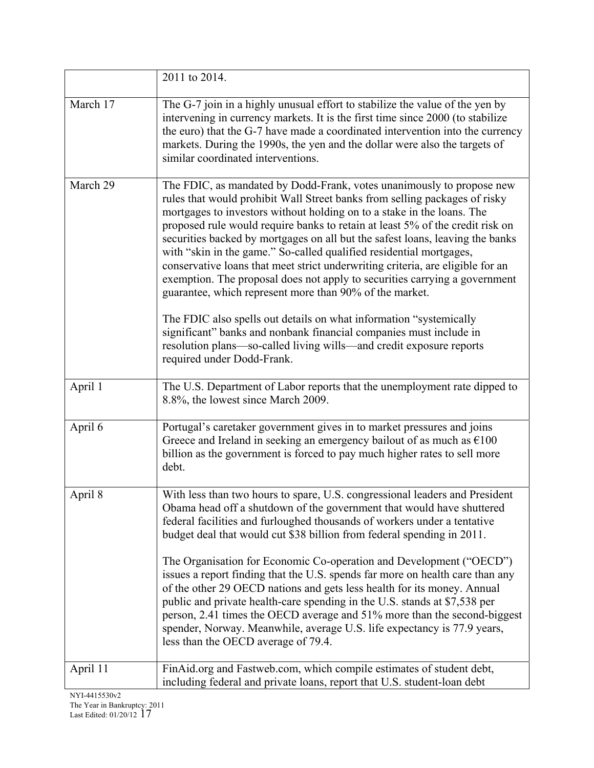|          | 2011 to 2014.                                                                                                                                                                                                                                                                                                                                                                                                                                                                                                                                                                                                                                                                                                                                                                     |
|----------|-----------------------------------------------------------------------------------------------------------------------------------------------------------------------------------------------------------------------------------------------------------------------------------------------------------------------------------------------------------------------------------------------------------------------------------------------------------------------------------------------------------------------------------------------------------------------------------------------------------------------------------------------------------------------------------------------------------------------------------------------------------------------------------|
| March 17 | The G-7 join in a highly unusual effort to stabilize the value of the yen by<br>intervening in currency markets. It is the first time since 2000 (to stabilize<br>the euro) that the G-7 have made a coordinated intervention into the currency<br>markets. During the 1990s, the yen and the dollar were also the targets of<br>similar coordinated interventions.                                                                                                                                                                                                                                                                                                                                                                                                               |
| March 29 | The FDIC, as mandated by Dodd-Frank, votes unanimously to propose new<br>rules that would prohibit Wall Street banks from selling packages of risky<br>mortgages to investors without holding on to a stake in the loans. The<br>proposed rule would require banks to retain at least 5% of the credit risk on<br>securities backed by mortgages on all but the safest loans, leaving the banks<br>with "skin in the game." So-called qualified residential mortgages,<br>conservative loans that meet strict underwriting criteria, are eligible for an<br>exemption. The proposal does not apply to securities carrying a government<br>guarantee, which represent more than 90% of the market.                                                                                 |
|          | The FDIC also spells out details on what information "systemically"<br>significant" banks and nonbank financial companies must include in<br>resolution plans-so-called living wills-and credit exposure reports<br>required under Dodd-Frank.                                                                                                                                                                                                                                                                                                                                                                                                                                                                                                                                    |
| April 1  | The U.S. Department of Labor reports that the unemployment rate dipped to<br>8.8%, the lowest since March 2009.                                                                                                                                                                                                                                                                                                                                                                                                                                                                                                                                                                                                                                                                   |
| April 6  | Portugal's caretaker government gives in to market pressures and joins<br>Greece and Ireland in seeking an emergency bailout of as much as $\epsilon$ 100<br>billion as the government is forced to pay much higher rates to sell more<br>debt.                                                                                                                                                                                                                                                                                                                                                                                                                                                                                                                                   |
| April 8  | With less than two hours to spare, U.S. congressional leaders and President<br>Obama head off a shutdown of the government that would have shuttered<br>federal facilities and furloughed thousands of workers under a tentative<br>budget deal that would cut \$38 billion from federal spending in 2011.<br>The Organisation for Economic Co-operation and Development ("OECD")<br>issues a report finding that the U.S. spends far more on health care than any<br>of the other 29 OECD nations and gets less health for its money. Annual<br>public and private health-care spending in the U.S. stands at \$7,538 per<br>person, 2.41 times the OECD average and 51% more than the second-biggest<br>spender, Norway. Meanwhile, average U.S. life expectancy is 77.9 years, |
|          | less than the OECD average of 79.4.                                                                                                                                                                                                                                                                                                                                                                                                                                                                                                                                                                                                                                                                                                                                               |
| April 11 | FinAid.org and Fastweb.com, which compile estimates of student debt,<br>including federal and private loans, report that U.S. student-loan debt                                                                                                                                                                                                                                                                                                                                                                                                                                                                                                                                                                                                                                   |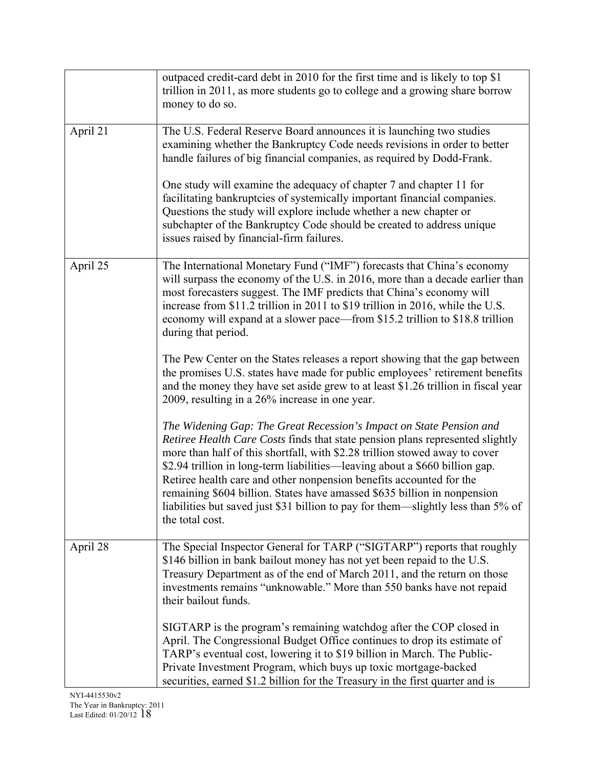|          | outpaced credit-card debt in 2010 for the first time and is likely to top \$1<br>trillion in 2011, as more students go to college and a growing share borrow<br>money to do so.                                                                                                                                                                                                                                                                                                                                                                                              |
|----------|------------------------------------------------------------------------------------------------------------------------------------------------------------------------------------------------------------------------------------------------------------------------------------------------------------------------------------------------------------------------------------------------------------------------------------------------------------------------------------------------------------------------------------------------------------------------------|
| April 21 | The U.S. Federal Reserve Board announces it is launching two studies<br>examining whether the Bankruptcy Code needs revisions in order to better<br>handle failures of big financial companies, as required by Dodd-Frank.                                                                                                                                                                                                                                                                                                                                                   |
|          | One study will examine the adequacy of chapter 7 and chapter 11 for<br>facilitating bankruptcies of systemically important financial companies.<br>Questions the study will explore include whether a new chapter or<br>subchapter of the Bankruptcy Code should be created to address unique<br>issues raised by financial-firm failures.                                                                                                                                                                                                                                   |
| April 25 | The International Monetary Fund ("IMF") forecasts that China's economy<br>will surpass the economy of the U.S. in 2016, more than a decade earlier than<br>most forecasters suggest. The IMF predicts that China's economy will<br>increase from \$11.2 trillion in 2011 to \$19 trillion in 2016, while the U.S.<br>economy will expand at a slower pace—from \$15.2 trillion to \$18.8 trillion<br>during that period.                                                                                                                                                     |
|          | The Pew Center on the States releases a report showing that the gap between<br>the promises U.S. states have made for public employees' retirement benefits<br>and the money they have set aside grew to at least \$1.26 trillion in fiscal year<br>2009, resulting in a 26% increase in one year.                                                                                                                                                                                                                                                                           |
|          | The Widening Gap: The Great Recession's Impact on State Pension and<br>Retiree Health Care Costs finds that state pension plans represented slightly<br>more than half of this shortfall, with \$2.28 trillion stowed away to cover<br>\$2.94 trillion in long-term liabilities—leaving about a \$660 billion gap.<br>Retiree health care and other nonpension benefits accounted for the<br>remaining \$604 billion. States have amassed \$635 billion in nonpension<br>liabilities but saved just \$31 billion to pay for them-slightly less than 5% of<br>the total cost. |
| April 28 | The Special Inspector General for TARP ("SIGTARP") reports that roughly<br>\$146 billion in bank bailout money has not yet been repaid to the U.S.<br>Treasury Department as of the end of March 2011, and the return on those<br>investments remains "unknowable." More than 550 banks have not repaid<br>their bailout funds.                                                                                                                                                                                                                                              |
|          | SIGTARP is the program's remaining watchdog after the COP closed in<br>April. The Congressional Budget Office continues to drop its estimate of<br>TARP's eventual cost, lowering it to \$19 billion in March. The Public-<br>Private Investment Program, which buys up toxic mortgage-backed<br>securities, earned \$1.2 billion for the Treasury in the first quarter and is                                                                                                                                                                                               |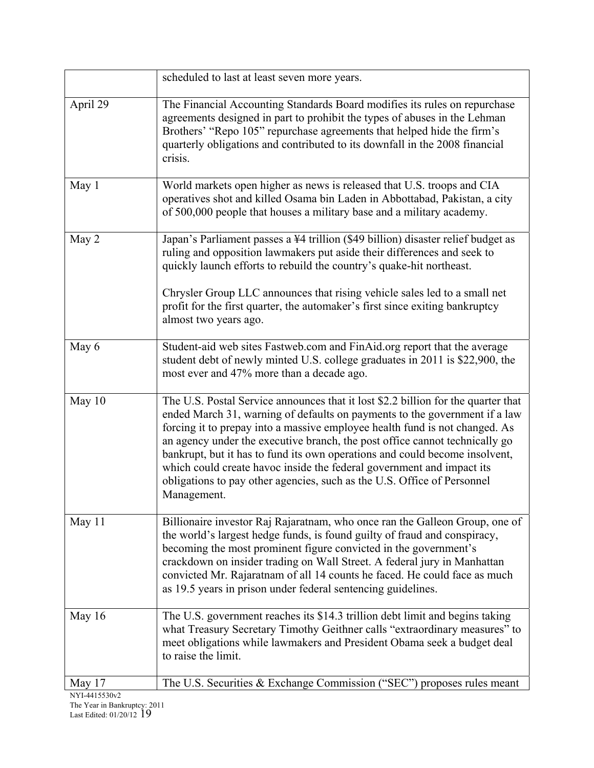|               | scheduled to last at least seven more years.                                                                                                                                                                                                                                                                                                                                                                                                                                                                                                                                    |
|---------------|---------------------------------------------------------------------------------------------------------------------------------------------------------------------------------------------------------------------------------------------------------------------------------------------------------------------------------------------------------------------------------------------------------------------------------------------------------------------------------------------------------------------------------------------------------------------------------|
| April 29      | The Financial Accounting Standards Board modifies its rules on repurchase<br>agreements designed in part to prohibit the types of abuses in the Lehman<br>Brothers' "Repo 105" repurchase agreements that helped hide the firm's<br>quarterly obligations and contributed to its downfall in the 2008 financial<br>crisis.                                                                                                                                                                                                                                                      |
| May 1         | World markets open higher as news is released that U.S. troops and CIA<br>operatives shot and killed Osama bin Laden in Abbottabad, Pakistan, a city<br>of 500,000 people that houses a military base and a military academy.                                                                                                                                                                                                                                                                                                                                                   |
| May 2         | Japan's Parliament passes a ¥4 trillion (\$49 billion) disaster relief budget as<br>ruling and opposition lawmakers put aside their differences and seek to<br>quickly launch efforts to rebuild the country's quake-hit northeast.                                                                                                                                                                                                                                                                                                                                             |
|               | Chrysler Group LLC announces that rising vehicle sales led to a small net<br>profit for the first quarter, the automaker's first since exiting bankruptcy<br>almost two years ago.                                                                                                                                                                                                                                                                                                                                                                                              |
| May 6         | Student-aid web sites Fastweb.com and FinAid.org report that the average<br>student debt of newly minted U.S. college graduates in 2011 is \$22,900, the<br>most ever and 47% more than a decade ago.                                                                                                                                                                                                                                                                                                                                                                           |
| May $10$      | The U.S. Postal Service announces that it lost \$2.2 billion for the quarter that<br>ended March 31, warning of defaults on payments to the government if a law<br>forcing it to prepay into a massive employee health fund is not changed. As<br>an agency under the executive branch, the post office cannot technically go<br>bankrupt, but it has to fund its own operations and could become insolvent,<br>which could create havoc inside the federal government and impact its<br>obligations to pay other agencies, such as the U.S. Office of Personnel<br>Management. |
| May 11        | Billionaire investor Raj Rajaratnam, who once ran the Galleon Group, one of<br>the world's largest hedge funds, is found guilty of fraud and conspiracy,<br>becoming the most prominent figure convicted in the government's<br>crackdown on insider trading on Wall Street. A federal jury in Manhattan<br>convicted Mr. Rajaratnam of all 14 counts he faced. He could face as much<br>as 19.5 years in prison under federal sentencing guidelines.                                                                                                                           |
| May 16        | The U.S. government reaches its \$14.3 trillion debt limit and begins taking<br>what Treasury Secretary Timothy Geithner calls "extraordinary measures" to<br>meet obligations while lawmakers and President Obama seek a budget deal<br>to raise the limit.                                                                                                                                                                                                                                                                                                                    |
| May 17        | The U.S. Securities & Exchange Commission ("SEC") proposes rules meant                                                                                                                                                                                                                                                                                                                                                                                                                                                                                                          |
| NYI-4415530v2 |                                                                                                                                                                                                                                                                                                                                                                                                                                                                                                                                                                                 |

The Year in Bankruptcy: 2011 Last Edited: 01/20/12 19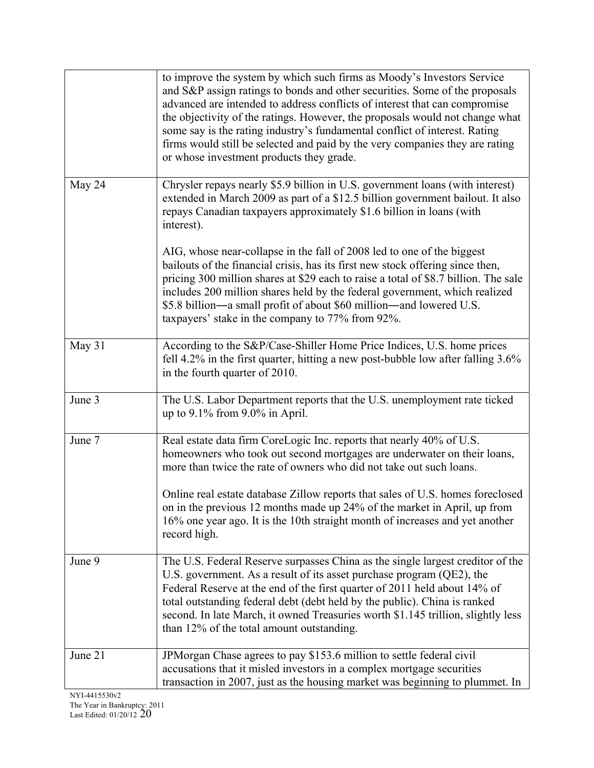|         | to improve the system by which such firms as Moody's Investors Service<br>and S&P assign ratings to bonds and other securities. Some of the proposals<br>advanced are intended to address conflicts of interest that can compromise<br>the objectivity of the ratings. However, the proposals would not change what<br>some say is the rating industry's fundamental conflict of interest. Rating<br>firms would still be selected and paid by the very companies they are rating<br>or whose investment products they grade. |
|---------|-------------------------------------------------------------------------------------------------------------------------------------------------------------------------------------------------------------------------------------------------------------------------------------------------------------------------------------------------------------------------------------------------------------------------------------------------------------------------------------------------------------------------------|
| May 24  | Chrysler repays nearly \$5.9 billion in U.S. government loans (with interest)<br>extended in March 2009 as part of a \$12.5 billion government bailout. It also<br>repays Canadian taxpayers approximately \$1.6 billion in loans (with<br>interest).                                                                                                                                                                                                                                                                         |
|         | AIG, whose near-collapse in the fall of 2008 led to one of the biggest<br>bailouts of the financial crisis, has its first new stock offering since then,<br>pricing 300 million shares at \$29 each to raise a total of \$8.7 billion. The sale<br>includes 200 million shares held by the federal government, which realized<br>\$5.8 billion—a small profit of about \$60 million—and lowered U.S.<br>taxpayers' stake in the company to 77% from 92%.                                                                      |
| May 31  | According to the S&P/Case-Shiller Home Price Indices, U.S. home prices<br>fell 4.2% in the first quarter, hitting a new post-bubble low after falling 3.6%<br>in the fourth quarter of 2010.                                                                                                                                                                                                                                                                                                                                  |
| June 3  | The U.S. Labor Department reports that the U.S. unemployment rate ticked<br>up to $9.1\%$ from $9.0\%$ in April.                                                                                                                                                                                                                                                                                                                                                                                                              |
| June 7  | Real estate data firm CoreLogic Inc. reports that nearly 40% of U.S.<br>homeowners who took out second mortgages are underwater on their loans,<br>more than twice the rate of owners who did not take out such loans.<br>Online real estate database Zillow reports that sales of U.S. homes foreclosed<br>on in the previous 12 months made up 24% of the market in April, up from<br>16% one year ago. It is the 10th straight month of increases and yet another<br>record high.                                          |
| June 9  | The U.S. Federal Reserve surpasses China as the single largest creditor of the<br>U.S. government. As a result of its asset purchase program (QE2), the<br>Federal Reserve at the end of the first quarter of 2011 held about 14% of<br>total outstanding federal debt (debt held by the public). China is ranked<br>second. In late March, it owned Treasuries worth \$1.145 trillion, slightly less<br>than 12% of the total amount outstanding.                                                                            |
| June 21 | JPMorgan Chase agrees to pay \$153.6 million to settle federal civil<br>accusations that it misled investors in a complex mortgage securities<br>transaction in 2007, just as the housing market was beginning to plummet. In                                                                                                                                                                                                                                                                                                 |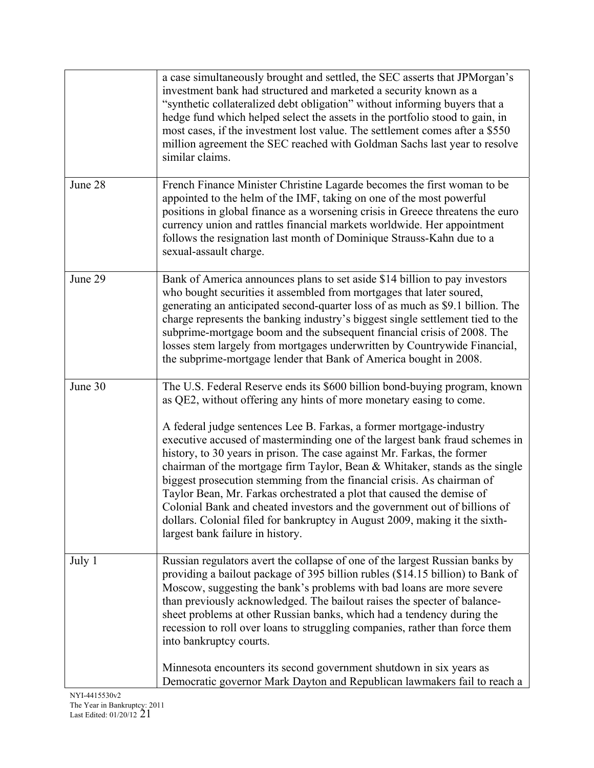|         | a case simultaneously brought and settled, the SEC asserts that JPM organ's<br>investment bank had structured and marketed a security known as a<br>"synthetic collateralized debt obligation" without informing buyers that a<br>hedge fund which helped select the assets in the portfolio stood to gain, in<br>most cases, if the investment lost value. The settlement comes after a \$550<br>million agreement the SEC reached with Goldman Sachs last year to resolve<br>similar claims.                                                                                                                                                                                                                                                                                                                       |
|---------|----------------------------------------------------------------------------------------------------------------------------------------------------------------------------------------------------------------------------------------------------------------------------------------------------------------------------------------------------------------------------------------------------------------------------------------------------------------------------------------------------------------------------------------------------------------------------------------------------------------------------------------------------------------------------------------------------------------------------------------------------------------------------------------------------------------------|
| June 28 | French Finance Minister Christine Lagarde becomes the first woman to be<br>appointed to the helm of the IMF, taking on one of the most powerful<br>positions in global finance as a worsening crisis in Greece threatens the euro<br>currency union and rattles financial markets worldwide. Her appointment<br>follows the resignation last month of Dominique Strauss-Kahn due to a<br>sexual-assault charge.                                                                                                                                                                                                                                                                                                                                                                                                      |
| June 29 | Bank of America announces plans to set aside \$14 billion to pay investors<br>who bought securities it assembled from mortgages that later soured,<br>generating an anticipated second-quarter loss of as much as \$9.1 billion. The<br>charge represents the banking industry's biggest single settlement tied to the<br>subprime-mortgage boom and the subsequent financial crisis of 2008. The<br>losses stem largely from mortgages underwritten by Countrywide Financial,<br>the subprime-mortgage lender that Bank of America bought in 2008.                                                                                                                                                                                                                                                                  |
| June 30 | The U.S. Federal Reserve ends its \$600 billion bond-buying program, known<br>as QE2, without offering any hints of more monetary easing to come.<br>A federal judge sentences Lee B. Farkas, a former mortgage-industry<br>executive accused of masterminding one of the largest bank fraud schemes in<br>history, to 30 years in prison. The case against Mr. Farkas, the former<br>chairman of the mortgage firm Taylor, Bean & Whitaker, stands as the single<br>biggest prosecution stemming from the financial crisis. As chairman of<br>Taylor Bean, Mr. Farkas orchestrated a plot that caused the demise of<br>Colonial Bank and cheated investors and the government out of billions of<br>dollars. Colonial filed for bankruptcy in August 2009, making it the sixth-<br>largest bank failure in history. |
| July 1  | Russian regulators avert the collapse of one of the largest Russian banks by<br>providing a bailout package of 395 billion rubles (\$14.15 billion) to Bank of<br>Moscow, suggesting the bank's problems with bad loans are more severe<br>than previously acknowledged. The bailout raises the specter of balance-<br>sheet problems at other Russian banks, which had a tendency during the<br>recession to roll over loans to struggling companies, rather than force them<br>into bankruptcy courts.                                                                                                                                                                                                                                                                                                             |
|         | Minnesota encounters its second government shutdown in six years as<br>Democratic governor Mark Dayton and Republican lawmakers fail to reach a                                                                                                                                                                                                                                                                                                                                                                                                                                                                                                                                                                                                                                                                      |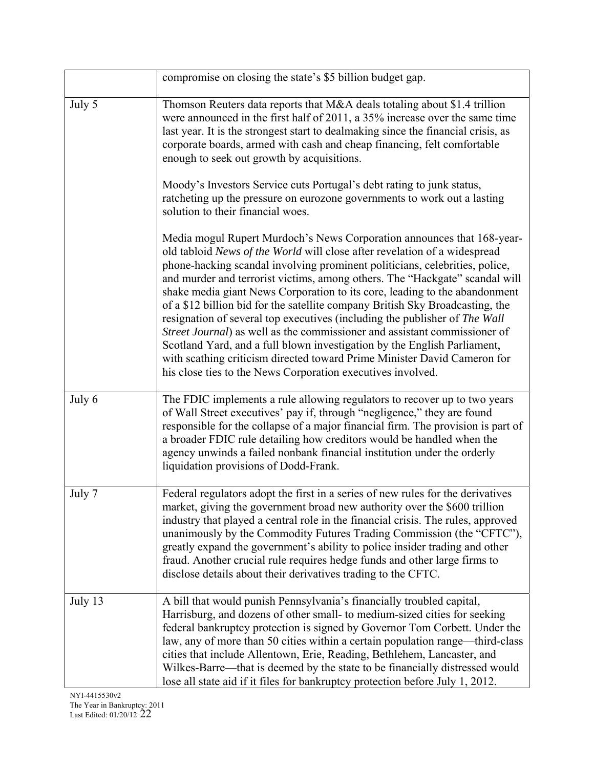|         | compromise on closing the state's \$5 billion budget gap.                                                                                                                                                                                                                                                                                                                                                                                                                                                                                                                                                                                                                                                                                                                                                                                                          |
|---------|--------------------------------------------------------------------------------------------------------------------------------------------------------------------------------------------------------------------------------------------------------------------------------------------------------------------------------------------------------------------------------------------------------------------------------------------------------------------------------------------------------------------------------------------------------------------------------------------------------------------------------------------------------------------------------------------------------------------------------------------------------------------------------------------------------------------------------------------------------------------|
| July 5  | Thomson Reuters data reports that M&A deals totaling about \$1.4 trillion<br>were announced in the first half of 2011, a 35% increase over the same time<br>last year. It is the strongest start to dealmaking since the financial crisis, as<br>corporate boards, armed with cash and cheap financing, felt comfortable<br>enough to seek out growth by acquisitions.                                                                                                                                                                                                                                                                                                                                                                                                                                                                                             |
|         | Moody's Investors Service cuts Portugal's debt rating to junk status,<br>ratcheting up the pressure on eurozone governments to work out a lasting<br>solution to their financial woes.                                                                                                                                                                                                                                                                                                                                                                                                                                                                                                                                                                                                                                                                             |
|         | Media mogul Rupert Murdoch's News Corporation announces that 168-year-<br>old tabloid News of the World will close after revelation of a widespread<br>phone-hacking scandal involving prominent politicians, celebrities, police,<br>and murder and terrorist victims, among others. The "Hackgate" scandal will<br>shake media giant News Corporation to its core, leading to the abandonment<br>of a \$12 billion bid for the satellite company British Sky Broadcasting, the<br>resignation of several top executives (including the publisher of The Wall<br>Street Journal) as well as the commissioner and assistant commissioner of<br>Scotland Yard, and a full blown investigation by the English Parliament,<br>with scathing criticism directed toward Prime Minister David Cameron for<br>his close ties to the News Corporation executives involved. |
| July 6  | The FDIC implements a rule allowing regulators to recover up to two years<br>of Wall Street executives' pay if, through "negligence," they are found<br>responsible for the collapse of a major financial firm. The provision is part of<br>a broader FDIC rule detailing how creditors would be handled when the<br>agency unwinds a failed nonbank financial institution under the orderly<br>liquidation provisions of Dodd-Frank.                                                                                                                                                                                                                                                                                                                                                                                                                              |
| July 7  | Federal regulators adopt the first in a series of new rules for the derivatives<br>market, giving the government broad new authority over the \$600 trillion<br>industry that played a central role in the financial crisis. The rules, approved<br>unanimously by the Commodity Futures Trading Commission (the "CFTC"),<br>greatly expand the government's ability to police insider trading and other<br>fraud. Another crucial rule requires hedge funds and other large firms to<br>disclose details about their derivatives trading to the CFTC.                                                                                                                                                                                                                                                                                                             |
| July 13 | A bill that would punish Pennsylvania's financially troubled capital,<br>Harrisburg, and dozens of other small- to medium-sized cities for seeking<br>federal bankruptcy protection is signed by Governor Tom Corbett. Under the<br>law, any of more than 50 cities within a certain population range—third-class<br>cities that include Allentown, Erie, Reading, Bethlehem, Lancaster, and<br>Wilkes-Barre—that is deemed by the state to be financially distressed would<br>lose all state aid if it files for bankruptcy protection before July 1, 2012.                                                                                                                                                                                                                                                                                                       |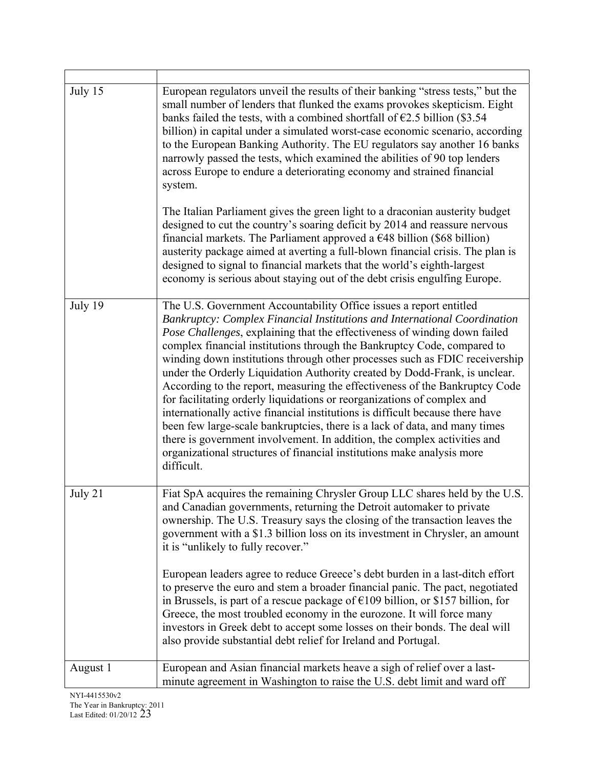| July 15  | European regulators unveil the results of their banking "stress tests," but the<br>small number of lenders that flunked the exams provokes skepticism. Eight<br>banks failed the tests, with a combined shortfall of $\epsilon$ 2.5 billion (\$3.54)<br>billion) in capital under a simulated worst-case economic scenario, according<br>to the European Banking Authority. The EU regulators say another 16 banks<br>narrowly passed the tests, which examined the abilities of 90 top lenders<br>across Europe to endure a deteriorating economy and strained financial<br>system.                                                                                                                                                                                                                                                                                                                                                                              |
|----------|-------------------------------------------------------------------------------------------------------------------------------------------------------------------------------------------------------------------------------------------------------------------------------------------------------------------------------------------------------------------------------------------------------------------------------------------------------------------------------------------------------------------------------------------------------------------------------------------------------------------------------------------------------------------------------------------------------------------------------------------------------------------------------------------------------------------------------------------------------------------------------------------------------------------------------------------------------------------|
|          | The Italian Parliament gives the green light to a draconian austerity budget<br>designed to cut the country's soaring deficit by 2014 and reassure nervous<br>financial markets. The Parliament approved a $\epsilon$ 48 billion (\$68 billion)<br>austerity package aimed at averting a full-blown financial crisis. The plan is<br>designed to signal to financial markets that the world's eighth-largest<br>economy is serious about staying out of the debt crisis engulfing Europe.                                                                                                                                                                                                                                                                                                                                                                                                                                                                         |
| July 19  | The U.S. Government Accountability Office issues a report entitled<br>Bankruptcy: Complex Financial Institutions and International Coordination<br>Pose Challenges, explaining that the effectiveness of winding down failed<br>complex financial institutions through the Bankruptcy Code, compared to<br>winding down institutions through other processes such as FDIC receivership<br>under the Orderly Liquidation Authority created by Dodd-Frank, is unclear.<br>According to the report, measuring the effectiveness of the Bankruptcy Code<br>for facilitating orderly liquidations or reorganizations of complex and<br>internationally active financial institutions is difficult because there have<br>been few large-scale bankruptcies, there is a lack of data, and many times<br>there is government involvement. In addition, the complex activities and<br>organizational structures of financial institutions make analysis more<br>difficult. |
| July 21  | Fiat SpA acquires the remaining Chrysler Group LLC shares held by the U.S.<br>and Canadian governments, returning the Detroit automaker to private<br>ownership. The U.S. Treasury says the closing of the transaction leaves the<br>government with a \$1.3 billion loss on its investment in Chrysler, an amount<br>it is "unlikely to fully recover."                                                                                                                                                                                                                                                                                                                                                                                                                                                                                                                                                                                                          |
|          | European leaders agree to reduce Greece's debt burden in a last-ditch effort<br>to preserve the euro and stem a broader financial panic. The pact, negotiated<br>in Brussels, is part of a rescue package of $£109$ billion, or \$157 billion, for<br>Greece, the most troubled economy in the eurozone. It will force many<br>investors in Greek debt to accept some losses on their bonds. The deal will<br>also provide substantial debt relief for Ireland and Portugal.                                                                                                                                                                                                                                                                                                                                                                                                                                                                                      |
| August 1 | European and Asian financial markets heave a sigh of relief over a last-<br>minute agreement in Washington to raise the U.S. debt limit and ward off                                                                                                                                                                                                                                                                                                                                                                                                                                                                                                                                                                                                                                                                                                                                                                                                              |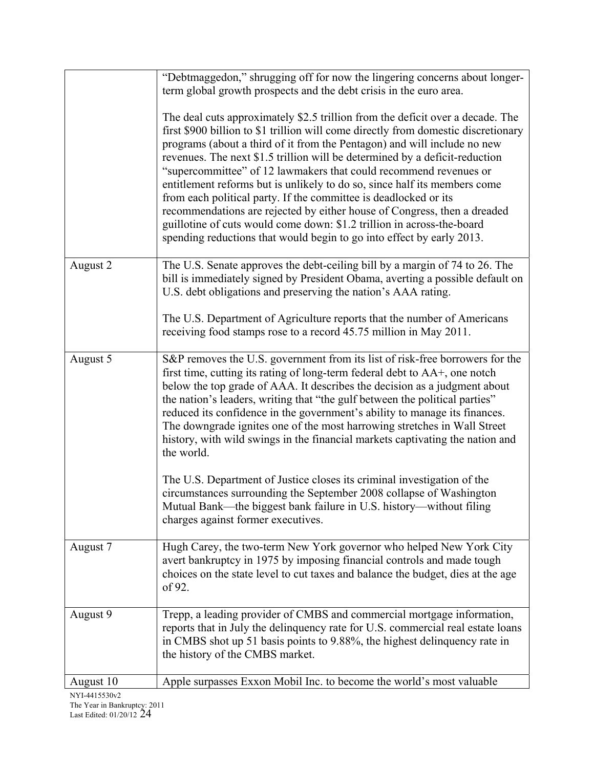|           | "Debtmaggedon," shrugging off for now the lingering concerns about longer-<br>term global growth prospects and the debt crisis in the euro area.                                                                                                                                                                                                                                                                                                                                                                                                                                                                                                                                                                                                                                     |
|-----------|--------------------------------------------------------------------------------------------------------------------------------------------------------------------------------------------------------------------------------------------------------------------------------------------------------------------------------------------------------------------------------------------------------------------------------------------------------------------------------------------------------------------------------------------------------------------------------------------------------------------------------------------------------------------------------------------------------------------------------------------------------------------------------------|
|           | The deal cuts approximately \$2.5 trillion from the deficit over a decade. The<br>first \$900 billion to \$1 trillion will come directly from domestic discretionary<br>programs (about a third of it from the Pentagon) and will include no new<br>revenues. The next \$1.5 trillion will be determined by a deficit-reduction<br>"supercommittee" of 12 lawmakers that could recommend revenues or<br>entitlement reforms but is unlikely to do so, since half its members come<br>from each political party. If the committee is deadlocked or its<br>recommendations are rejected by either house of Congress, then a dreaded<br>guillotine of cuts would come down: \$1.2 trillion in across-the-board<br>spending reductions that would begin to go into effect by early 2013. |
| August 2  | The U.S. Senate approves the debt-ceiling bill by a margin of 74 to 26. The<br>bill is immediately signed by President Obama, averting a possible default on<br>U.S. debt obligations and preserving the nation's AAA rating.                                                                                                                                                                                                                                                                                                                                                                                                                                                                                                                                                        |
|           | The U.S. Department of Agriculture reports that the number of Americans<br>receiving food stamps rose to a record 45.75 million in May 2011.                                                                                                                                                                                                                                                                                                                                                                                                                                                                                                                                                                                                                                         |
| August 5  | S&P removes the U.S. government from its list of risk-free borrowers for the<br>first time, cutting its rating of long-term federal debt to AA+, one notch<br>below the top grade of AAA. It describes the decision as a judgment about<br>the nation's leaders, writing that "the gulf between the political parties"<br>reduced its confidence in the government's ability to manage its finances.<br>The downgrade ignites one of the most harrowing stretches in Wall Street<br>history, with wild swings in the financial markets captivating the nation and<br>the world.                                                                                                                                                                                                      |
|           | The U.S. Department of Justice closes its criminal investigation of the<br>circumstances surrounding the September 2008 collapse of Washington<br>Mutual Bank—the biggest bank failure in U.S. history—without filing<br>charges against former executives.                                                                                                                                                                                                                                                                                                                                                                                                                                                                                                                          |
| August 7  | Hugh Carey, the two-term New York governor who helped New York City<br>avert bankruptcy in 1975 by imposing financial controls and made tough<br>choices on the state level to cut taxes and balance the budget, dies at the age<br>of 92.                                                                                                                                                                                                                                                                                                                                                                                                                                                                                                                                           |
| August 9  | Trepp, a leading provider of CMBS and commercial mortgage information,<br>reports that in July the delinquency rate for U.S. commercial real estate loans<br>in CMBS shot up 51 basis points to 9.88%, the highest delinquency rate in<br>the history of the CMBS market.                                                                                                                                                                                                                                                                                                                                                                                                                                                                                                            |
| August 10 | Apple surpasses Exxon Mobil Inc. to become the world's most valuable                                                                                                                                                                                                                                                                                                                                                                                                                                                                                                                                                                                                                                                                                                                 |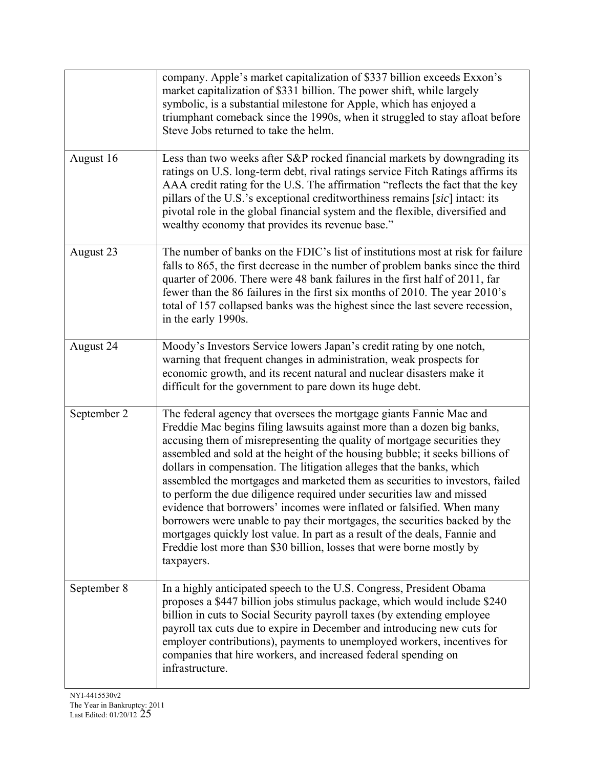|             | company. Apple's market capitalization of \$337 billion exceeds Exxon's<br>market capitalization of \$331 billion. The power shift, while largely<br>symbolic, is a substantial milestone for Apple, which has enjoyed a<br>triumphant comeback since the 1990s, when it struggled to stay afloat before<br>Steve Jobs returned to take the helm.                                                                                                                                                                                                                                                                                                                                                                                                                                                                                                                         |
|-------------|---------------------------------------------------------------------------------------------------------------------------------------------------------------------------------------------------------------------------------------------------------------------------------------------------------------------------------------------------------------------------------------------------------------------------------------------------------------------------------------------------------------------------------------------------------------------------------------------------------------------------------------------------------------------------------------------------------------------------------------------------------------------------------------------------------------------------------------------------------------------------|
| August 16   | Less than two weeks after S&P rocked financial markets by downgrading its<br>ratings on U.S. long-term debt, rival ratings service Fitch Ratings affirms its<br>AAA credit rating for the U.S. The affirmation "reflects the fact that the key<br>pillars of the U.S.'s exceptional creditworthiness remains [sic] intact: its<br>pivotal role in the global financial system and the flexible, diversified and<br>wealthy economy that provides its revenue base."                                                                                                                                                                                                                                                                                                                                                                                                       |
| August 23   | The number of banks on the FDIC's list of institutions most at risk for failure<br>falls to 865, the first decrease in the number of problem banks since the third<br>quarter of 2006. There were 48 bank failures in the first half of 2011, far<br>fewer than the 86 failures in the first six months of 2010. The year 2010's<br>total of 157 collapsed banks was the highest since the last severe recession,<br>in the early 1990s.                                                                                                                                                                                                                                                                                                                                                                                                                                  |
| August 24   | Moody's Investors Service lowers Japan's credit rating by one notch,<br>warning that frequent changes in administration, weak prospects for<br>economic growth, and its recent natural and nuclear disasters make it<br>difficult for the government to pare down its huge debt.                                                                                                                                                                                                                                                                                                                                                                                                                                                                                                                                                                                          |
| September 2 | The federal agency that oversees the mortgage giants Fannie Mae and<br>Freddie Mac begins filing lawsuits against more than a dozen big banks,<br>accusing them of misrepresenting the quality of mortgage securities they<br>assembled and sold at the height of the housing bubble; it seeks billions of<br>dollars in compensation. The litigation alleges that the banks, which<br>assembled the mortgages and marketed them as securities to investors, failed<br>to perform the due diligence required under securities law and missed<br>evidence that borrowers' incomes were inflated or falsified. When many<br>borrowers were unable to pay their mortgages, the securities backed by the<br>mortgages quickly lost value. In part as a result of the deals, Fannie and<br>Freddie lost more than \$30 billion, losses that were borne mostly by<br>taxpayers. |
| September 8 | In a highly anticipated speech to the U.S. Congress, President Obama<br>proposes a \$447 billion jobs stimulus package, which would include \$240<br>billion in cuts to Social Security payroll taxes (by extending employee<br>payroll tax cuts due to expire in December and introducing new cuts for<br>employer contributions), payments to unemployed workers, incentives for<br>companies that hire workers, and increased federal spending on<br>infrastructure.                                                                                                                                                                                                                                                                                                                                                                                                   |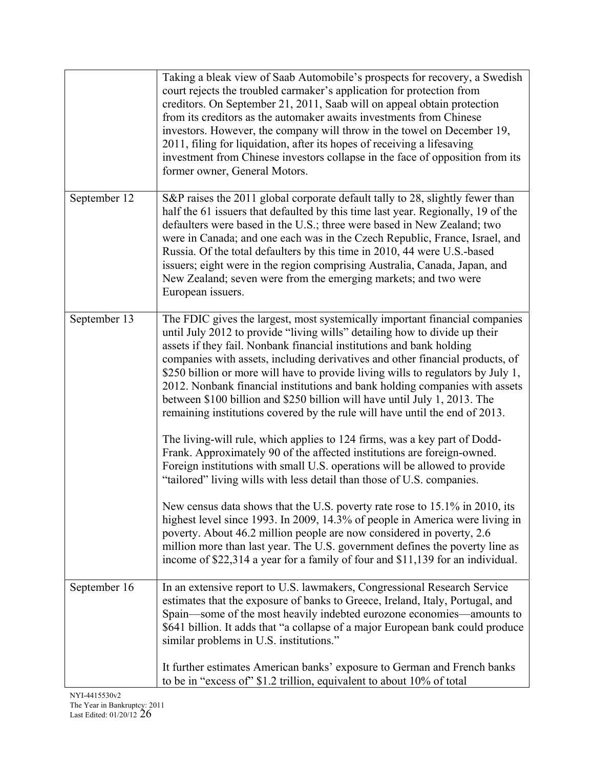|              | Taking a bleak view of Saab Automobile's prospects for recovery, a Swedish<br>court rejects the troubled carmaker's application for protection from<br>creditors. On September 21, 2011, Saab will on appeal obtain protection<br>from its creditors as the automaker awaits investments from Chinese<br>investors. However, the company will throw in the towel on December 19,<br>2011, filing for liquidation, after its hopes of receiving a lifesaving<br>investment from Chinese investors collapse in the face of opposition from its<br>former owner, General Motors.                                                                                                                                                                                                                                                                                                                                                                                                                                                                                                                                                                                                                                                                                                                                                                                               |
|--------------|-----------------------------------------------------------------------------------------------------------------------------------------------------------------------------------------------------------------------------------------------------------------------------------------------------------------------------------------------------------------------------------------------------------------------------------------------------------------------------------------------------------------------------------------------------------------------------------------------------------------------------------------------------------------------------------------------------------------------------------------------------------------------------------------------------------------------------------------------------------------------------------------------------------------------------------------------------------------------------------------------------------------------------------------------------------------------------------------------------------------------------------------------------------------------------------------------------------------------------------------------------------------------------------------------------------------------------------------------------------------------------|
| September 12 | S&P raises the 2011 global corporate default tally to 28, slightly fewer than<br>half the 61 issuers that defaulted by this time last year. Regionally, 19 of the<br>defaulters were based in the U.S.; three were based in New Zealand; two<br>were in Canada; and one each was in the Czech Republic, France, Israel, and<br>Russia. Of the total defaulters by this time in 2010, 44 were U.S.-based<br>issuers; eight were in the region comprising Australia, Canada, Japan, and<br>New Zealand; seven were from the emerging markets; and two were<br>European issuers.                                                                                                                                                                                                                                                                                                                                                                                                                                                                                                                                                                                                                                                                                                                                                                                               |
| September 13 | The FDIC gives the largest, most systemically important financial companies<br>until July 2012 to provide "living wills" detailing how to divide up their<br>assets if they fail. Nonbank financial institutions and bank holding<br>companies with assets, including derivatives and other financial products, of<br>\$250 billion or more will have to provide living wills to regulators by July 1,<br>2012. Nonbank financial institutions and bank holding companies with assets<br>between \$100 billion and \$250 billion will have until July 1, 2013. The<br>remaining institutions covered by the rule will have until the end of 2013.<br>The living-will rule, which applies to 124 firms, was a key part of Dodd-<br>Frank. Approximately 90 of the affected institutions are foreign-owned.<br>Foreign institutions with small U.S. operations will be allowed to provide<br>"tailored" living wills with less detail than those of U.S. companies.<br>New census data shows that the U.S. poverty rate rose to 15.1% in 2010, its<br>highest level since 1993. In 2009, 14.3% of people in America were living in<br>poverty. About 46.2 million people are now considered in poverty, 2.6<br>million more than last year. The U.S. government defines the poverty line as<br>income of \$22,314 a year for a family of four and \$11,139 for an individual. |
| September 16 | In an extensive report to U.S. lawmakers, Congressional Research Service<br>estimates that the exposure of banks to Greece, Ireland, Italy, Portugal, and<br>Spain-some of the most heavily indebted eurozone economies-amounts to<br>\$641 billion. It adds that "a collapse of a major European bank could produce<br>similar problems in U.S. institutions."                                                                                                                                                                                                                                                                                                                                                                                                                                                                                                                                                                                                                                                                                                                                                                                                                                                                                                                                                                                                             |
|              | It further estimates American banks' exposure to German and French banks<br>to be in "excess of" \$1.2 trillion, equivalent to about 10% of total                                                                                                                                                                                                                                                                                                                                                                                                                                                                                                                                                                                                                                                                                                                                                                                                                                                                                                                                                                                                                                                                                                                                                                                                                           |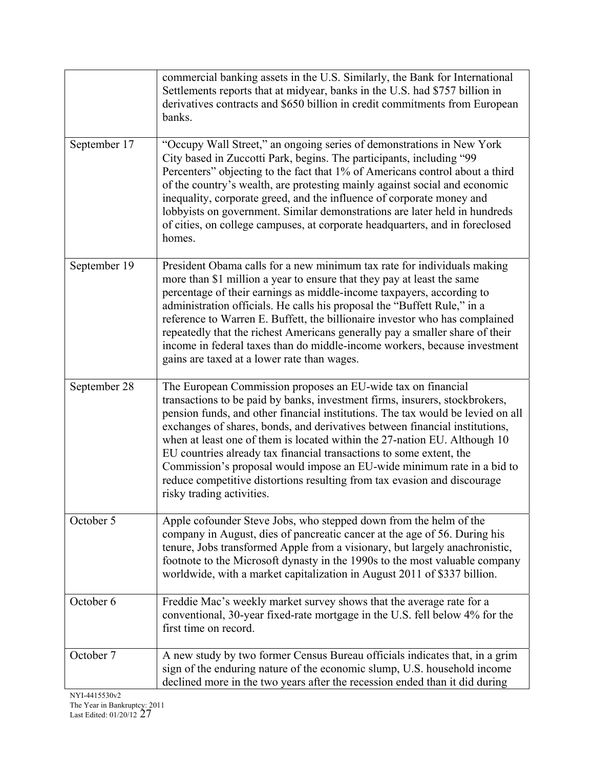|              | commercial banking assets in the U.S. Similarly, the Bank for International<br>Settlements reports that at midyear, banks in the U.S. had \$757 billion in<br>derivatives contracts and \$650 billion in credit commitments from European<br>banks.                                                                                                                                                                                                                                                                                                                                                                                                  |
|--------------|------------------------------------------------------------------------------------------------------------------------------------------------------------------------------------------------------------------------------------------------------------------------------------------------------------------------------------------------------------------------------------------------------------------------------------------------------------------------------------------------------------------------------------------------------------------------------------------------------------------------------------------------------|
| September 17 | "Occupy Wall Street," an ongoing series of demonstrations in New York<br>City based in Zuccotti Park, begins. The participants, including "99<br>Percenters" objecting to the fact that 1% of Americans control about a third<br>of the country's wealth, are protesting mainly against social and economic<br>inequality, corporate greed, and the influence of corporate money and<br>lobbyists on government. Similar demonstrations are later held in hundreds<br>of cities, on college campuses, at corporate headquarters, and in foreclosed<br>homes.                                                                                         |
| September 19 | President Obama calls for a new minimum tax rate for individuals making<br>more than \$1 million a year to ensure that they pay at least the same<br>percentage of their earnings as middle-income taxpayers, according to<br>administration officials. He calls his proposal the "Buffett Rule," in a<br>reference to Warren E. Buffett, the billionaire investor who has complained<br>repeatedly that the richest Americans generally pay a smaller share of their<br>income in federal taxes than do middle-income workers, because investment<br>gains are taxed at a lower rate than wages.                                                    |
| September 28 | The European Commission proposes an EU-wide tax on financial<br>transactions to be paid by banks, investment firms, insurers, stockbrokers,<br>pension funds, and other financial institutions. The tax would be levied on all<br>exchanges of shares, bonds, and derivatives between financial institutions,<br>when at least one of them is located within the 27-nation EU. Although 10<br>EU countries already tax financial transactions to some extent, the<br>Commission's proposal would impose an EU-wide minimum rate in a bid to<br>reduce competitive distortions resulting from tax evasion and discourage<br>risky trading activities. |
| October 5    | Apple cofounder Steve Jobs, who stepped down from the helm of the<br>company in August, dies of pancreatic cancer at the age of 56. During his<br>tenure, Jobs transformed Apple from a visionary, but largely anachronistic,<br>footnote to the Microsoft dynasty in the 1990s to the most valuable company<br>worldwide, with a market capitalization in August 2011 of \$337 billion.                                                                                                                                                                                                                                                             |
| October 6    | Freddie Mac's weekly market survey shows that the average rate for a<br>conventional, 30-year fixed-rate mortgage in the U.S. fell below 4% for the<br>first time on record.                                                                                                                                                                                                                                                                                                                                                                                                                                                                         |
| October 7    | A new study by two former Census Bureau officials indicates that, in a grim<br>sign of the enduring nature of the economic slump, U.S. household income<br>declined more in the two years after the recession ended than it did during                                                                                                                                                                                                                                                                                                                                                                                                               |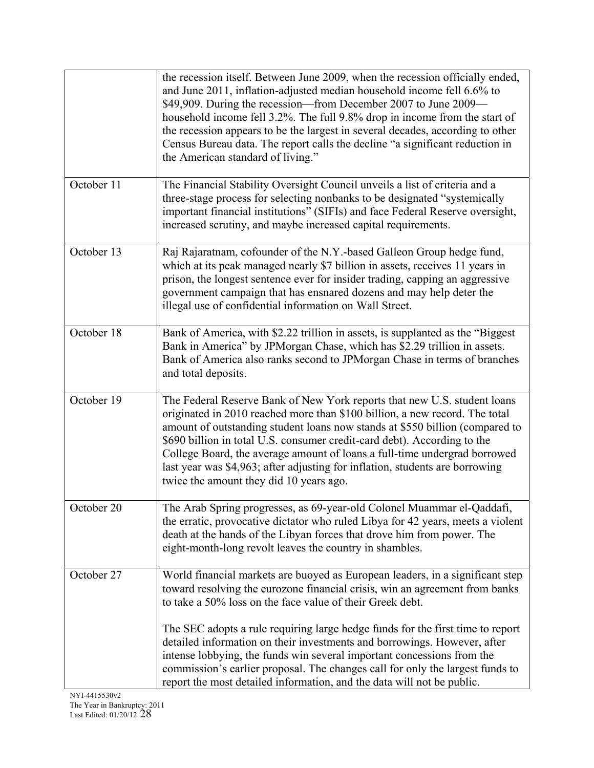|            | the recession itself. Between June 2009, when the recession officially ended,<br>and June 2011, inflation-adjusted median household income fell 6.6% to<br>\$49,909. During the recession—from December 2007 to June 2009—<br>household income fell 3.2%. The full 9.8% drop in income from the start of<br>the recession appears to be the largest in several decades, according to other<br>Census Bureau data. The report calls the decline "a significant reduction in<br>the American standard of living."                                                                                                              |
|------------|------------------------------------------------------------------------------------------------------------------------------------------------------------------------------------------------------------------------------------------------------------------------------------------------------------------------------------------------------------------------------------------------------------------------------------------------------------------------------------------------------------------------------------------------------------------------------------------------------------------------------|
| October 11 | The Financial Stability Oversight Council unveils a list of criteria and a<br>three-stage process for selecting nonbanks to be designated "systemically<br>important financial institutions" (SIFIs) and face Federal Reserve oversight,<br>increased scrutiny, and maybe increased capital requirements.                                                                                                                                                                                                                                                                                                                    |
| October 13 | Raj Rajaratnam, cofounder of the N.Y.-based Galleon Group hedge fund,<br>which at its peak managed nearly \$7 billion in assets, receives 11 years in<br>prison, the longest sentence ever for insider trading, capping an aggressive<br>government campaign that has ensnared dozens and may help deter the<br>illegal use of confidential information on Wall Street.                                                                                                                                                                                                                                                      |
| October 18 | Bank of America, with \$2.22 trillion in assets, is supplanted as the "Biggest"<br>Bank in America" by JPMorgan Chase, which has \$2.29 trillion in assets.<br>Bank of America also ranks second to JPMorgan Chase in terms of branches<br>and total deposits.                                                                                                                                                                                                                                                                                                                                                               |
| October 19 | The Federal Reserve Bank of New York reports that new U.S. student loans<br>originated in 2010 reached more than \$100 billion, a new record. The total<br>amount of outstanding student loans now stands at \$550 billion (compared to<br>\$690 billion in total U.S. consumer credit-card debt). According to the<br>College Board, the average amount of loans a full-time undergrad borrowed<br>last year was \$4,963; after adjusting for inflation, students are borrowing<br>twice the amount they did 10 years ago.                                                                                                  |
| October 20 | The Arab Spring progresses, as 69-year-old Colonel Muammar el-Qaddafi,<br>the erratic, provocative dictator who ruled Libya for 42 years, meets a violent<br>death at the hands of the Libyan forces that drove him from power. The<br>eight-month-long revolt leaves the country in shambles.                                                                                                                                                                                                                                                                                                                               |
| October 27 | World financial markets are buoyed as European leaders, in a significant step<br>toward resolving the eurozone financial crisis, win an agreement from banks<br>to take a 50% loss on the face value of their Greek debt.<br>The SEC adopts a rule requiring large hedge funds for the first time to report<br>detailed information on their investments and borrowings. However, after<br>intense lobbying, the funds win several important concessions from the<br>commission's earlier proposal. The changes call for only the largest funds to<br>report the most detailed information, and the data will not be public. |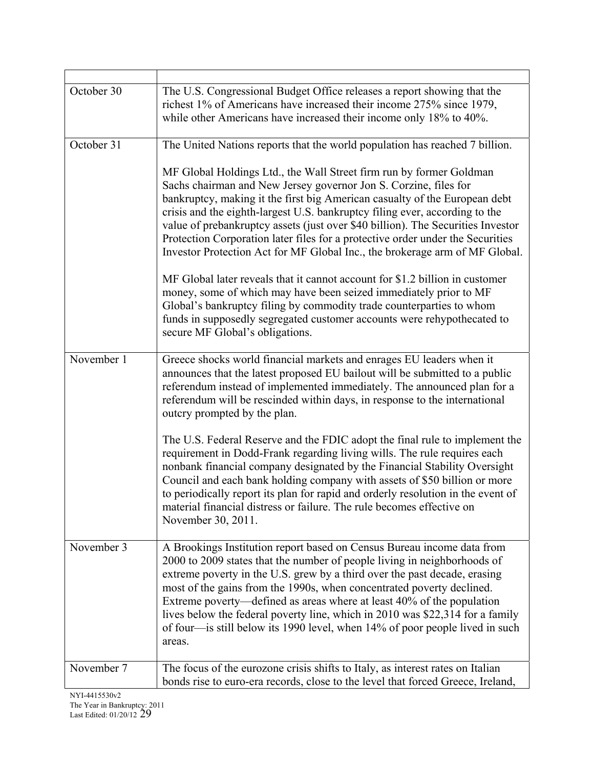| October 30 | The U.S. Congressional Budget Office releases a report showing that the<br>richest 1% of Americans have increased their income 275% since 1979,<br>while other Americans have increased their income only 18% to 40%.                                                                                                                                                                                                                                                                                                                                        |
|------------|--------------------------------------------------------------------------------------------------------------------------------------------------------------------------------------------------------------------------------------------------------------------------------------------------------------------------------------------------------------------------------------------------------------------------------------------------------------------------------------------------------------------------------------------------------------|
| October 31 | The United Nations reports that the world population has reached 7 billion.                                                                                                                                                                                                                                                                                                                                                                                                                                                                                  |
|            | MF Global Holdings Ltd., the Wall Street firm run by former Goldman<br>Sachs chairman and New Jersey governor Jon S. Corzine, files for<br>bankruptcy, making it the first big American casualty of the European debt<br>crisis and the eighth-largest U.S. bankruptcy filing ever, according to the<br>value of prebankruptcy assets (just over \$40 billion). The Securities Investor<br>Protection Corporation later files for a protective order under the Securities<br>Investor Protection Act for MF Global Inc., the brokerage arm of MF Global.     |
|            | MF Global later reveals that it cannot account for \$1.2 billion in customer<br>money, some of which may have been seized immediately prior to MF<br>Global's bankruptcy filing by commodity trade counterparties to whom<br>funds in supposedly segregated customer accounts were rehypothecated to<br>secure MF Global's obligations.                                                                                                                                                                                                                      |
| November 1 | Greece shocks world financial markets and enrages EU leaders when it<br>announces that the latest proposed EU bailout will be submitted to a public<br>referendum instead of implemented immediately. The announced plan for a<br>referendum will be rescinded within days, in response to the international<br>outcry prompted by the plan.                                                                                                                                                                                                                 |
|            | The U.S. Federal Reserve and the FDIC adopt the final rule to implement the<br>requirement in Dodd-Frank regarding living wills. The rule requires each<br>nonbank financial company designated by the Financial Stability Oversight<br>Council and each bank holding company with assets of \$50 billion or more<br>to periodically report its plan for rapid and orderly resolution in the event of<br>material financial distress or failure. The rule becomes effective on<br>November 30, 2011.                                                         |
| November 3 | A Brookings Institution report based on Census Bureau income data from<br>2000 to 2009 states that the number of people living in neighborhoods of<br>extreme poverty in the U.S. grew by a third over the past decade, erasing<br>most of the gains from the 1990s, when concentrated poverty declined.<br>Extreme poverty—defined as areas where at least 40% of the population<br>lives below the federal poverty line, which in 2010 was \$22,314 for a family<br>of four—is still below its 1990 level, when 14% of poor people lived in such<br>areas. |
| November 7 | The focus of the eurozone crisis shifts to Italy, as interest rates on Italian<br>bonds rise to euro-era records, close to the level that forced Greece, Ireland,                                                                                                                                                                                                                                                                                                                                                                                            |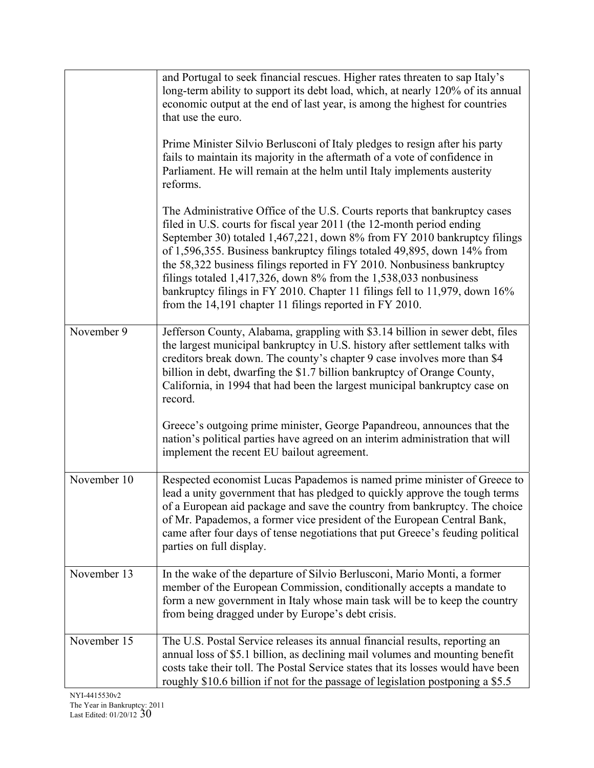|                          | and Portugal to seek financial rescues. Higher rates threaten to sap Italy's<br>long-term ability to support its debt load, which, at nearly 120% of its annual<br>economic output at the end of last year, is among the highest for countries<br>that use the euro.                                                                                                                                                                                                                                                                                                                                     |
|--------------------------|----------------------------------------------------------------------------------------------------------------------------------------------------------------------------------------------------------------------------------------------------------------------------------------------------------------------------------------------------------------------------------------------------------------------------------------------------------------------------------------------------------------------------------------------------------------------------------------------------------|
|                          | Prime Minister Silvio Berlusconi of Italy pledges to resign after his party<br>fails to maintain its majority in the aftermath of a vote of confidence in<br>Parliament. He will remain at the helm until Italy implements austerity<br>reforms.                                                                                                                                                                                                                                                                                                                                                         |
|                          | The Administrative Office of the U.S. Courts reports that bankruptcy cases<br>filed in U.S. courts for fiscal year 2011 (the 12-month period ending<br>September 30) totaled 1,467,221, down 8% from FY 2010 bankruptcy filings<br>of 1,596,355. Business bankruptcy filings totaled 49,895, down 14% from<br>the 58,322 business filings reported in FY 2010. Nonbusiness bankruptcy<br>filings totaled $1,417,326$ , down 8% from the $1,538,033$ nonbusiness<br>bankruptcy filings in FY 2010. Chapter 11 filings fell to 11,979, down 16%<br>from the 14,191 chapter 11 filings reported in FY 2010. |
| November 9               | Jefferson County, Alabama, grappling with \$3.14 billion in sewer debt, files<br>the largest municipal bankruptcy in U.S. history after settlement talks with<br>creditors break down. The county's chapter 9 case involves more than \$4<br>billion in debt, dwarfing the \$1.7 billion bankruptcy of Orange County,<br>California, in 1994 that had been the largest municipal bankruptcy case on<br>record.                                                                                                                                                                                           |
|                          | Greece's outgoing prime minister, George Papandreou, announces that the<br>nation's political parties have agreed on an interim administration that will<br>implement the recent EU bailout agreement.                                                                                                                                                                                                                                                                                                                                                                                                   |
| November $\overline{10}$ | Respected economist Lucas Papademos is named prime minister of Greece to<br>lead a unity government that has pledged to quickly approve the tough terms<br>of a European aid package and save the country from bankruptcy. The choice<br>of Mr. Papademos, a former vice president of the European Central Bank,<br>came after four days of tense negotiations that put Greece's feuding political<br>parties on full display.                                                                                                                                                                           |
| November 13              | In the wake of the departure of Silvio Berlusconi, Mario Monti, a former<br>member of the European Commission, conditionally accepts a mandate to<br>form a new government in Italy whose main task will be to keep the country<br>from being dragged under by Europe's debt crisis.                                                                                                                                                                                                                                                                                                                     |
| November 15              | The U.S. Postal Service releases its annual financial results, reporting an<br>annual loss of \$5.1 billion, as declining mail volumes and mounting benefit<br>costs take their toll. The Postal Service states that its losses would have been<br>roughly \$10.6 billion if not for the passage of legislation postponing a \$5.5                                                                                                                                                                                                                                                                       |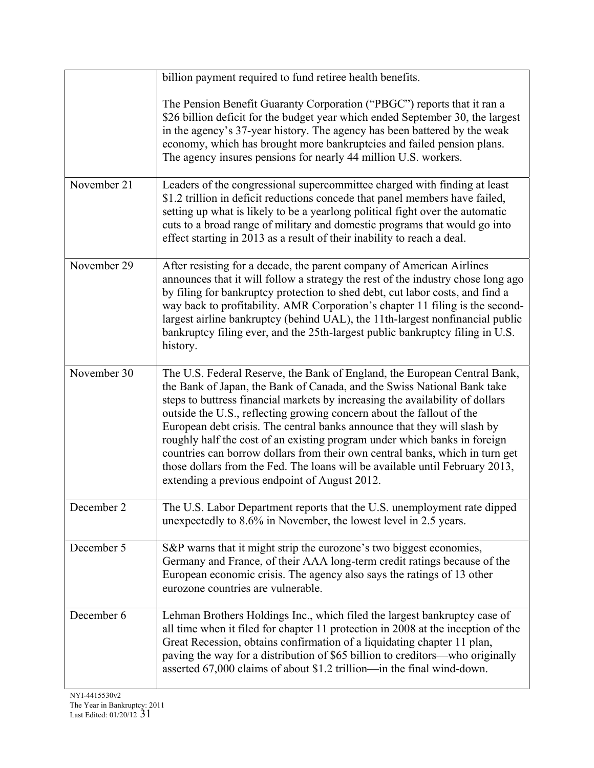|             | billion payment required to fund retiree health benefits.                                                                                                                                                                                                                                                                                                                                                                                                                                                                                                                                                                                                                                |
|-------------|------------------------------------------------------------------------------------------------------------------------------------------------------------------------------------------------------------------------------------------------------------------------------------------------------------------------------------------------------------------------------------------------------------------------------------------------------------------------------------------------------------------------------------------------------------------------------------------------------------------------------------------------------------------------------------------|
|             | The Pension Benefit Guaranty Corporation ("PBGC") reports that it ran a<br>\$26 billion deficit for the budget year which ended September 30, the largest<br>in the agency's 37-year history. The agency has been battered by the weak<br>economy, which has brought more bankruptcies and failed pension plans.<br>The agency insures pensions for nearly 44 million U.S. workers.                                                                                                                                                                                                                                                                                                      |
| November 21 | Leaders of the congressional supercommittee charged with finding at least<br>\$1.2 trillion in deficit reductions concede that panel members have failed,<br>setting up what is likely to be a yearlong political fight over the automatic<br>cuts to a broad range of military and domestic programs that would go into<br>effect starting in 2013 as a result of their inability to reach a deal.                                                                                                                                                                                                                                                                                      |
| November 29 | After resisting for a decade, the parent company of American Airlines<br>announces that it will follow a strategy the rest of the industry chose long ago<br>by filing for bankruptcy protection to shed debt, cut labor costs, and find a<br>way back to profitability. AMR Corporation's chapter 11 filing is the second-<br>largest airline bankruptcy (behind UAL), the 11th-largest nonfinancial public<br>bankruptcy filing ever, and the 25th-largest public bankruptcy filing in U.S.<br>history.                                                                                                                                                                                |
| November 30 | The U.S. Federal Reserve, the Bank of England, the European Central Bank,<br>the Bank of Japan, the Bank of Canada, and the Swiss National Bank take<br>steps to buttress financial markets by increasing the availability of dollars<br>outside the U.S., reflecting growing concern about the fallout of the<br>European debt crisis. The central banks announce that they will slash by<br>roughly half the cost of an existing program under which banks in foreign<br>countries can borrow dollars from their own central banks, which in turn get<br>those dollars from the Fed. The loans will be available until February 2013,<br>extending a previous endpoint of August 2012. |
| December 2  | The U.S. Labor Department reports that the U.S. unemployment rate dipped<br>unexpectedly to 8.6% in November, the lowest level in 2.5 years.                                                                                                                                                                                                                                                                                                                                                                                                                                                                                                                                             |
| December 5  | S&P warns that it might strip the eurozone's two biggest economies,<br>Germany and France, of their AAA long-term credit ratings because of the<br>European economic crisis. The agency also says the ratings of 13 other<br>eurozone countries are vulnerable.                                                                                                                                                                                                                                                                                                                                                                                                                          |
| December 6  | Lehman Brothers Holdings Inc., which filed the largest bankruptcy case of<br>all time when it filed for chapter 11 protection in 2008 at the inception of the<br>Great Recession, obtains confirmation of a liquidating chapter 11 plan,<br>paving the way for a distribution of \$65 billion to creditors—who originally<br>asserted 67,000 claims of about \$1.2 trillion—in the final wind-down.                                                                                                                                                                                                                                                                                      |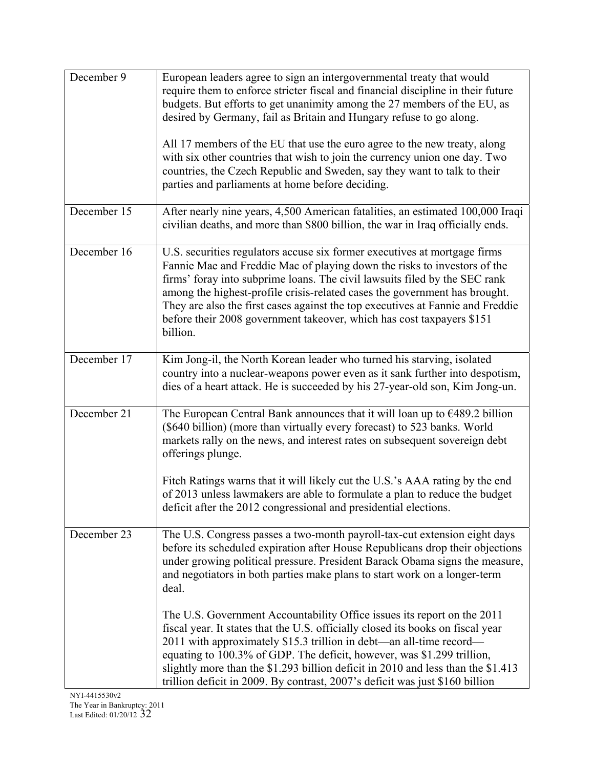| December 9  | European leaders agree to sign an intergovernmental treaty that would<br>require them to enforce stricter fiscal and financial discipline in their future<br>budgets. But efforts to get unanimity among the 27 members of the EU, as<br>desired by Germany, fail as Britain and Hungary refuse to go along.<br>All 17 members of the EU that use the euro agree to the new treaty, along<br>with six other countries that wish to join the currency union one day. Two<br>countries, the Czech Republic and Sweden, say they want to talk to their<br>parties and parliaments at home before deciding. |
|-------------|---------------------------------------------------------------------------------------------------------------------------------------------------------------------------------------------------------------------------------------------------------------------------------------------------------------------------------------------------------------------------------------------------------------------------------------------------------------------------------------------------------------------------------------------------------------------------------------------------------|
| December 15 | After nearly nine years, 4,500 American fatalities, an estimated 100,000 Iraqi<br>civilian deaths, and more than \$800 billion, the war in Iraq officially ends.                                                                                                                                                                                                                                                                                                                                                                                                                                        |
| December 16 | U.S. securities regulators accuse six former executives at mortgage firms<br>Fannie Mae and Freddie Mac of playing down the risks to investors of the<br>firms' foray into subprime loans. The civil lawsuits filed by the SEC rank<br>among the highest-profile crisis-related cases the government has brought.<br>They are also the first cases against the top executives at Fannie and Freddie<br>before their 2008 government takeover, which has cost taxpayers \$151<br>billion.                                                                                                                |
| December 17 | Kim Jong-il, the North Korean leader who turned his starving, isolated<br>country into a nuclear-weapons power even as it sank further into despotism,<br>dies of a heart attack. He is succeeded by his 27-year-old son, Kim Jong-un.                                                                                                                                                                                                                                                                                                                                                                  |
| December 21 | The European Central Bank announces that it will loan up to $\epsilon$ 489.2 billion<br>(\$640 billion) (more than virtually every forecast) to 523 banks. World<br>markets rally on the news, and interest rates on subsequent sovereign debt<br>offerings plunge.<br>Fitch Ratings warns that it will likely cut the U.S.'s AAA rating by the end<br>of 2013 unless lawmakers are able to formulate a plan to reduce the budget<br>deficit after the 2012 congressional and presidential elections.                                                                                                   |
| December 23 | The U.S. Congress passes a two-month payroll-tax-cut extension eight days<br>before its scheduled expiration after House Republicans drop their objections<br>under growing political pressure. President Barack Obama signs the measure,<br>and negotiators in both parties make plans to start work on a longer-term<br>deal.                                                                                                                                                                                                                                                                         |
|             | The U.S. Government Accountability Office issues its report on the 2011<br>fiscal year. It states that the U.S. officially closed its books on fiscal year<br>2011 with approximately \$15.3 trillion in debt-an all-time record-<br>equating to 100.3% of GDP. The deficit, however, was \$1.299 trillion,<br>slightly more than the \$1.293 billion deficit in 2010 and less than the \$1.413<br>trillion deficit in 2009. By contrast, 2007's deficit was just \$160 billion                                                                                                                         |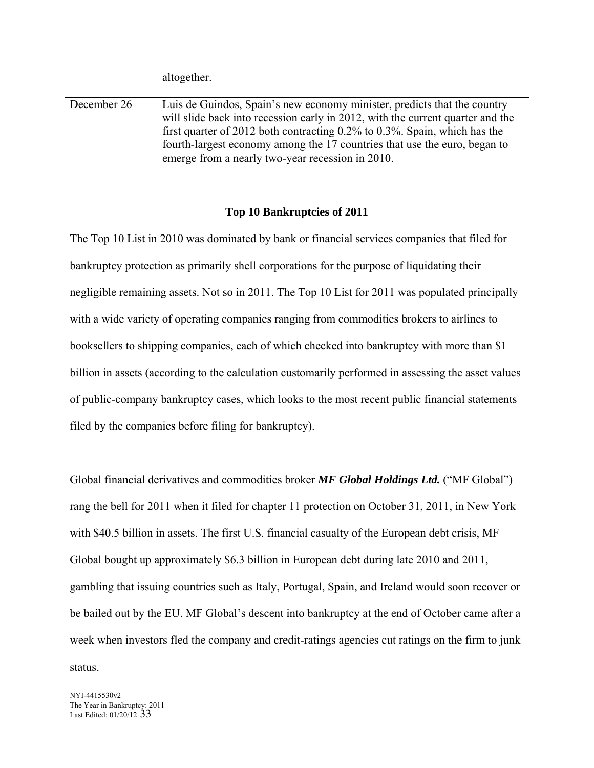|             | altogether.                                                                                                                                                                                                                                                                                                                                                                 |
|-------------|-----------------------------------------------------------------------------------------------------------------------------------------------------------------------------------------------------------------------------------------------------------------------------------------------------------------------------------------------------------------------------|
| December 26 | Luis de Guindos, Spain's new economy minister, predicts that the country<br>will slide back into recession early in 2012, with the current quarter and the<br>first quarter of 2012 both contracting $0.2\%$ to 0.3%. Spain, which has the<br>fourth-largest economy among the 17 countries that use the euro, began to<br>emerge from a nearly two-year recession in 2010. |

## **Top 10 Bankruptcies of 2011**

The Top 10 List in 2010 was dominated by bank or financial services companies that filed for bankruptcy protection as primarily shell corporations for the purpose of liquidating their negligible remaining assets. Not so in 2011. The Top 10 List for 2011 was populated principally with a wide variety of operating companies ranging from commodities brokers to airlines to booksellers to shipping companies, each of which checked into bankruptcy with more than \$1 billion in assets (according to the calculation customarily performed in assessing the asset values of public-company bankruptcy cases, which looks to the most recent public financial statements filed by the companies before filing for bankruptcy).

Global financial derivatives and commodities broker *MF Global Holdings Ltd.* ("MF Global") rang the bell for 2011 when it filed for chapter 11 protection on October 31, 2011, in New York with \$40.5 billion in assets. The first U.S. financial casualty of the European debt crisis, MF Global bought up approximately \$6.3 billion in European debt during late 2010 and 2011, gambling that issuing countries such as Italy, Portugal, Spain, and Ireland would soon recover or be bailed out by the EU. MF Global's descent into bankruptcy at the end of October came after a week when investors fled the company and credit-ratings agencies cut ratings on the firm to junk status.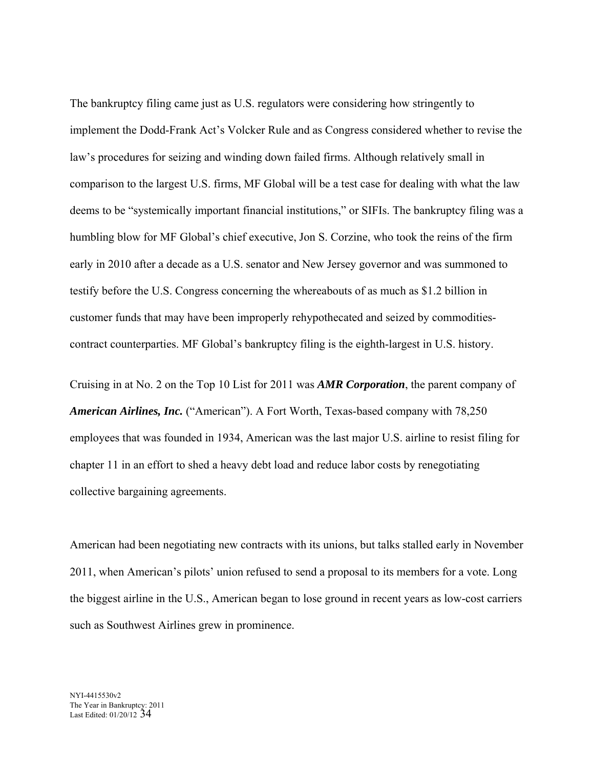The bankruptcy filing came just as U.S. regulators were considering how stringently to implement the Dodd-Frank Act's Volcker Rule and as Congress considered whether to revise the law's procedures for seizing and winding down failed firms. Although relatively small in comparison to the largest U.S. firms, MF Global will be a test case for dealing with what the law deems to be "systemically important financial institutions," or SIFIs. The bankruptcy filing was a humbling blow for MF Global's chief executive, Jon S. Corzine, who took the reins of the firm early in 2010 after a decade as a U.S. senator and New Jersey governor and was summoned to testify before the U.S. Congress concerning the whereabouts of as much as \$1.2 billion in customer funds that may have been improperly rehypothecated and seized by commoditiescontract counterparties. MF Global's bankruptcy filing is the eighth-largest in U.S. history.

Cruising in at No. 2 on the Top 10 List for 2011 was *AMR Corporation*, the parent company of *American Airlines, Inc.* ("American"). A Fort Worth, Texas-based company with 78,250 employees that was founded in 1934, American was the last major U.S. airline to resist filing for chapter 11 in an effort to shed a heavy debt load and reduce labor costs by renegotiating collective bargaining agreements.

American had been negotiating new contracts with its unions, but talks stalled early in November 2011, when American's pilots' union refused to send a proposal to its members for a vote. Long the biggest airline in the U.S., American began to lose ground in recent years as low-cost carriers such as Southwest Airlines grew in prominence.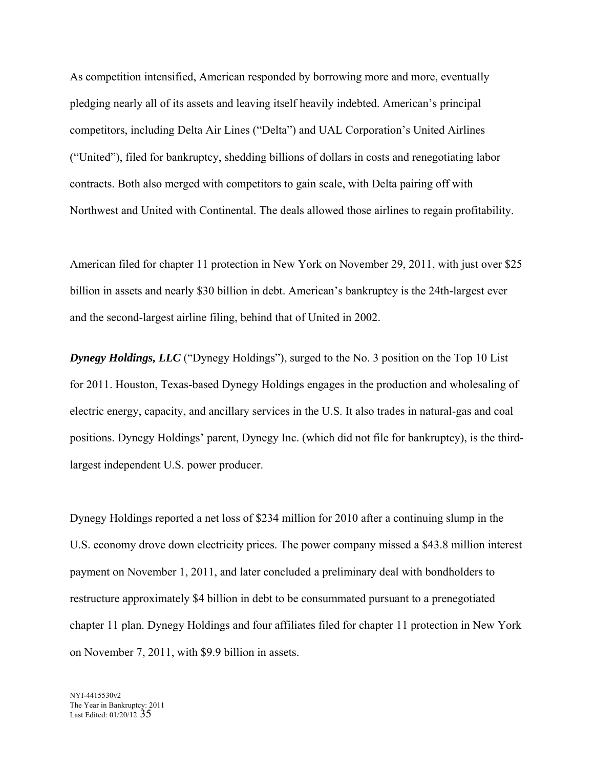As competition intensified, American responded by borrowing more and more, eventually pledging nearly all of its assets and leaving itself heavily indebted. American's principal competitors, including Delta Air Lines ("Delta") and UAL Corporation's United Airlines ("United"), filed for bankruptcy, shedding billions of dollars in costs and renegotiating labor contracts. Both also merged with competitors to gain scale, with Delta pairing off with Northwest and United with Continental. The deals allowed those airlines to regain profitability.

American filed for chapter 11 protection in New York on November 29, 2011, with just over \$25 billion in assets and nearly \$30 billion in debt. American's bankruptcy is the 24th-largest ever and the second-largest airline filing, behind that of United in 2002.

**Dynegy Holdings, LLC** ("Dynegy Holdings"), surged to the No. 3 position on the Top 10 List for 2011. Houston, Texas-based Dynegy Holdings engages in the production and wholesaling of electric energy, capacity, and ancillary services in the U.S. It also trades in natural-gas and coal positions. Dynegy Holdings' parent, Dynegy Inc. (which did not file for bankruptcy), is the thirdlargest independent U.S. power producer.

Dynegy Holdings reported a net loss of \$234 million for 2010 after a continuing slump in the U.S. economy drove down electricity prices. The power company missed a \$43.8 million interest payment on November 1, 2011, and later concluded a preliminary deal with bondholders to restructure approximately \$4 billion in debt to be consummated pursuant to a prenegotiated chapter 11 plan. Dynegy Holdings and four affiliates filed for chapter 11 protection in New York on November 7, 2011, with \$9.9 billion in assets.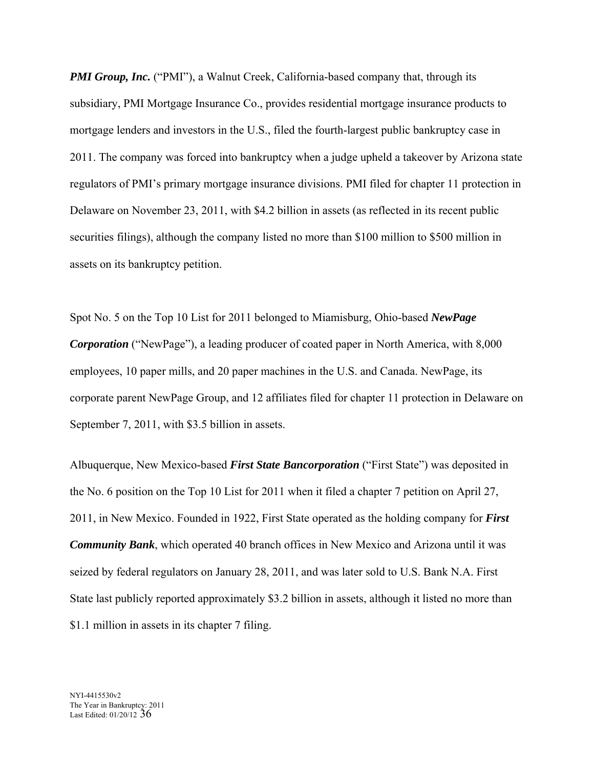*PMI Group, Inc.* ("PMI"), a Walnut Creek, California-based company that, through its subsidiary, PMI Mortgage Insurance Co., provides residential mortgage insurance products to mortgage lenders and investors in the U.S., filed the fourth-largest public bankruptcy case in 2011. The company was forced into bankruptcy when a judge upheld a takeover by Arizona state regulators of PMI's primary mortgage insurance divisions. PMI filed for chapter 11 protection in Delaware on November 23, 2011, with \$4.2 billion in assets (as reflected in its recent public securities filings), although the company listed no more than \$100 million to \$500 million in assets on its bankruptcy petition.

Spot No. 5 on the Top 10 List for 2011 belonged to Miamisburg, Ohio-based *NewPage Corporation* ("NewPage"), a leading producer of coated paper in North America, with 8,000 employees, 10 paper mills, and 20 paper machines in the U.S. and Canada. NewPage, its corporate parent NewPage Group, and 12 affiliates filed for chapter 11 protection in Delaware on September 7, 2011, with \$3.5 billion in assets.

Albuquerque, New Mexico-based *First State Bancorporation* ("First State") was deposited in the No. 6 position on the Top 10 List for 2011 when it filed a chapter 7 petition on April 27, 2011, in New Mexico. Founded in 1922, First State operated as the holding company for *First Community Bank*, which operated 40 branch offices in New Mexico and Arizona until it was seized by federal regulators on January 28, 2011, and was later sold to U.S. Bank N.A. First State last publicly reported approximately \$3.2 billion in assets, although it listed no more than \$1.1 million in assets in its chapter 7 filing.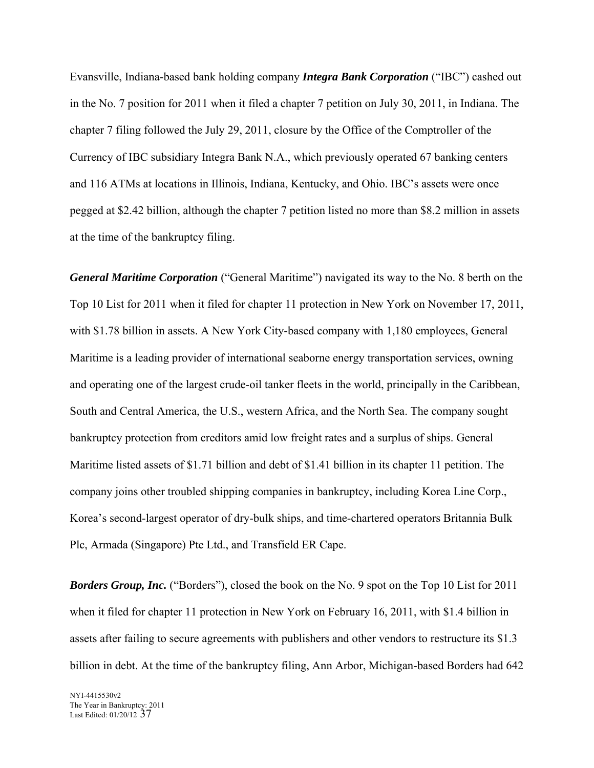Evansville, Indiana-based bank holding company *Integra Bank Corporation* ("IBC") cashed out in the No. 7 position for 2011 when it filed a chapter 7 petition on July 30, 2011, in Indiana. The chapter 7 filing followed the July 29, 2011, closure by the Office of the Comptroller of the Currency of IBC subsidiary Integra Bank N.A., which previously operated 67 banking centers and 116 ATMs at locations in Illinois, Indiana, Kentucky, and Ohio. IBC's assets were once pegged at \$2.42 billion, although the chapter 7 petition listed no more than \$8.2 million in assets at the time of the bankruptcy filing.

*General Maritime Corporation* ("General Maritime") navigated its way to the No. 8 berth on the Top 10 List for 2011 when it filed for chapter 11 protection in New York on November 17, 2011, with \$1.78 billion in assets. A New York City-based company with 1,180 employees, General Maritime is a leading provider of international seaborne energy transportation services, owning and operating one of the largest crude-oil tanker fleets in the world, principally in the Caribbean, South and Central America, the U.S., western Africa, and the North Sea. The company sought bankruptcy protection from creditors amid low freight rates and a surplus of ships. General Maritime listed assets of \$1.71 billion and debt of \$1.41 billion in its chapter 11 petition. The company joins other troubled shipping companies in bankruptcy, including Korea Line Corp., Korea's second-largest operator of dry-bulk ships, and time-chartered operators Britannia Bulk Plc, Armada (Singapore) Pte Ltd., and Transfield ER Cape.

*Borders Group, Inc.* ("Borders"), closed the book on the No. 9 spot on the Top 10 List for 2011 when it filed for chapter 11 protection in New York on February 16, 2011, with \$1.4 billion in assets after failing to secure agreements with publishers and other vendors to restructure its \$1.3 billion in debt. At the time of the bankruptcy filing, Ann Arbor, Michigan-based Borders had 642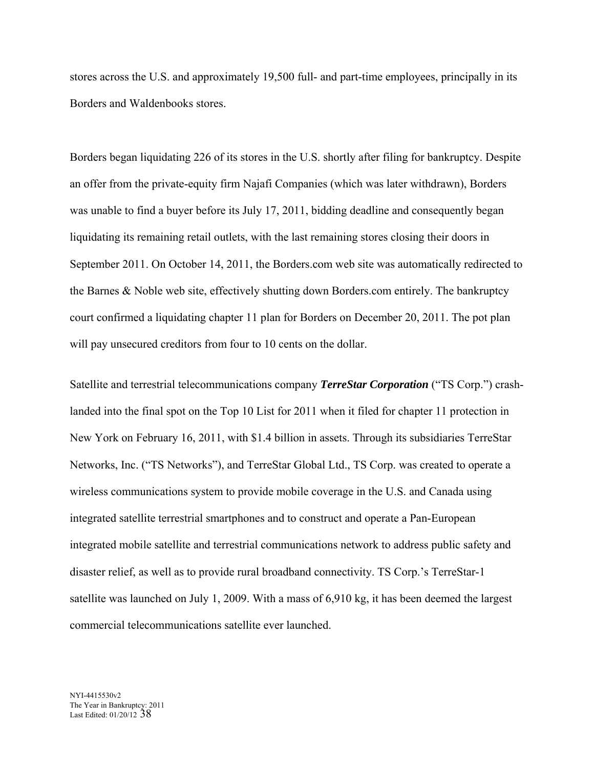stores across the U.S. and approximately 19,500 full- and part-time employees, principally in its Borders and Waldenbooks stores.

Borders began liquidating 226 of its stores in the U.S. shortly after filing for bankruptcy. Despite an offer from the private-equity firm Najafi Companies (which was later withdrawn), Borders was unable to find a buyer before its July 17, 2011, bidding deadline and consequently began liquidating its remaining retail outlets, with the last remaining stores closing their doors in September 2011. On October 14, 2011, the Borders.com web site was automatically redirected to the Barnes & Noble web site, effectively shutting down Borders.com entirely. The bankruptcy court confirmed a liquidating chapter 11 plan for Borders on December 20, 2011. The pot plan will pay unsecured creditors from four to 10 cents on the dollar.

Satellite and terrestrial telecommunications company *TerreStar Corporation* ("TS Corp.") crashlanded into the final spot on the Top 10 List for 2011 when it filed for chapter 11 protection in New York on February 16, 2011, with \$1.4 billion in assets. Through its subsidiaries TerreStar Networks, Inc. ("TS Networks"), and TerreStar Global Ltd., TS Corp. was created to operate a wireless communications system to provide mobile coverage in the U.S. and Canada using integrated satellite terrestrial smartphones and to construct and operate a Pan-European integrated mobile satellite and terrestrial communications network to address public safety and disaster relief, as well as to provide rural broadband connectivity. TS Corp.'s TerreStar-1 satellite was launched on July 1, 2009. With a mass of 6,910 kg, it has been deemed the largest commercial telecommunications satellite ever launched.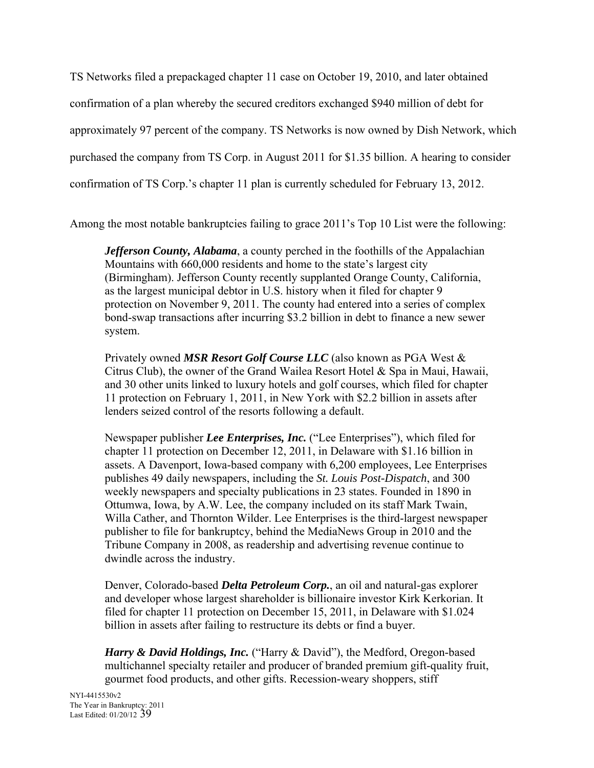TS Networks filed a prepackaged chapter 11 case on October 19, 2010, and later obtained confirmation of a plan whereby the secured creditors exchanged \$940 million of debt for approximately 97 percent of the company. TS Networks is now owned by Dish Network, which purchased the company from TS Corp. in August 2011 for \$1.35 billion. A hearing to consider confirmation of TS Corp.'s chapter 11 plan is currently scheduled for February 13, 2012.

Among the most notable bankruptcies failing to grace 2011's Top 10 List were the following:

*Jefferson County, Alabama*, a county perched in the foothills of the Appalachian Mountains with 660,000 residents and home to the state's largest city (Birmingham). Jefferson County recently supplanted Orange County, California, as the largest municipal debtor in U.S. history when it filed for chapter 9 protection on November 9, 2011. The county had entered into a series of complex bond-swap transactions after incurring \$3.2 billion in debt to finance a new sewer system.

Privately owned *MSR Resort Golf Course LLC* (also known as PGA West & Citrus Club), the owner of the Grand Wailea Resort Hotel & Spa in Maui, Hawaii, and 30 other units linked to luxury hotels and golf courses, which filed for chapter 11 protection on February 1, 2011, in New York with \$2.2 billion in assets after lenders seized control of the resorts following a default.

Newspaper publisher *Lee Enterprises, Inc.* ("Lee Enterprises"), which filed for chapter 11 protection on December 12, 2011, in Delaware with \$1.16 billion in assets. A Davenport, Iowa-based company with 6,200 employees, Lee Enterprises publishes 49 daily newspapers, including the *St. Louis Post-Dispatch*, and 300 weekly newspapers and specialty publications in 23 states. Founded in 1890 in Ottumwa, Iowa, by A.W. Lee, the company included on its staff Mark Twain, Willa Cather, and Thornton Wilder. Lee Enterprises is the third-largest newspaper publisher to file for bankruptcy, behind the MediaNews Group in 2010 and the Tribune Company in 2008, as readership and advertising revenue continue to dwindle across the industry.

Denver, Colorado-based *Delta Petroleum Corp.*, an oil and natural-gas explorer and developer whose largest shareholder is billionaire investor Kirk Kerkorian. It filed for chapter 11 protection on December 15, 2011, in Delaware with \$1.024 billion in assets after failing to restructure its debts or find a buyer.

*Harry & David Holdings, Inc.* ("Harry & David"), the Medford, Oregon-based multichannel specialty retailer and producer of branded premium gift-quality fruit, gourmet food products, and other gifts. Recession-weary shoppers, stiff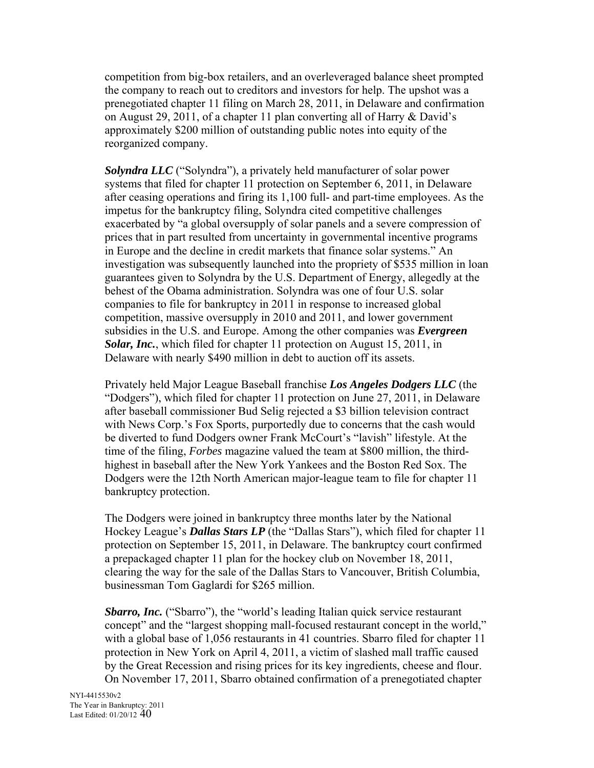competition from big-box retailers, and an overleveraged balance sheet prompted the company to reach out to creditors and investors for help. The upshot was a prenegotiated chapter 11 filing on March 28, 2011, in Delaware and confirmation on August 29, 2011, of a chapter 11 plan converting all of Harry & David's approximately \$200 million of outstanding public notes into equity of the reorganized company.

*Solyndra LLC* ("Solyndra"), a privately held manufacturer of solar power systems that filed for chapter 11 protection on September 6, 2011, in Delaware after ceasing operations and firing its 1,100 full- and part-time employees. As the impetus for the bankruptcy filing, Solyndra cited competitive challenges exacerbated by "a global oversupply of solar panels and a severe compression of prices that in part resulted from uncertainty in governmental incentive programs in Europe and the decline in credit markets that finance solar systems." An investigation was subsequently launched into the propriety of \$535 million in loan guarantees given to Solyndra by the U.S. Department of Energy, allegedly at the behest of the Obama administration. Solyndra was one of four U.S. solar companies to file for bankruptcy in 2011 in response to increased global competition, massive oversupply in 2010 and 2011, and lower government subsidies in the U.S. and Europe. Among the other companies was *Evergreen Solar, Inc.*, which filed for chapter 11 protection on August 15, 2011, in Delaware with nearly \$490 million in debt to auction off its assets.

Privately held Major League Baseball franchise *Los Angeles Dodgers LLC* (the "Dodgers"), which filed for chapter 11 protection on June 27, 2011, in Delaware after baseball commissioner Bud Selig rejected a \$3 billion television contract with News Corp.'s Fox Sports, purportedly due to concerns that the cash would be diverted to fund Dodgers owner Frank McCourt's "lavish" lifestyle. At the time of the filing, *Forbes* magazine valued the team at \$800 million, the thirdhighest in baseball after the New York Yankees and the Boston Red Sox. The Dodgers were the 12th North American major-league team to file for chapter 11 bankruptcy protection.

The Dodgers were joined in bankruptcy three months later by the National Hockey League's *Dallas Stars LP* (the "Dallas Stars"), which filed for chapter 11 protection on September 15, 2011, in Delaware. The bankruptcy court confirmed a prepackaged chapter 11 plan for the hockey club on November 18, 2011, clearing the way for the sale of the Dallas Stars to Vancouver, British Columbia, businessman Tom Gaglardi for \$265 million.

*Sbarro, Inc.* ("Sbarro"), the "world's leading Italian quick service restaurant concept" and the "largest shopping mall-focused restaurant concept in the world," with a global base of 1,056 restaurants in 41 countries. Sbarro filed for chapter 11 protection in New York on April 4, 2011, a victim of slashed mall traffic caused by the Great Recession and rising prices for its key ingredients, cheese and flour. On November 17, 2011, Sbarro obtained confirmation of a prenegotiated chapter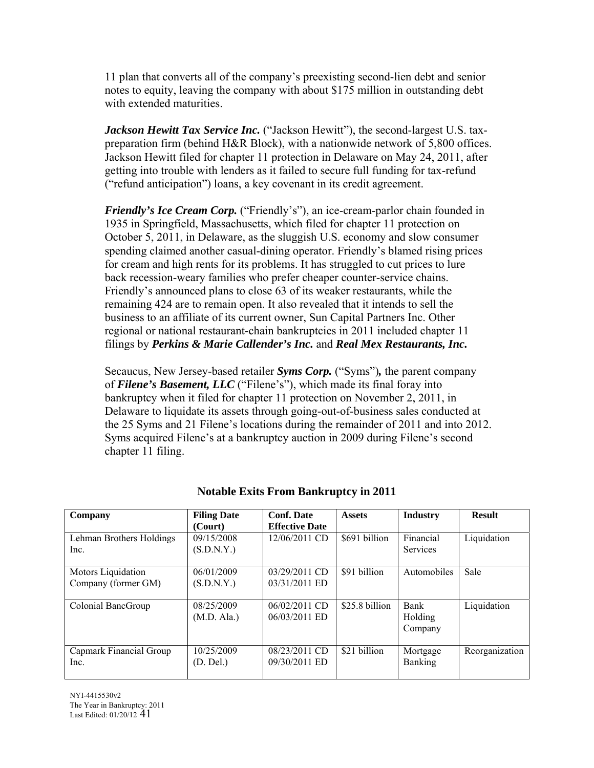11 plan that converts all of the company's preexisting second-lien debt and senior notes to equity, leaving the company with about \$175 million in outstanding debt with extended maturities.

*Jackson Hewitt Tax Service Inc.* ("Jackson Hewitt"), the second-largest U.S. taxpreparation firm (behind H&R Block), with a nationwide network of 5,800 offices. Jackson Hewitt filed for chapter 11 protection in Delaware on May 24, 2011, after getting into trouble with lenders as it failed to secure full funding for tax-refund ("refund anticipation") loans, a key covenant in its credit agreement.

*Friendly's Ice Cream Corp.* ("Friendly's"), an ice-cream-parlor chain founded in 1935 in Springfield, Massachusetts, which filed for chapter 11 protection on October 5, 2011, in Delaware, as the sluggish U.S. economy and slow consumer spending claimed another casual-dining operator. Friendly's blamed rising prices for cream and high rents for its problems. It has struggled to cut prices to lure back recession-weary families who prefer cheaper counter-service chains. Friendly's announced plans to close 63 of its weaker restaurants, while the remaining 424 are to remain open. It also revealed that it intends to sell the business to an affiliate of its current owner, Sun Capital Partners Inc. Other regional or national restaurant-chain bankruptcies in 2011 included chapter 11 filings by *Perkins & Marie Callender's Inc.* and *Real Mex Restaurants, Inc.*

Secaucus, New Jersey-based retailer *Syms Corp.* ("Syms")*,* the parent company of *Filene's Basement, LLC* ("Filene's"), which made its final foray into bankruptcy when it filed for chapter 11 protection on November 2, 2011, in Delaware to liquidate its assets through going-out-of-business sales conducted at the 25 Syms and 21 Filene's locations during the remainder of 2011 and into 2012. Syms acquired Filene's at a bankruptcy auction in 2009 during Filene's second chapter 11 filing.

| Company                  | <b>Filing Date</b> | <b>Conf. Date</b>     | <b>Assets</b>  | <b>Industry</b> | <b>Result</b>  |
|--------------------------|--------------------|-----------------------|----------------|-----------------|----------------|
|                          | (Court)            | <b>Effective Date</b> |                |                 |                |
| Lehman Brothers Holdings | 09/15/2008         | 12/06/2011 CD         | \$691 billion  | Financial       | Liquidation    |
| Inc.                     | (S.D.N.Y.)         |                       |                | <b>Services</b> |                |
|                          |                    |                       |                |                 |                |
| Motors Liquidation       | 06/01/2009         | 03/29/2011 CD         | \$91 billion   | Automobiles     | Sale           |
| Company (former GM)      | (S.D.N.Y.)         | 03/31/2011 ED         |                |                 |                |
|                          |                    |                       |                |                 |                |
| Colonial BancGroup       | 08/25/2009         | $06/02/2011$ CD       | \$25.8 billion | <b>Bank</b>     | Liquidation    |
|                          | (M.D. Ala.)        | 06/03/2011 ED         |                | Holding         |                |
|                          |                    |                       |                | Company         |                |
|                          |                    |                       |                |                 |                |
| Capmark Financial Group  | 10/25/2009         | 08/23/2011 CD         | \$21 billion   | Mortgage        | Reorganization |
| Inc.                     | (D. Del.)          | 09/30/2011 ED         |                | <b>Banking</b>  |                |
|                          |                    |                       |                |                 |                |

# **Notable Exits From Bankruptcy in 2011**

NYI-4415530v2 The Year in Bankruptcy: 2011 Last Edited: 01/20/12 41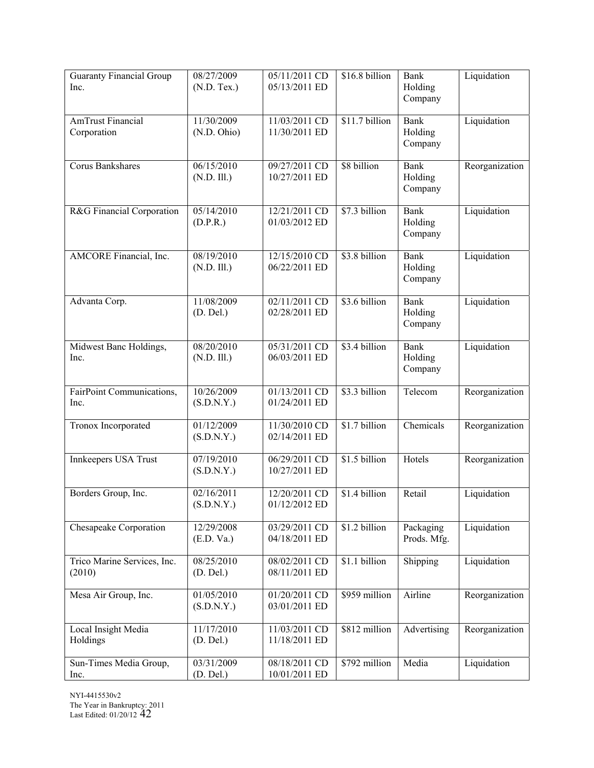| <b>Guaranty Financial Group</b><br>Inc. | 08/27/2009<br>$(N.D.$ Tex.) | 05/11/2011 CD<br>05/13/2011 ED   | \$16.8 billion | Bank<br>Holding        | Liquidation    |
|-----------------------------------------|-----------------------------|----------------------------------|----------------|------------------------|----------------|
|                                         |                             |                                  |                | Company                |                |
| <b>AmTrust Financial</b><br>Corporation | 11/30/2009<br>(N.D. Ohio)   | 11/03/2011 CD<br>11/30/2011 ED   | \$11.7 billion | Bank<br>Holding        | Liquidation    |
|                                         |                             |                                  |                | Company                |                |
| <b>Corus Bankshares</b>                 | 06/15/2010<br>(N.D. III.)   | 09/27/2011 CD<br>10/27/2011 ED   | \$8 billion    | <b>Bank</b><br>Holding | Reorganization |
|                                         |                             |                                  |                | Company                |                |
| R&G Financial Corporation               | 05/14/2010<br>(D.P.R.)      | $12/21/2011$ CD<br>01/03/2012 ED | \$7.3 billion  | <b>Bank</b><br>Holding | Liquidation    |
|                                         |                             |                                  |                | Company                |                |
| AMCORE Financial, Inc.                  | 08/19/2010<br>(N.D. III.)   | 12/15/2010 CD<br>06/22/2011 ED   | \$3.8 billion  | Bank<br>Holding        | Liquidation    |
|                                         |                             |                                  |                | Company                |                |
| Advanta Corp.                           | 11/08/2009<br>(D. Del.)     | 02/11/2011 CD<br>02/28/2011 ED   | \$3.6 billion  | <b>Bank</b><br>Holding | Liquidation    |
|                                         |                             |                                  |                | Company                |                |
| Midwest Banc Holdings,<br>Inc.          | 08/20/2010<br>(N.D. III.)   | 05/31/2011 CD<br>06/03/2011 ED   | \$3.4 billion  | <b>Bank</b><br>Holding | Liquidation    |
|                                         |                             |                                  |                | Company                |                |
| FairPoint Communications,<br>Inc.       | 10/26/2009<br>(S.D.N.Y.)    | 01/13/2011 CD<br>01/24/2011 ED   | \$3.3 billion  | Telecom                | Reorganization |
|                                         |                             |                                  |                |                        |                |
| Tronox Incorporated                     | 01/12/2009<br>(S.D.N.Y.)    | 11/30/2010 CD<br>02/14/2011 ED   | \$1.7 billion  | Chemicals              | Reorganization |
| Innkeepers USA Trust                    | 07/19/2010<br>(S.D.N.Y.)    | 06/29/2011 CD<br>10/27/2011 ED   | \$1.5 billion  | Hotels                 | Reorganization |
|                                         |                             |                                  |                |                        |                |
| Borders Group, Inc.                     | 02/16/2011<br>(S.D.N.Y.)    | 12/20/2011 CD<br>01/12/2012 ED   | \$1.4 billion  | Retail                 | Liquidation    |
| Chesapeake Corporation                  | 12/29/2008                  | 03/29/2011 CD                    | \$1.2 billion  | Packaging              | Liquidation    |
|                                         | (E.D. Va.)                  | 04/18/2011 ED                    |                | Prods. Mfg.            |                |
| Trico Marine Services, Inc.<br>(2010)   | 08/25/2010<br>(D. Del.)     | 08/02/2011 CD<br>08/11/2011 ED   | \$1.1 billion  | Shipping               | Liquidation    |
|                                         |                             |                                  |                |                        |                |
| Mesa Air Group, Inc.                    | 01/05/2010<br>(S.D.N.Y.)    | 01/20/2011 CD<br>03/01/2011 ED   | \$959 million  | Airline                | Reorganization |
| Local Insight Media                     | 11/17/2010                  | 11/03/2011 CD                    | \$812 million  | Advertising            | Reorganization |
| Holdings                                | (D. Del.)                   | 11/18/2011 ED                    |                |                        |                |
| Sun-Times Media Group,<br>Inc.          | 03/31/2009<br>(D. Del.)     | 08/18/2011 CD<br>10/01/2011 ED   | \$792 million  | Media                  | Liquidation    |
|                                         |                             |                                  |                |                        |                |

NYI-4415530v2 The Year in Bankruptcy: 2011 Last Edited: 01/20/12 42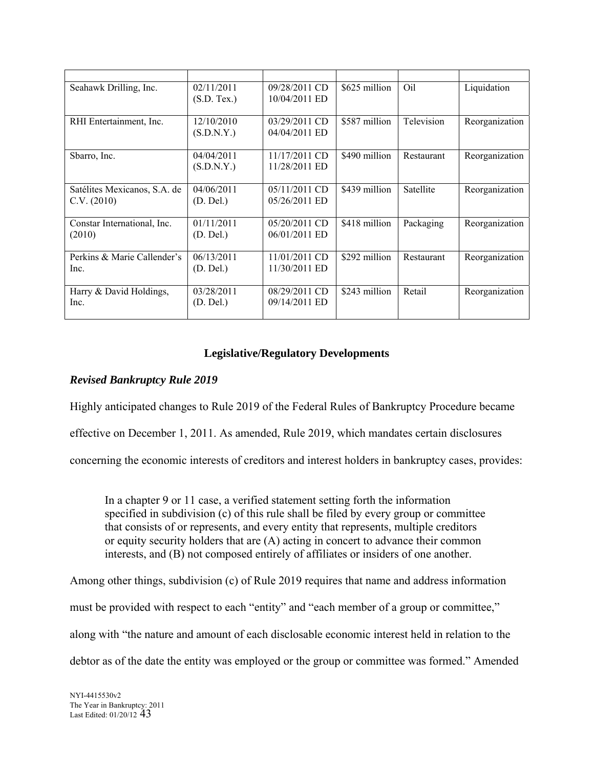| Seahawk Drilling, Inc.       | 02/11/2011  | 09/28/2011 CD   | \$625 million | Oil              | Liquidation    |
|------------------------------|-------------|-----------------|---------------|------------------|----------------|
|                              | (S.D. Tex.) | 10/04/2011 ED   |               |                  |                |
|                              |             |                 |               |                  |                |
| RHI Entertainment, Inc.      | 12/10/2010  | 03/29/2011 CD   | \$587 million | Television       | Reorganization |
|                              | (S.D.N.Y.)  | 04/04/2011 ED   |               |                  |                |
|                              |             |                 |               |                  |                |
| Sbarro, Inc.                 | 04/04/2011  | 11/17/2011 CD   | \$490 million | Restaurant       | Reorganization |
|                              | (S.D.N.Y.)  | 11/28/2011 ED   |               |                  |                |
|                              |             |                 |               |                  |                |
| Satélites Mexicanos, S.A. de | 04/06/2011  | $05/11/2011$ CD | \$439 million | <b>Satellite</b> | Reorganization |
| C.V. (2010)                  | (D. Del.)   | 05/26/2011 ED   |               |                  |                |
|                              |             |                 |               |                  |                |
| Constar International, Inc.  | 01/11/2011  | $05/20/2011$ CD | \$418 million | Packaging        | Reorganization |
| (2010)                       | (D. Del.)   | 06/01/2011 ED   |               |                  |                |
|                              |             |                 |               |                  |                |
| Perkins & Marie Callender's  | 06/13/2011  | 11/01/2011 CD   | \$292 million | Restaurant       | Reorganization |
| Inc.                         | (D. Del.)   | 11/30/2011 ED   |               |                  |                |
|                              |             |                 |               |                  |                |
| Harry & David Holdings,      | 03/28/2011  | 08/29/2011 CD   | \$243 million | Retail           | Reorganization |
| Inc.                         | (D. Del.)   | 09/14/2011 ED   |               |                  |                |
|                              |             |                 |               |                  |                |

# **Legislative/Regulatory Developments**

# *Revised Bankruptcy Rule 2019*

Highly anticipated changes to Rule 2019 of the Federal Rules of Bankruptcy Procedure became

effective on December 1, 2011. As amended, Rule 2019, which mandates certain disclosures

concerning the economic interests of creditors and interest holders in bankruptcy cases, provides:

In a chapter 9 or 11 case, a verified statement setting forth the information specified in subdivision (c) of this rule shall be filed by every group or committee that consists of or represents, and every entity that represents, multiple creditors or equity security holders that are (A) acting in concert to advance their common interests, and (B) not composed entirely of affiliates or insiders of one another.

Among other things, subdivision (c) of Rule 2019 requires that name and address information

must be provided with respect to each "entity" and "each member of a group or committee,"

along with "the nature and amount of each disclosable economic interest held in relation to the

debtor as of the date the entity was employed or the group or committee was formed." Amended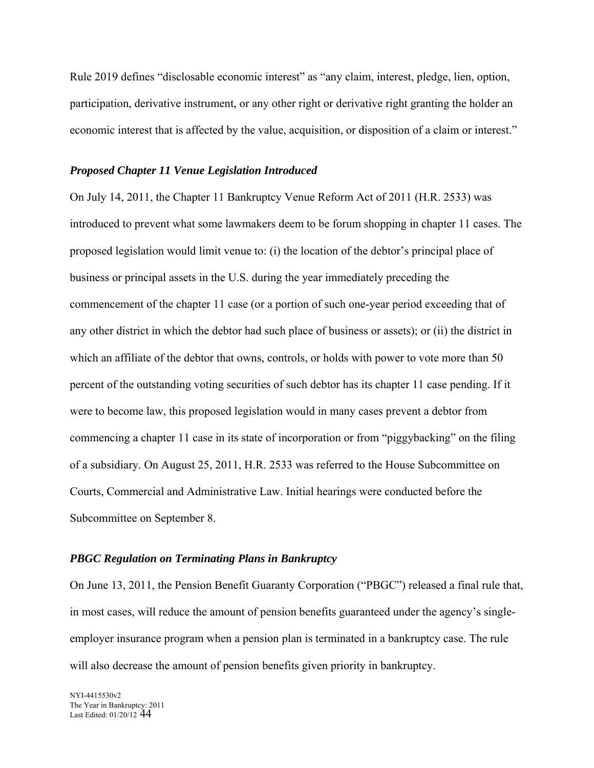Rule 2019 defines "disclosable economic interest" as "any claim, interest, pledge, lien, option, participation, derivative instrument, or any other right or derivative right granting the holder an economic interest that is affected by the value, acquisition, or disposition of a claim or interest."

# *Proposed Chapter 11 Venue Legislation Introduced*

On July 14, 2011, the Chapter 11 Bankruptcy Venue Reform Act of 2011 (H.R. 2533) was introduced to prevent what some lawmakers deem to be forum shopping in chapter 11 cases. The proposed legislation would limit venue to: (i) the location of the debtor's principal place of business or principal assets in the U.S. during the year immediately preceding the commencement of the chapter 11 case (or a portion of such one-year period exceeding that of any other district in which the debtor had such place of business or assets); or (ii) the district in which an affiliate of the debtor that owns, controls, or holds with power to vote more than 50 percent of the outstanding voting securities of such debtor has its chapter 11 case pending. If it were to become law, this proposed legislation would in many cases prevent a debtor from commencing a chapter 11 case in its state of incorporation or from "piggybacking" on the filing of a subsidiary. On August 25, 2011, H.R. 2533 was referred to the House Subcommittee on Courts, Commercial and Administrative Law. Initial hearings were conducted before the Subcommittee on September 8.

#### *PBGC Regulation on Terminating Plans in Bankruptcy*

On June 13, 2011, the Pension Benefit Guaranty Corporation ("PBGC") released a final rule that, in most cases, will reduce the amount of pension benefits guaranteed under the agency's singleemployer insurance program when a pension plan is terminated in a bankruptcy case. The rule will also decrease the amount of pension benefits given priority in bankruptcy.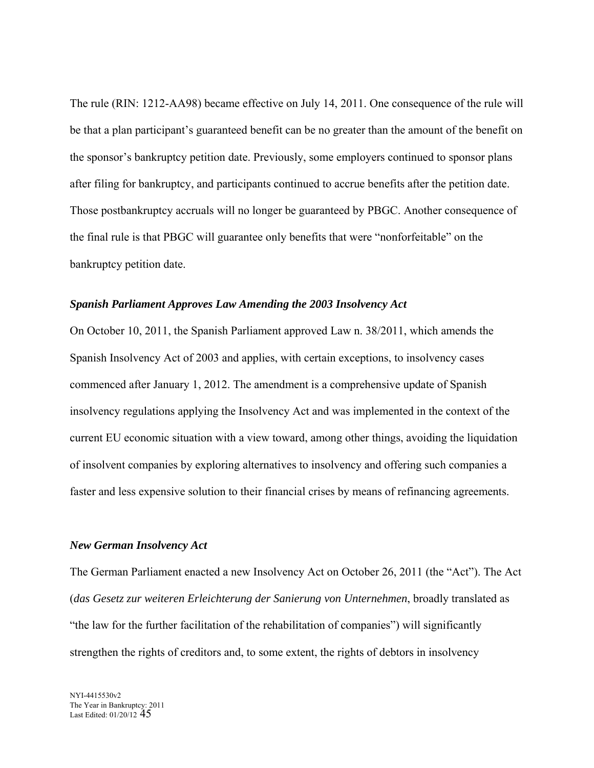The rule (RIN: 1212-AA98) became effective on July 14, 2011. One consequence of the rule will be that a plan participant's guaranteed benefit can be no greater than the amount of the benefit on the sponsor's bankruptcy petition date. Previously, some employers continued to sponsor plans after filing for bankruptcy, and participants continued to accrue benefits after the petition date. Those postbankruptcy accruals will no longer be guaranteed by PBGC. Another consequence of the final rule is that PBGC will guarantee only benefits that were "nonforfeitable" on the bankruptcy petition date.

## *Spanish Parliament Approves Law Amending the 2003 Insolvency Act*

On October 10, 2011, the Spanish Parliament approved Law n. 38/2011, which amends the Spanish Insolvency Act of 2003 and applies, with certain exceptions, to insolvency cases commenced after January 1, 2012. The amendment is a comprehensive update of Spanish insolvency regulations applying the Insolvency Act and was implemented in the context of the current EU economic situation with a view toward, among other things, avoiding the liquidation of insolvent companies by exploring alternatives to insolvency and offering such companies a faster and less expensive solution to their financial crises by means of refinancing agreements.

### *New German Insolvency Act*

The German Parliament enacted a new Insolvency Act on October 26, 2011 (the "Act"). The Act (*das Gesetz zur weiteren Erleichterung der Sanierung von Unternehmen*, broadly translated as "the law for the further facilitation of the rehabilitation of companies") will significantly strengthen the rights of creditors and, to some extent, the rights of debtors in insolvency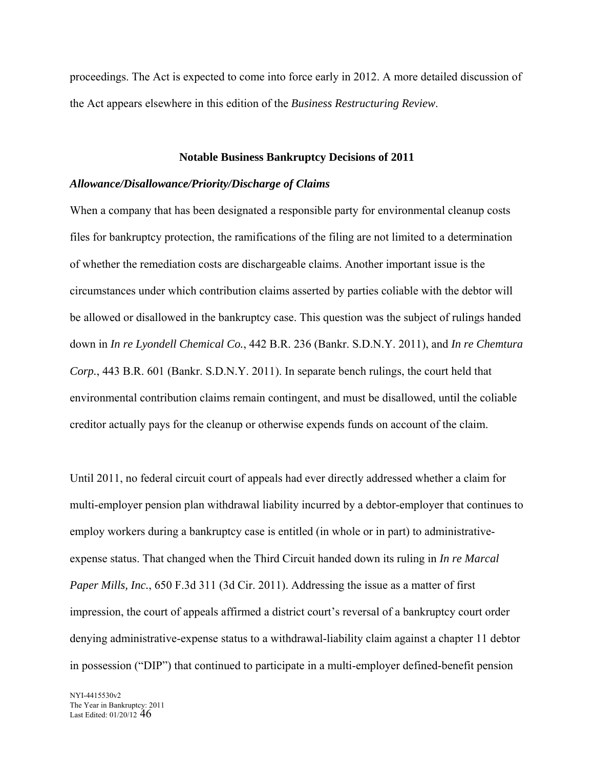proceedings. The Act is expected to come into force early in 2012. A more detailed discussion of the Act appears elsewhere in this edition of the *Business Restructuring Review*.

#### **Notable Business Bankruptcy Decisions of 2011**

#### *Allowance/Disallowance/Priority/Discharge of Claims*

When a company that has been designated a responsible party for environmental cleanup costs files for bankruptcy protection, the ramifications of the filing are not limited to a determination of whether the remediation costs are dischargeable claims. Another important issue is the circumstances under which contribution claims asserted by parties coliable with the debtor will be allowed or disallowed in the bankruptcy case. This question was the subject of rulings handed down in *In re Lyondell Chemical Co.*, 442 B.R. 236 (Bankr. S.D.N.Y. 2011), and *In re Chemtura Corp.*, 443 B.R. 601 (Bankr. S.D.N.Y. 2011). In separate bench rulings, the court held that environmental contribution claims remain contingent, and must be disallowed, until the coliable creditor actually pays for the cleanup or otherwise expends funds on account of the claim.

Until 2011, no federal circuit court of appeals had ever directly addressed whether a claim for multi-employer pension plan withdrawal liability incurred by a debtor-employer that continues to employ workers during a bankruptcy case is entitled (in whole or in part) to administrativeexpense status. That changed when the Third Circuit handed down its ruling in *In re Marcal Paper Mills, Inc.*, 650 F.3d 311 (3d Cir. 2011). Addressing the issue as a matter of first impression, the court of appeals affirmed a district court's reversal of a bankruptcy court order denying administrative-expense status to a withdrawal-liability claim against a chapter 11 debtor in possession ("DIP") that continued to participate in a multi-employer defined-benefit pension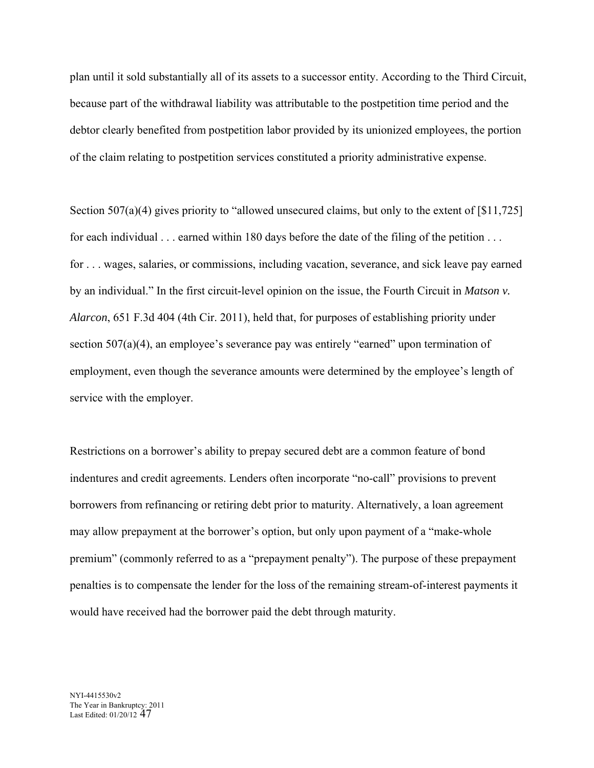plan until it sold substantially all of its assets to a successor entity. According to the Third Circuit, because part of the withdrawal liability was attributable to the postpetition time period and the debtor clearly benefited from postpetition labor provided by its unionized employees, the portion of the claim relating to postpetition services constituted a priority administrative expense.

Section 507(a)(4) gives priority to "allowed unsecured claims, but only to the extent of [\$11,725] for each individual . . . earned within 180 days before the date of the filing of the petition . . . for . . . wages, salaries, or commissions, including vacation, severance, and sick leave pay earned by an individual." In the first circuit-level opinion on the issue, the Fourth Circuit in *Matson v. Alarcon*, 651 F.3d 404 (4th Cir. 2011), held that, for purposes of establishing priority under section 507(a)(4), an employee's severance pay was entirely "earned" upon termination of employment, even though the severance amounts were determined by the employee's length of service with the employer.

Restrictions on a borrower's ability to prepay secured debt are a common feature of bond indentures and credit agreements. Lenders often incorporate "no-call" provisions to prevent borrowers from refinancing or retiring debt prior to maturity. Alternatively, a loan agreement may allow prepayment at the borrower's option, but only upon payment of a "make-whole premium" (commonly referred to as a "prepayment penalty"). The purpose of these prepayment penalties is to compensate the lender for the loss of the remaining stream-of-interest payments it would have received had the borrower paid the debt through maturity.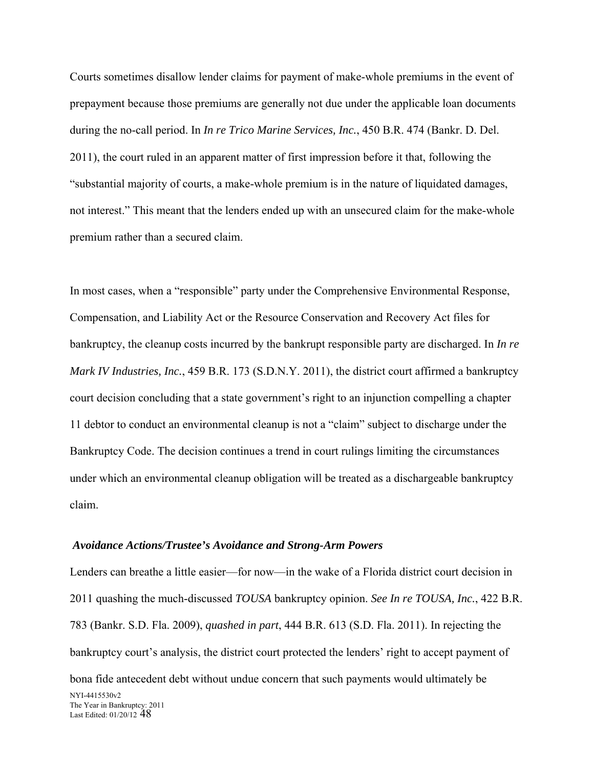Courts sometimes disallow lender claims for payment of make-whole premiums in the event of prepayment because those premiums are generally not due under the applicable loan documents during the no-call period. In *In re Trico Marine Services, Inc.*, 450 B.R. 474 (Bankr. D. Del. 2011), the court ruled in an apparent matter of first impression before it that, following the "substantial majority of courts, a make-whole premium is in the nature of liquidated damages, not interest." This meant that the lenders ended up with an unsecured claim for the make-whole premium rather than a secured claim.

In most cases, when a "responsible" party under the Comprehensive Environmental Response, Compensation, and Liability Act or the Resource Conservation and Recovery Act files for bankruptcy, the cleanup costs incurred by the bankrupt responsible party are discharged. In *In re Mark IV Industries, Inc.*, 459 B.R. 173 (S.D.N.Y. 2011), the district court affirmed a bankruptcy court decision concluding that a state government's right to an injunction compelling a chapter 11 debtor to conduct an environmental cleanup is not a "claim" subject to discharge under the Bankruptcy Code. The decision continues a trend in court rulings limiting the circumstances under which an environmental cleanup obligation will be treated as a dischargeable bankruptcy claim.

#### *Avoidance Actions/Trustee's Avoidance and Strong-Arm Powers*

NYI-4415530v2 The Year in Bankruptcy: 2011 Last Edited: 01/20/12 48 Lenders can breathe a little easier—for now—in the wake of a Florida district court decision in 2011 quashing the much-discussed *TOUSA* bankruptcy opinion. *See In re TOUSA, Inc.*, 422 B.R. 783 (Bankr. S.D. Fla. 2009), *quashed in part*, 444 B.R. 613 (S.D. Fla. 2011). In rejecting the bankruptcy court's analysis, the district court protected the lenders' right to accept payment of bona fide antecedent debt without undue concern that such payments would ultimately be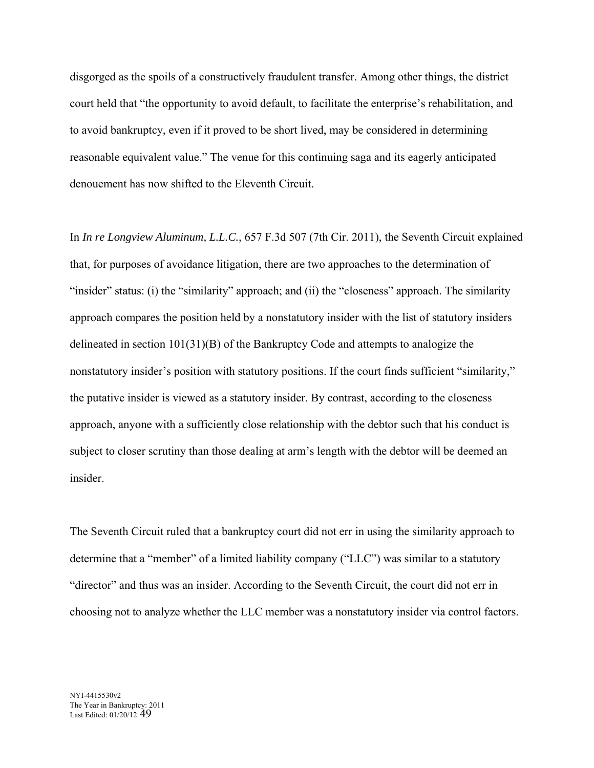disgorged as the spoils of a constructively fraudulent transfer. Among other things, the district court held that "the opportunity to avoid default, to facilitate the enterprise's rehabilitation, and to avoid bankruptcy, even if it proved to be short lived, may be considered in determining reasonable equivalent value." The venue for this continuing saga and its eagerly anticipated denouement has now shifted to the Eleventh Circuit.

In *In re Longview Aluminum, L.L.C.*, 657 F.3d 507 (7th Cir. 2011), the Seventh Circuit explained that, for purposes of avoidance litigation, there are two approaches to the determination of "insider" status: (i) the "similarity" approach; and (ii) the "closeness" approach. The similarity approach compares the position held by a nonstatutory insider with the list of statutory insiders delineated in section 101(31)(B) of the Bankruptcy Code and attempts to analogize the nonstatutory insider's position with statutory positions. If the court finds sufficient "similarity," the putative insider is viewed as a statutory insider. By contrast, according to the closeness approach, anyone with a sufficiently close relationship with the debtor such that his conduct is subject to closer scrutiny than those dealing at arm's length with the debtor will be deemed an insider.

The Seventh Circuit ruled that a bankruptcy court did not err in using the similarity approach to determine that a "member" of a limited liability company ("LLC") was similar to a statutory "director" and thus was an insider. According to the Seventh Circuit, the court did not err in choosing not to analyze whether the LLC member was a nonstatutory insider via control factors.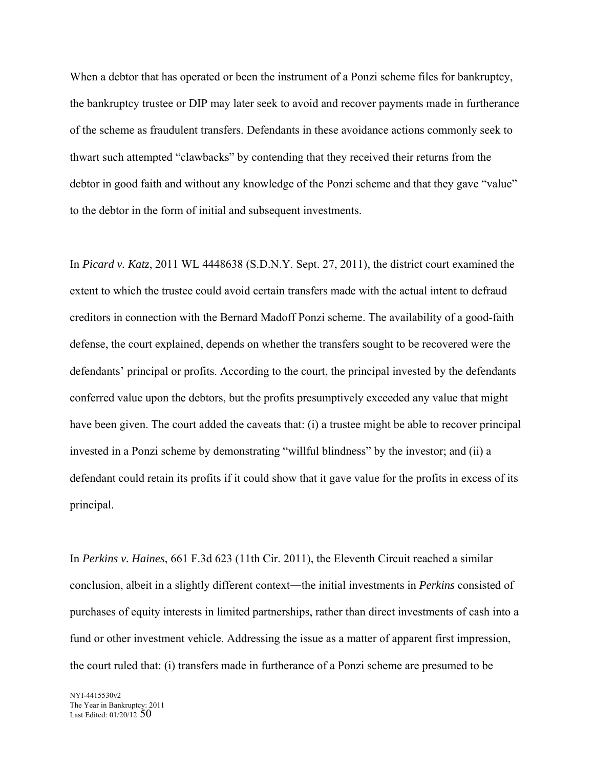When a debtor that has operated or been the instrument of a Ponzi scheme files for bankruptcy, the bankruptcy trustee or DIP may later seek to avoid and recover payments made in furtherance of the scheme as fraudulent transfers. Defendants in these avoidance actions commonly seek to thwart such attempted "clawbacks" by contending that they received their returns from the debtor in good faith and without any knowledge of the Ponzi scheme and that they gave "value" to the debtor in the form of initial and subsequent investments.

In *Picard v. Katz*, 2011 WL 4448638 (S.D.N.Y. Sept. 27, 2011), the district court examined the extent to which the trustee could avoid certain transfers made with the actual intent to defraud creditors in connection with the Bernard Madoff Ponzi scheme. The availability of a good-faith defense, the court explained, depends on whether the transfers sought to be recovered were the defendants' principal or profits. According to the court, the principal invested by the defendants conferred value upon the debtors, but the profits presumptively exceeded any value that might have been given. The court added the caveats that: (i) a trustee might be able to recover principal invested in a Ponzi scheme by demonstrating "willful blindness" by the investor; and (ii) a defendant could retain its profits if it could show that it gave value for the profits in excess of its principal.

In *Perkins v. Haines*, 661 F.3d 623 (11th Cir. 2011), the Eleventh Circuit reached a similar conclusion, albeit in a slightly different context—the initial investments in *Perkins* consisted of purchases of equity interests in limited partnerships, rather than direct investments of cash into a fund or other investment vehicle. Addressing the issue as a matter of apparent first impression, the court ruled that: (i) transfers made in furtherance of a Ponzi scheme are presumed to be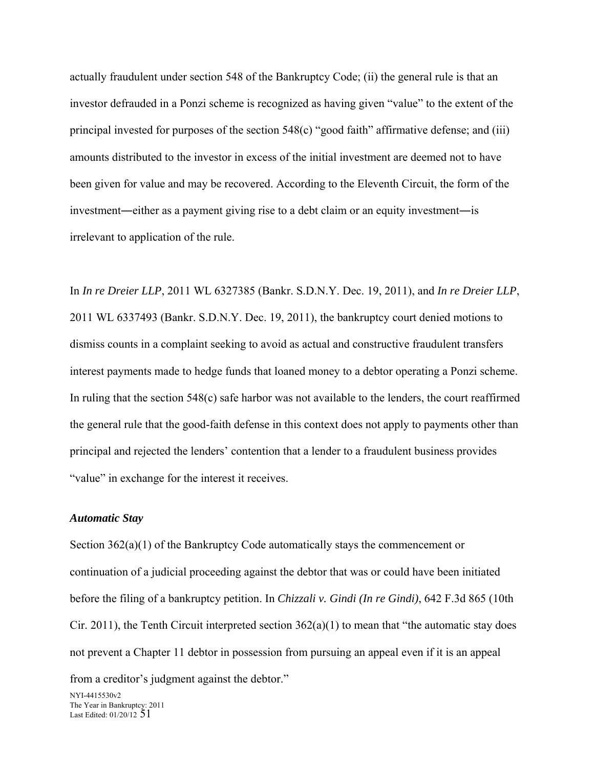actually fraudulent under section 548 of the Bankruptcy Code; (ii) the general rule is that an investor defrauded in a Ponzi scheme is recognized as having given "value" to the extent of the principal invested for purposes of the section 548(c) "good faith" affirmative defense; and (iii) amounts distributed to the investor in excess of the initial investment are deemed not to have been given for value and may be recovered. According to the Eleventh Circuit, the form of the investment―either as a payment giving rise to a debt claim or an equity investment―is irrelevant to application of the rule.

In *In re Dreier LLP*, 2011 WL 6327385 (Bankr. S.D.N.Y. Dec. 19, 2011), and *In re Dreier LLP*, 2011 WL 6337493 (Bankr. S.D.N.Y. Dec. 19, 2011), the bankruptcy court denied motions to dismiss counts in a complaint seeking to avoid as actual and constructive fraudulent transfers interest payments made to hedge funds that loaned money to a debtor operating a Ponzi scheme. In ruling that the section 548(c) safe harbor was not available to the lenders, the court reaffirmed the general rule that the good-faith defense in this context does not apply to payments other than principal and rejected the lenders' contention that a lender to a fraudulent business provides "value" in exchange for the interest it receives.

## *Automatic Stay*

Section  $362(a)(1)$  of the Bankruptcy Code automatically stays the commencement or continuation of a judicial proceeding against the debtor that was or could have been initiated before the filing of a bankruptcy petition. In *Chizzali v. Gindi (In re Gindi)*, 642 F.3d 865 (10th Cir. 2011), the Tenth Circuit interpreted section  $362(a)(1)$  to mean that "the automatic stay does not prevent a Chapter 11 debtor in possession from pursuing an appeal even if it is an appeal

from a creditor's judgment against the debtor."

NYI-4415530v2 The Year in Bankruptcy: 2011 Last Edited:  $01/20/12$   $51$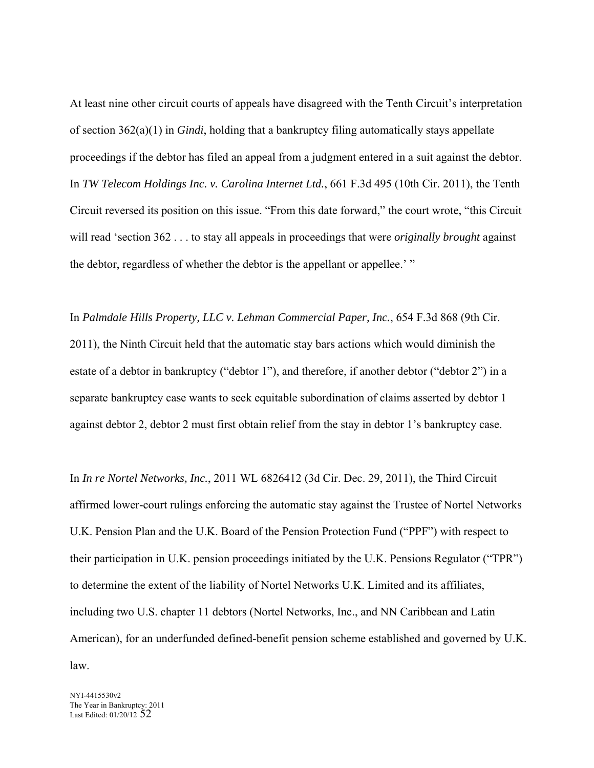At least nine other circuit courts of appeals have disagreed with the Tenth Circuit's interpretation of section 362(a)(1) in *Gindi*, holding that a bankruptcy filing automatically stays appellate proceedings if the debtor has filed an appeal from a judgment entered in a suit against the debtor. In *TW Telecom Holdings Inc. v. Carolina Internet Ltd.*, 661 F.3d 495 (10th Cir. 2011), the Tenth Circuit reversed its position on this issue. "From this date forward," the court wrote, "this Circuit will read 'section 362 . . . to stay all appeals in proceedings that were *originally brought* against the debtor, regardless of whether the debtor is the appellant or appellee.' "

In *Palmdale Hills Property, LLC v. Lehman Commercial Paper, Inc.*, 654 F.3d 868 (9th Cir. 2011), the Ninth Circuit held that the automatic stay bars actions which would diminish the estate of a debtor in bankruptcy ("debtor 1"), and therefore, if another debtor ("debtor 2") in a separate bankruptcy case wants to seek equitable subordination of claims asserted by debtor 1 against debtor 2, debtor 2 must first obtain relief from the stay in debtor 1's bankruptcy case.

In *In re Nortel Networks, Inc.*, 2011 WL 6826412 (3d Cir. Dec. 29, 2011), the Third Circuit affirmed lower-court rulings enforcing the automatic stay against the Trustee of Nortel Networks U.K. Pension Plan and the U.K. Board of the Pension Protection Fund ("PPF") with respect to their participation in U.K. pension proceedings initiated by the U.K. Pensions Regulator ("TPR") to determine the extent of the liability of Nortel Networks U.K. Limited and its affiliates, including two U.S. chapter 11 debtors (Nortel Networks, Inc., and NN Caribbean and Latin American), for an underfunded defined-benefit pension scheme established and governed by U.K. law.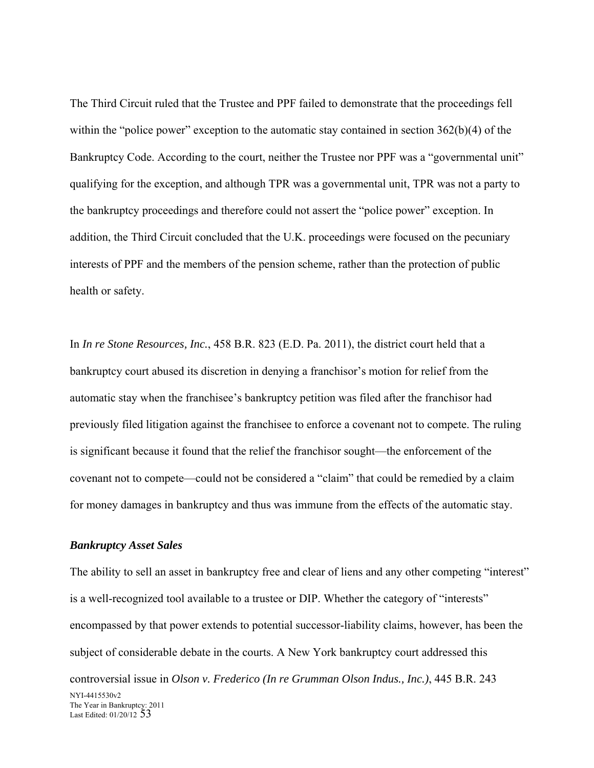The Third Circuit ruled that the Trustee and PPF failed to demonstrate that the proceedings fell within the "police power" exception to the automatic stay contained in section 362(b)(4) of the Bankruptcy Code. According to the court, neither the Trustee nor PPF was a "governmental unit" qualifying for the exception, and although TPR was a governmental unit, TPR was not a party to the bankruptcy proceedings and therefore could not assert the "police power" exception. In addition, the Third Circuit concluded that the U.K. proceedings were focused on the pecuniary interests of PPF and the members of the pension scheme, rather than the protection of public health or safety.

In *In re Stone Resources, Inc.*, 458 B.R. 823 (E.D. Pa. 2011), the district court held that a bankruptcy court abused its discretion in denying a franchisor's motion for relief from the automatic stay when the franchisee's bankruptcy petition was filed after the franchisor had previously filed litigation against the franchisee to enforce a covenant not to compete. The ruling is significant because it found that the relief the franchisor sought—the enforcement of the covenant not to compete—could not be considered a "claim" that could be remedied by a claim for money damages in bankruptcy and thus was immune from the effects of the automatic stay.

### *Bankruptcy Asset Sales*

NYI-4415530v2 The Year in Bankruptcy: 2011 Last Edited: 01/20/12 53 The ability to sell an asset in bankruptcy free and clear of liens and any other competing "interest" is a well-recognized tool available to a trustee or DIP. Whether the category of "interests" encompassed by that power extends to potential successor-liability claims, however, has been the subject of considerable debate in the courts. A New York bankruptcy court addressed this controversial issue in *Olson v. Frederico (In re Grumman Olson Indus., Inc.)*, 445 B.R. 243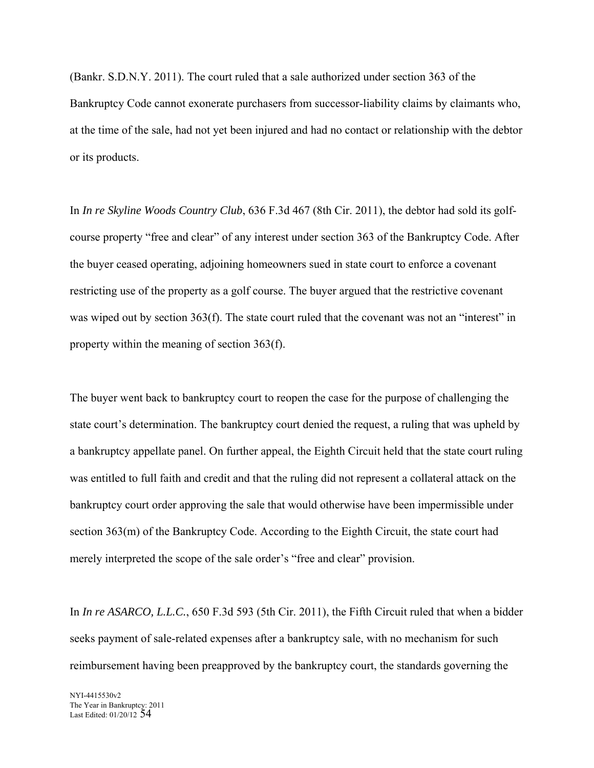(Bankr. S.D.N.Y. 2011). The court ruled that a sale authorized under section 363 of the Bankruptcy Code cannot exonerate purchasers from successor-liability claims by claimants who, at the time of the sale, had not yet been injured and had no contact or relationship with the debtor or its products.

In *In re Skyline Woods Country Club*, 636 F.3d 467 (8th Cir. 2011), the debtor had sold its golfcourse property "free and clear" of any interest under section 363 of the Bankruptcy Code. After the buyer ceased operating, adjoining homeowners sued in state court to enforce a covenant restricting use of the property as a golf course. The buyer argued that the restrictive covenant was wiped out by section 363(f). The state court ruled that the covenant was not an "interest" in property within the meaning of section 363(f).

The buyer went back to bankruptcy court to reopen the case for the purpose of challenging the state court's determination. The bankruptcy court denied the request, a ruling that was upheld by a bankruptcy appellate panel. On further appeal, the Eighth Circuit held that the state court ruling was entitled to full faith and credit and that the ruling did not represent a collateral attack on the bankruptcy court order approving the sale that would otherwise have been impermissible under section 363(m) of the Bankruptcy Code. According to the Eighth Circuit, the state court had merely interpreted the scope of the sale order's "free and clear" provision.

In *In re ASARCO, L.L.C.*, 650 F.3d 593 (5th Cir. 2011), the Fifth Circuit ruled that when a bidder seeks payment of sale-related expenses after a bankruptcy sale, with no mechanism for such reimbursement having been preapproved by the bankruptcy court, the standards governing the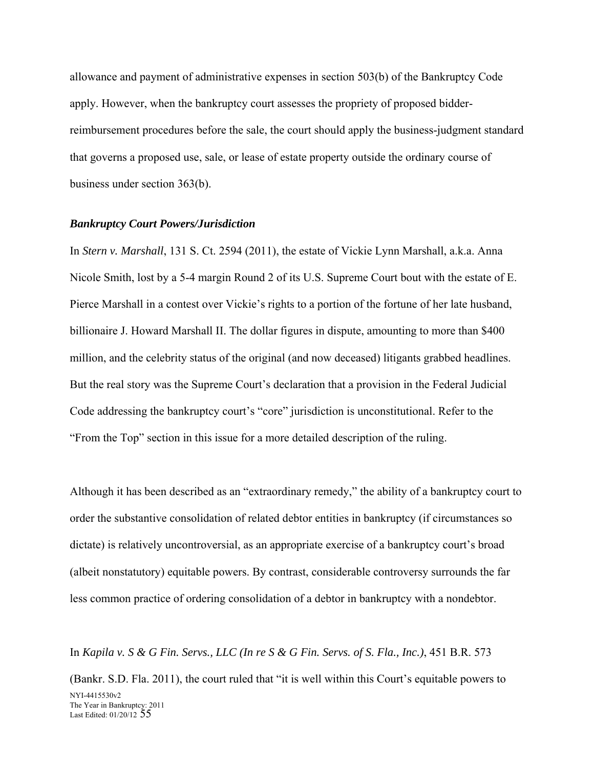allowance and payment of administrative expenses in section 503(b) of the Bankruptcy Code apply. However, when the bankruptcy court assesses the propriety of proposed bidderreimbursement procedures before the sale, the court should apply the business-judgment standard that governs a proposed use, sale, or lease of estate property outside the ordinary course of business under section 363(b).

### *Bankruptcy Court Powers/Jurisdiction*

In *Stern v. Marshall*, 131 S. Ct. 2594 (2011), the estate of Vickie Lynn Marshall, a.k.a. Anna Nicole Smith, lost by a 5-4 margin Round 2 of its U.S. Supreme Court bout with the estate of E. Pierce Marshall in a contest over Vickie's rights to a portion of the fortune of her late husband, billionaire J. Howard Marshall II. The dollar figures in dispute, amounting to more than \$400 million, and the celebrity status of the original (and now deceased) litigants grabbed headlines. But the real story was the Supreme Court's declaration that a provision in the Federal Judicial Code addressing the bankruptcy court's "core" jurisdiction is unconstitutional. Refer to the "From the Top" section in this issue for a more detailed description of the ruling.

Although it has been described as an "extraordinary remedy," the ability of a bankruptcy court to order the substantive consolidation of related debtor entities in bankruptcy (if circumstances so dictate) is relatively uncontroversial, as an appropriate exercise of a bankruptcy court's broad (albeit nonstatutory) equitable powers. By contrast, considerable controversy surrounds the far less common practice of ordering consolidation of a debtor in bankruptcy with a nondebtor.

In *Kapila v. S & G Fin. Servs., LLC (In re S & G Fin. Servs. of S. Fla., Inc.)*, 451 B.R. 573

NYI-4415530v2 The Year in Bankruptcy: 2011 Last Edited: 01/20/12 55 (Bankr. S.D. Fla. 2011), the court ruled that "it is well within this Court's equitable powers to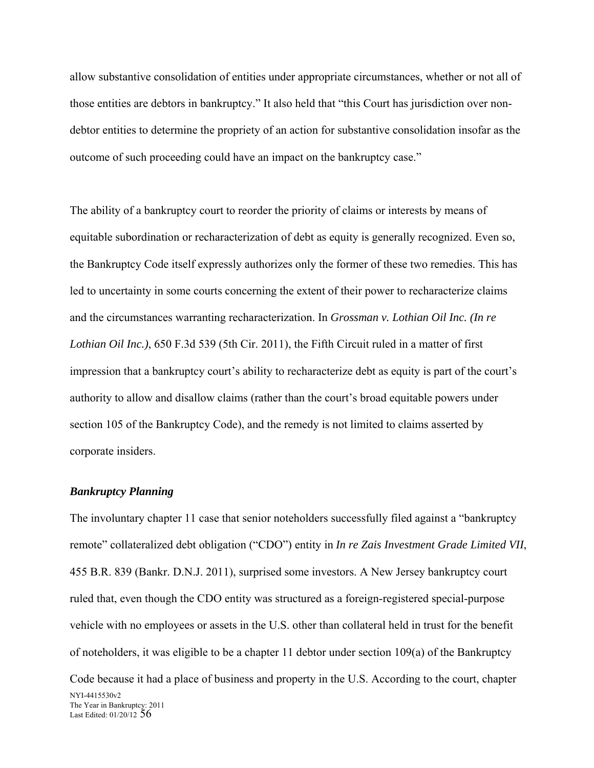allow substantive consolidation of entities under appropriate circumstances, whether or not all of those entities are debtors in bankruptcy." It also held that "this Court has jurisdiction over nondebtor entities to determine the propriety of an action for substantive consolidation insofar as the outcome of such proceeding could have an impact on the bankruptcy case."

The ability of a bankruptcy court to reorder the priority of claims or interests by means of equitable subordination or recharacterization of debt as equity is generally recognized. Even so, the Bankruptcy Code itself expressly authorizes only the former of these two remedies. This has led to uncertainty in some courts concerning the extent of their power to recharacterize claims and the circumstances warranting recharacterization. In *Grossman v. Lothian Oil Inc. (In re Lothian Oil Inc.)*, 650 F.3d 539 (5th Cir. 2011), the Fifth Circuit ruled in a matter of first impression that a bankruptcy court's ability to recharacterize debt as equity is part of the court's authority to allow and disallow claims (rather than the court's broad equitable powers under section 105 of the Bankruptcy Code), and the remedy is not limited to claims asserted by corporate insiders.

#### *Bankruptcy Planning*

NYI-4415530v2 The Year in Bankruptcy: 2011 Last Edited:  $01/20/12$  56 The involuntary chapter 11 case that senior noteholders successfully filed against a "bankruptcy remote" collateralized debt obligation ("CDO") entity in *In re Zais Investment Grade Limited VII*, 455 B.R. 839 (Bankr. D.N.J. 2011), surprised some investors. A New Jersey bankruptcy court ruled that, even though the CDO entity was structured as a foreign-registered special-purpose vehicle with no employees or assets in the U.S. other than collateral held in trust for the benefit of noteholders, it was eligible to be a chapter 11 debtor under section 109(a) of the Bankruptcy Code because it had a place of business and property in the U.S. According to the court, chapter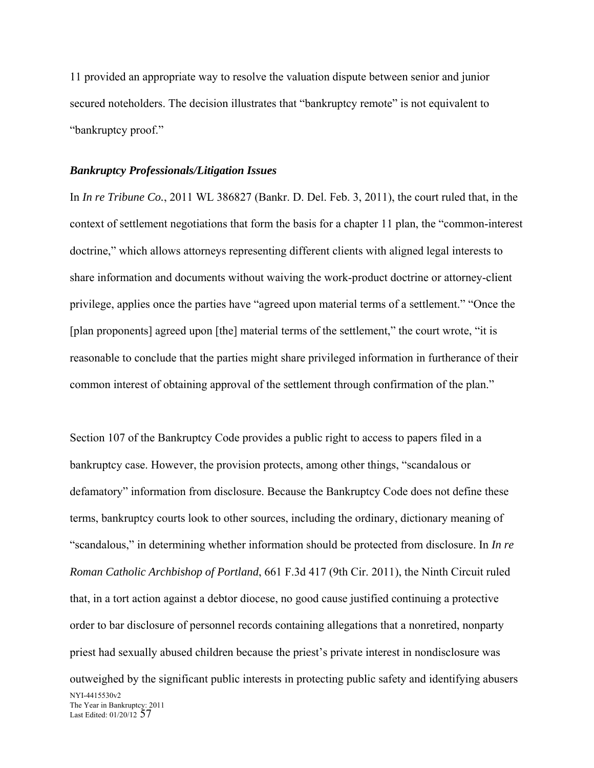11 provided an appropriate way to resolve the valuation dispute between senior and junior secured noteholders. The decision illustrates that "bankruptcy remote" is not equivalent to "bankruptcy proof."

## *Bankruptcy Professionals/Litigation Issues*

In *In re Tribune Co.*, 2011 WL 386827 (Bankr. D. Del. Feb. 3, 2011), the court ruled that, in the context of settlement negotiations that form the basis for a chapter 11 plan, the "common-interest doctrine," which allows attorneys representing different clients with aligned legal interests to share information and documents without waiving the work-product doctrine or attorney-client privilege, applies once the parties have "agreed upon material terms of a settlement." "Once the [plan proponents] agreed upon [the] material terms of the settlement," the court wrote, "it is reasonable to conclude that the parties might share privileged information in furtherance of their common interest of obtaining approval of the settlement through confirmation of the plan."

NYI-4415530v2 The Year in Bankruptcy: 2011 Last Edited: 01/20/12 57 Section 107 of the Bankruptcy Code provides a public right to access to papers filed in a bankruptcy case. However, the provision protects, among other things, "scandalous or defamatory" information from disclosure. Because the Bankruptcy Code does not define these terms, bankruptcy courts look to other sources, including the ordinary, dictionary meaning of "scandalous," in determining whether information should be protected from disclosure. In *In re Roman Catholic Archbishop of Portland*, 661 F.3d 417 (9th Cir. 2011), the Ninth Circuit ruled that, in a tort action against a debtor diocese, no good cause justified continuing a protective order to bar disclosure of personnel records containing allegations that a nonretired, nonparty priest had sexually abused children because the priest's private interest in nondisclosure was outweighed by the significant public interests in protecting public safety and identifying abusers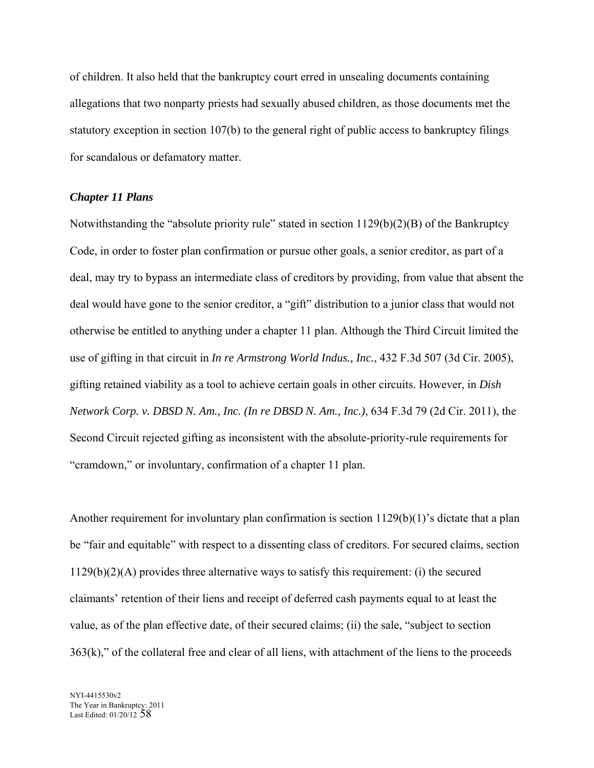of children. It also held that the bankruptcy court erred in unsealing documents containing allegations that two nonparty priests had sexually abused children, as those documents met the statutory exception in section 107(b) to the general right of public access to bankruptcy filings for scandalous or defamatory matter.

## *Chapter 11 Plans*

Notwithstanding the "absolute priority rule" stated in section 1129(b)(2)(B) of the Bankruptcy Code, in order to foster plan confirmation or pursue other goals, a senior creditor, as part of a deal, may try to bypass an intermediate class of creditors by providing, from value that absent the deal would have gone to the senior creditor, a "gift" distribution to a junior class that would not otherwise be entitled to anything under a chapter 11 plan. Although the Third Circuit limited the use of gifting in that circuit in *In re Armstrong World Indus., Inc.*, 432 F.3d 507 (3d Cir. 2005), gifting retained viability as a tool to achieve certain goals in other circuits. However, in *Dish Network Corp. v. DBSD N. Am., Inc. (In re DBSD N. Am., Inc.)*, 634 F.3d 79 (2d Cir. 2011), the Second Circuit rejected gifting as inconsistent with the absolute-priority-rule requirements for "cramdown," or involuntary, confirmation of a chapter 11 plan.

Another requirement for involuntary plan confirmation is section 1129(b)(1)'s dictate that a plan be "fair and equitable" with respect to a dissenting class of creditors. For secured claims, section 1129(b)(2)(A) provides three alternative ways to satisfy this requirement: (i) the secured claimants' retention of their liens and receipt of deferred cash payments equal to at least the value, as of the plan effective date, of their secured claims; (ii) the sale, "subject to section  $363(k)$ ," of the collateral free and clear of all liens, with attachment of the liens to the proceeds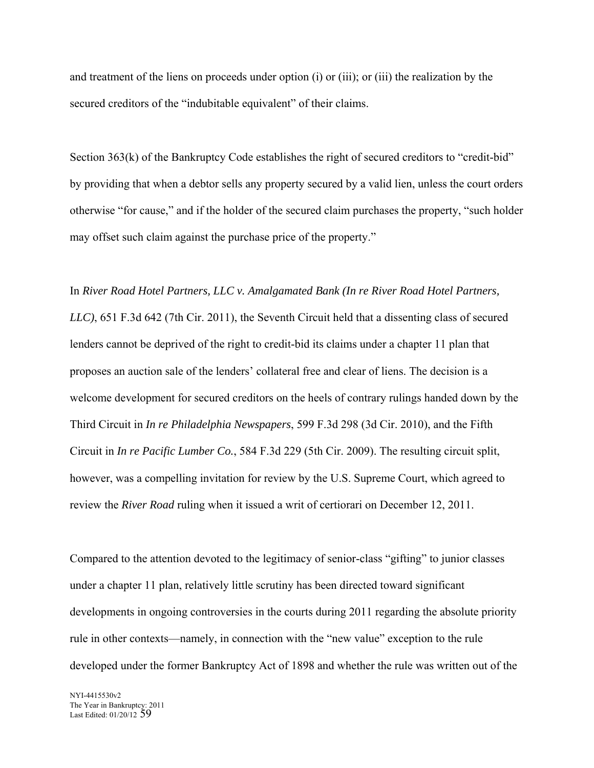and treatment of the liens on proceeds under option (i) or (iii); or (iii) the realization by the secured creditors of the "indubitable equivalent" of their claims.

Section 363(k) of the Bankruptcy Code establishes the right of secured creditors to "credit-bid" by providing that when a debtor sells any property secured by a valid lien, unless the court orders otherwise "for cause," and if the holder of the secured claim purchases the property, "such holder may offset such claim against the purchase price of the property."

In *River Road Hotel Partners, LLC v. Amalgamated Bank (In re River Road Hotel Partners, LLC)*, 651 F.3d 642 (7th Cir. 2011), the Seventh Circuit held that a dissenting class of secured lenders cannot be deprived of the right to credit-bid its claims under a chapter 11 plan that proposes an auction sale of the lenders' collateral free and clear of liens. The decision is a welcome development for secured creditors on the heels of contrary rulings handed down by the Third Circuit in *In re Philadelphia Newspapers*, 599 F.3d 298 (3d Cir. 2010), and the Fifth Circuit in *In re Pacific Lumber Co.*, 584 F.3d 229 (5th Cir. 2009). The resulting circuit split, however, was a compelling invitation for review by the U.S. Supreme Court, which agreed to review the *River Road* ruling when it issued a writ of certiorari on December 12, 2011.

Compared to the attention devoted to the legitimacy of senior-class "gifting" to junior classes under a chapter 11 plan, relatively little scrutiny has been directed toward significant developments in ongoing controversies in the courts during 2011 regarding the absolute priority rule in other contexts—namely, in connection with the "new value" exception to the rule developed under the former Bankruptcy Act of 1898 and whether the rule was written out of the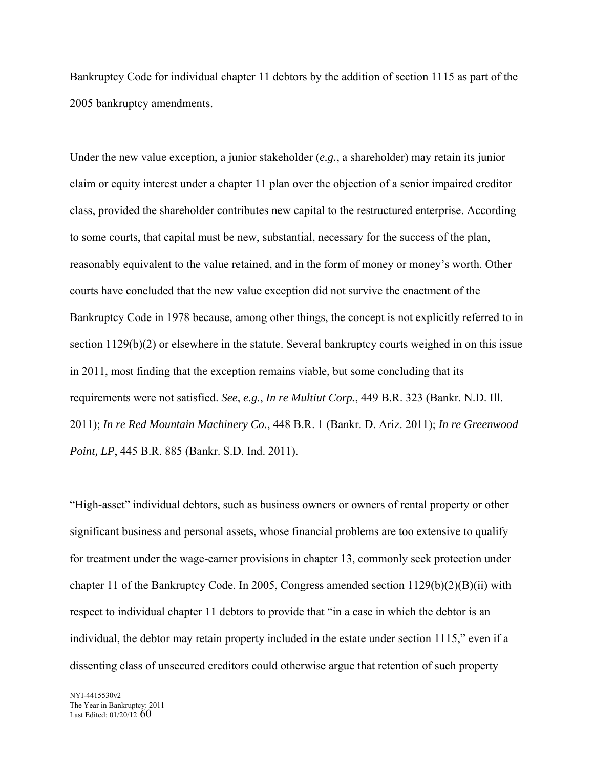Bankruptcy Code for individual chapter 11 debtors by the addition of section 1115 as part of the 2005 bankruptcy amendments.

Under the new value exception, a junior stakeholder (*e.g.*, a shareholder) may retain its junior claim or equity interest under a chapter 11 plan over the objection of a senior impaired creditor class, provided the shareholder contributes new capital to the restructured enterprise. According to some courts, that capital must be new, substantial, necessary for the success of the plan, reasonably equivalent to the value retained, and in the form of money or money's worth. Other courts have concluded that the new value exception did not survive the enactment of the Bankruptcy Code in 1978 because, among other things, the concept is not explicitly referred to in section 1129(b)(2) or elsewhere in the statute. Several bankruptcy courts weighed in on this issue in 2011, most finding that the exception remains viable, but some concluding that its requirements were not satisfied. *See*, *e.g.*, *In re Multiut Corp.*, 449 B.R. 323 (Bankr. N.D. Ill. 2011); *In re Red Mountain Machinery Co.*, 448 B.R. 1 (Bankr. D. Ariz. 2011); *In re Greenwood Point, LP*, 445 B.R. 885 (Bankr. S.D. Ind. 2011).

"High-asset" individual debtors, such as business owners or owners of rental property or other significant business and personal assets, whose financial problems are too extensive to qualify for treatment under the wage-earner provisions in chapter 13, commonly seek protection under chapter 11 of the Bankruptcy Code. In 2005, Congress amended section  $1129(b)(2)(B)(ii)$  with respect to individual chapter 11 debtors to provide that "in a case in which the debtor is an individual, the debtor may retain property included in the estate under section 1115," even if a dissenting class of unsecured creditors could otherwise argue that retention of such property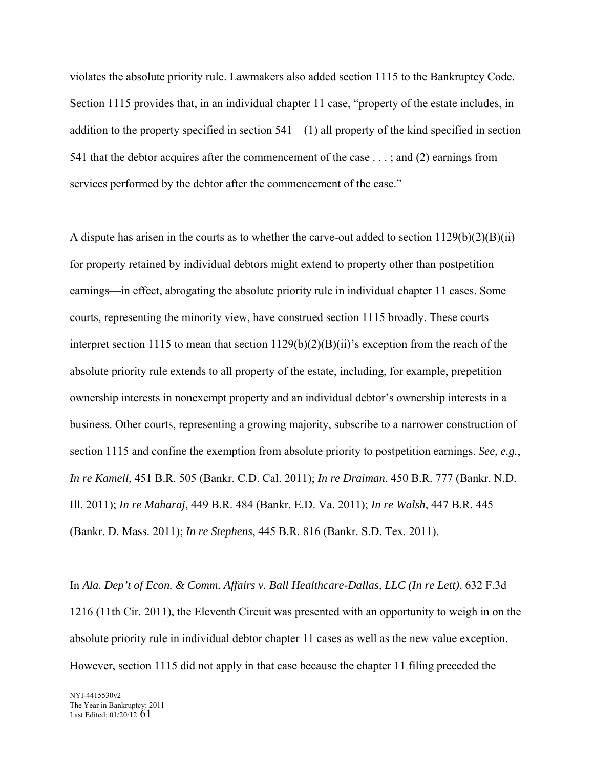violates the absolute priority rule. Lawmakers also added section 1115 to the Bankruptcy Code. Section 1115 provides that, in an individual chapter 11 case, "property of the estate includes, in addition to the property specified in section 541—(1) all property of the kind specified in section 541 that the debtor acquires after the commencement of the case . . . ; and (2) earnings from services performed by the debtor after the commencement of the case."

A dispute has arisen in the courts as to whether the carve-out added to section 1129(b)(2)(B)(ii) for property retained by individual debtors might extend to property other than postpetition earnings—in effect, abrogating the absolute priority rule in individual chapter 11 cases. Some courts, representing the minority view, have construed section 1115 broadly. These courts interpret section 1115 to mean that section 1129(b)(2)(B)(ii)'s exception from the reach of the absolute priority rule extends to all property of the estate, including, for example, prepetition ownership interests in nonexempt property and an individual debtor's ownership interests in a business. Other courts, representing a growing majority, subscribe to a narrower construction of section 1115 and confine the exemption from absolute priority to postpetition earnings. *See*, *e.g.*, *In re Kamell*, 451 B.R. 505 (Bankr. C.D. Cal. 2011); *In re Draiman*, 450 B.R. 777 (Bankr. N.D. Ill. 2011); *In re Maharaj*, 449 B.R. 484 (Bankr. E.D. Va. 2011); *In re Walsh*, 447 B.R. 445 (Bankr. D. Mass. 2011); *In re Stephens*, 445 B.R. 816 (Bankr. S.D. Tex. 2011).

In *Ala. Dep't of Econ. & Comm. Affairs v. Ball Healthcare-Dallas, LLC (In re Lett)*, 632 F.3d 1216 (11th Cir. 2011), the Eleventh Circuit was presented with an opportunity to weigh in on the absolute priority rule in individual debtor chapter 11 cases as well as the new value exception. However, section 1115 did not apply in that case because the chapter 11 filing preceded the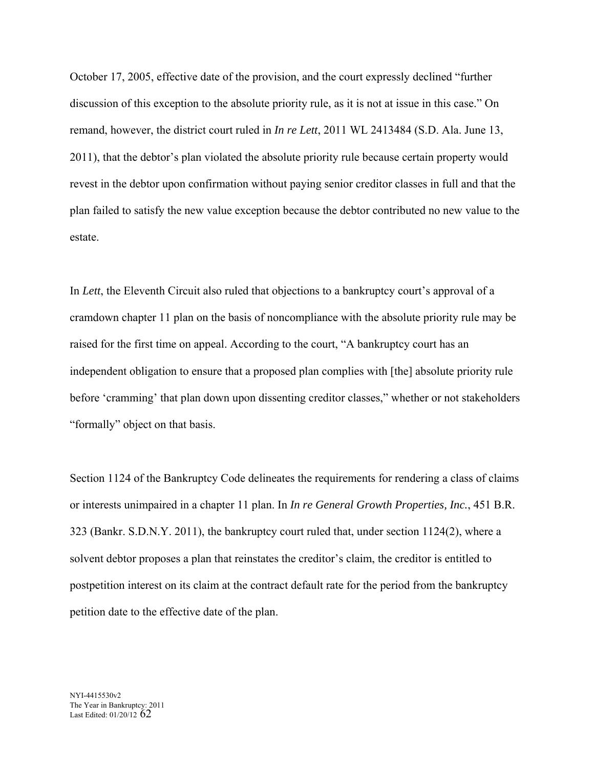October 17, 2005, effective date of the provision, and the court expressly declined "further discussion of this exception to the absolute priority rule, as it is not at issue in this case." On remand, however, the district court ruled in *In re Lett*, 2011 WL 2413484 (S.D. Ala. June 13, 2011), that the debtor's plan violated the absolute priority rule because certain property would revest in the debtor upon confirmation without paying senior creditor classes in full and that the plan failed to satisfy the new value exception because the debtor contributed no new value to the estate.

In *Lett*, the Eleventh Circuit also ruled that objections to a bankruptcy court's approval of a cramdown chapter 11 plan on the basis of noncompliance with the absolute priority rule may be raised for the first time on appeal. According to the court, "A bankruptcy court has an independent obligation to ensure that a proposed plan complies with [the] absolute priority rule before 'cramming' that plan down upon dissenting creditor classes," whether or not stakeholders "formally" object on that basis.

Section 1124 of the Bankruptcy Code delineates the requirements for rendering a class of claims or interests unimpaired in a chapter 11 plan. In *In re General Growth Properties, Inc.*, 451 B.R. 323 (Bankr. S.D.N.Y. 2011), the bankruptcy court ruled that, under section 1124(2), where a solvent debtor proposes a plan that reinstates the creditor's claim, the creditor is entitled to postpetition interest on its claim at the contract default rate for the period from the bankruptcy petition date to the effective date of the plan.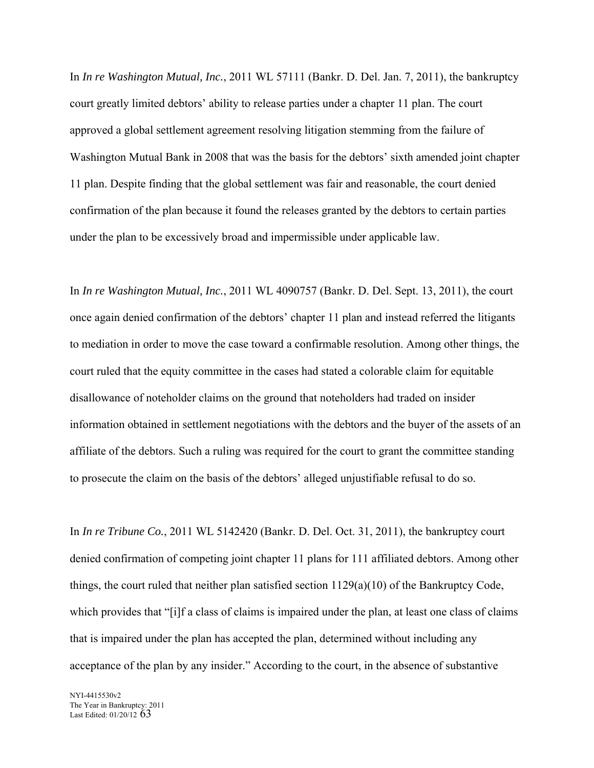In *In re Washington Mutual, Inc.*, 2011 WL 57111 (Bankr. D. Del. Jan. 7, 2011), the bankruptcy court greatly limited debtors' ability to release parties under a chapter 11 plan. The court approved a global settlement agreement resolving litigation stemming from the failure of Washington Mutual Bank in 2008 that was the basis for the debtors' sixth amended joint chapter 11 plan. Despite finding that the global settlement was fair and reasonable, the court denied confirmation of the plan because it found the releases granted by the debtors to certain parties under the plan to be excessively broad and impermissible under applicable law.

In *In re Washington Mutual, Inc.*, 2011 WL 4090757 (Bankr. D. Del. Sept. 13, 2011), the court once again denied confirmation of the debtors' chapter 11 plan and instead referred the litigants to mediation in order to move the case toward a confirmable resolution. Among other things, the court ruled that the equity committee in the cases had stated a colorable claim for equitable disallowance of noteholder claims on the ground that noteholders had traded on insider information obtained in settlement negotiations with the debtors and the buyer of the assets of an affiliate of the debtors. Such a ruling was required for the court to grant the committee standing to prosecute the claim on the basis of the debtors' alleged unjustifiable refusal to do so.

In *In re Tribune Co.*, 2011 WL 5142420 (Bankr. D. Del. Oct. 31, 2011), the bankruptcy court denied confirmation of competing joint chapter 11 plans for 111 affiliated debtors. Among other things, the court ruled that neither plan satisfied section 1129(a)(10) of the Bankruptcy Code, which provides that "[i]f a class of claims is impaired under the plan, at least one class of claims that is impaired under the plan has accepted the plan, determined without including any acceptance of the plan by any insider." According to the court, in the absence of substantive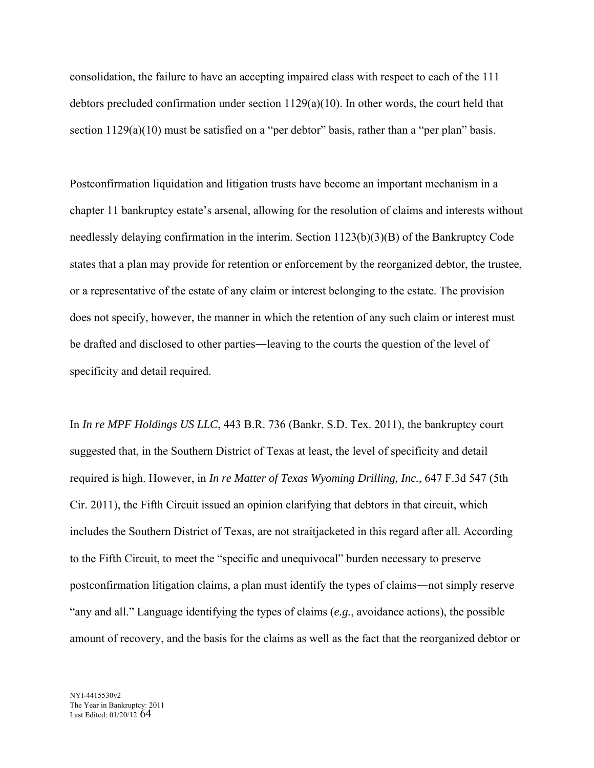consolidation, the failure to have an accepting impaired class with respect to each of the 111 debtors precluded confirmation under section 1129(a)(10). In other words, the court held that section 1129(a)(10) must be satisfied on a "per debtor" basis, rather than a "per plan" basis.

Postconfirmation liquidation and litigation trusts have become an important mechanism in a chapter 11 bankruptcy estate's arsenal, allowing for the resolution of claims and interests without needlessly delaying confirmation in the interim. Section 1123(b)(3)(B) of the Bankruptcy Code states that a plan may provide for retention or enforcement by the reorganized debtor, the trustee, or a representative of the estate of any claim or interest belonging to the estate. The provision does not specify, however, the manner in which the retention of any such claim or interest must be drafted and disclosed to other parties―leaving to the courts the question of the level of specificity and detail required.

In *In re MPF Holdings US LLC*, 443 B.R. 736 (Bankr. S.D. Tex. 2011), the bankruptcy court suggested that, in the Southern District of Texas at least, the level of specificity and detail required is high. However, in *In re Matter of Texas Wyoming Drilling, Inc.*, 647 F.3d 547 (5th Cir. 2011), the Fifth Circuit issued an opinion clarifying that debtors in that circuit, which includes the Southern District of Texas, are not straitjacketed in this regard after all. According to the Fifth Circuit, to meet the "specific and unequivocal" burden necessary to preserve postconfirmation litigation claims, a plan must identify the types of claims―not simply reserve "any and all." Language identifying the types of claims (*e.g.*, avoidance actions), the possible amount of recovery, and the basis for the claims as well as the fact that the reorganized debtor or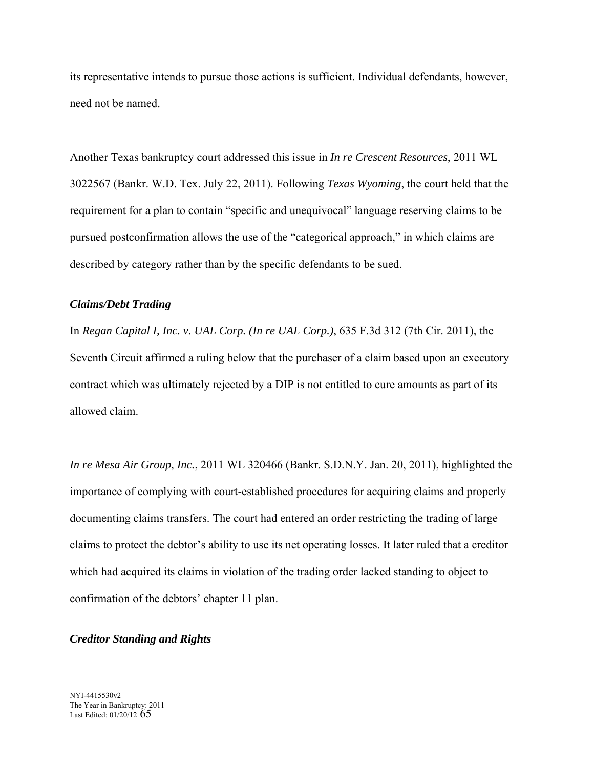its representative intends to pursue those actions is sufficient. Individual defendants, however, need not be named.

Another Texas bankruptcy court addressed this issue in *In re Crescent Resources*, 2011 WL 3022567 (Bankr. W.D. Tex. July 22, 2011). Following *Texas Wyoming*, the court held that the requirement for a plan to contain "specific and unequivocal" language reserving claims to be pursued postconfirmation allows the use of the "categorical approach," in which claims are described by category rather than by the specific defendants to be sued.

## *Claims/Debt Trading*

In *Regan Capital I, Inc. v. UAL Corp. (In re UAL Corp.)*, 635 F.3d 312 (7th Cir. 2011), the Seventh Circuit affirmed a ruling below that the purchaser of a claim based upon an executory contract which was ultimately rejected by a DIP is not entitled to cure amounts as part of its allowed claim.

*In re Mesa Air Group, Inc.*, 2011 WL 320466 (Bankr. S.D.N.Y. Jan. 20, 2011), highlighted the importance of complying with court-established procedures for acquiring claims and properly documenting claims transfers. The court had entered an order restricting the trading of large claims to protect the debtor's ability to use its net operating losses. It later ruled that a creditor which had acquired its claims in violation of the trading order lacked standing to object to confirmation of the debtors' chapter 11 plan.

# *Creditor Standing and Rights*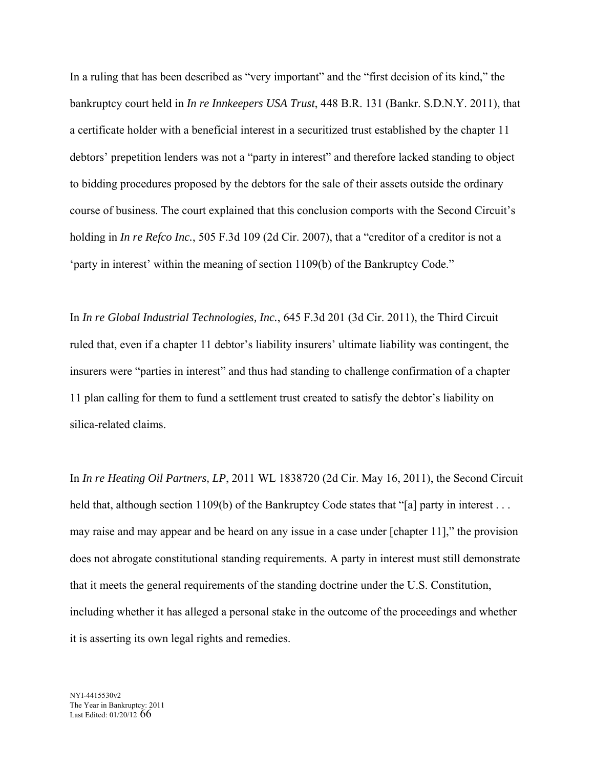In a ruling that has been described as "very important" and the "first decision of its kind," the bankruptcy court held in *In re Innkeepers USA Trust*, 448 B.R. 131 (Bankr. S.D.N.Y. 2011), that a certificate holder with a beneficial interest in a securitized trust established by the chapter 11 debtors' prepetition lenders was not a "party in interest" and therefore lacked standing to object to bidding procedures proposed by the debtors for the sale of their assets outside the ordinary course of business. The court explained that this conclusion comports with the Second Circuit's holding in *In re Refco Inc.*, 505 F.3d 109 (2d Cir. 2007), that a "creditor of a creditor is not a 'party in interest' within the meaning of section 1109(b) of the Bankruptcy Code."

In *In re Global Industrial Technologies, Inc.*, 645 F.3d 201 (3d Cir. 2011), the Third Circuit ruled that, even if a chapter 11 debtor's liability insurers' ultimate liability was contingent, the insurers were "parties in interest" and thus had standing to challenge confirmation of a chapter 11 plan calling for them to fund a settlement trust created to satisfy the debtor's liability on silica-related claims.

In *In re Heating Oil Partners, LP*, 2011 WL 1838720 (2d Cir. May 16, 2011), the Second Circuit held that, although section 1109(b) of the Bankruptcy Code states that "[a] party in interest . . . may raise and may appear and be heard on any issue in a case under [chapter 11]," the provision does not abrogate constitutional standing requirements. A party in interest must still demonstrate that it meets the general requirements of the standing doctrine under the U.S. Constitution, including whether it has alleged a personal stake in the outcome of the proceedings and whether it is asserting its own legal rights and remedies.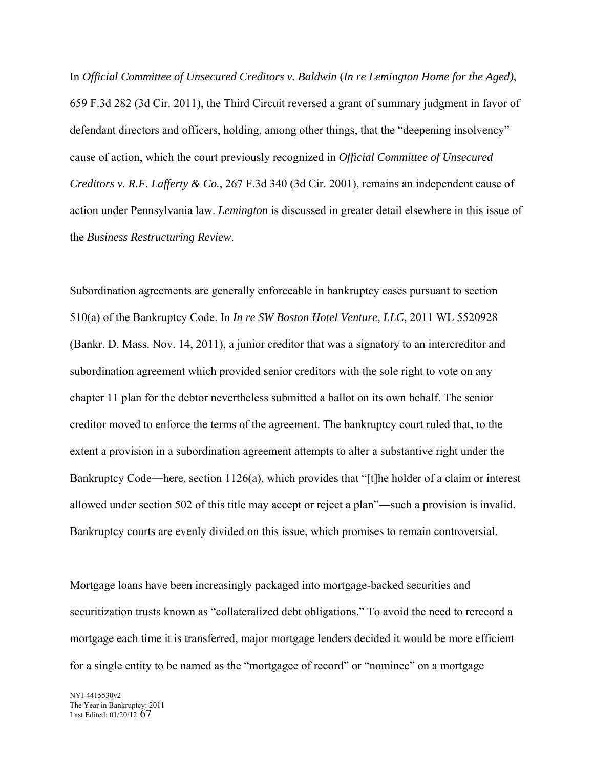In *Official Committee of Unsecured Creditors v. Baldwin* (*In re Lemington Home for the Aged)*, 659 F.3d 282 (3d Cir. 2011), the Third Circuit reversed a grant of summary judgment in favor of defendant directors and officers, holding, among other things, that the "deepening insolvency" cause of action, which the court previously recognized in *Official Committee of Unsecured Creditors v. R.F. Lafferty & Co.*, 267 F.3d 340 (3d Cir. 2001), remains an independent cause of action under Pennsylvania law. *Lemington* is discussed in greater detail elsewhere in this issue of the *Business Restructuring Review*.

Subordination agreements are generally enforceable in bankruptcy cases pursuant to section 510(a) of the Bankruptcy Code. In *In re SW Boston Hotel Venture, LLC*, 2011 WL 5520928 (Bankr. D. Mass. Nov. 14, 2011), a junior creditor that was a signatory to an intercreditor and subordination agreement which provided senior creditors with the sole right to vote on any chapter 11 plan for the debtor nevertheless submitted a ballot on its own behalf. The senior creditor moved to enforce the terms of the agreement. The bankruptcy court ruled that, to the extent a provision in a subordination agreement attempts to alter a substantive right under the Bankruptcy Code―here, section 1126(a), which provides that "[t]he holder of a claim or interest allowed under section 502 of this title may accept or reject a plan"―such a provision is invalid. Bankruptcy courts are evenly divided on this issue, which promises to remain controversial.

Mortgage loans have been increasingly packaged into mortgage-backed securities and securitization trusts known as "collateralized debt obligations." To avoid the need to rerecord a mortgage each time it is transferred, major mortgage lenders decided it would be more efficient for a single entity to be named as the "mortgagee of record" or "nominee" on a mortgage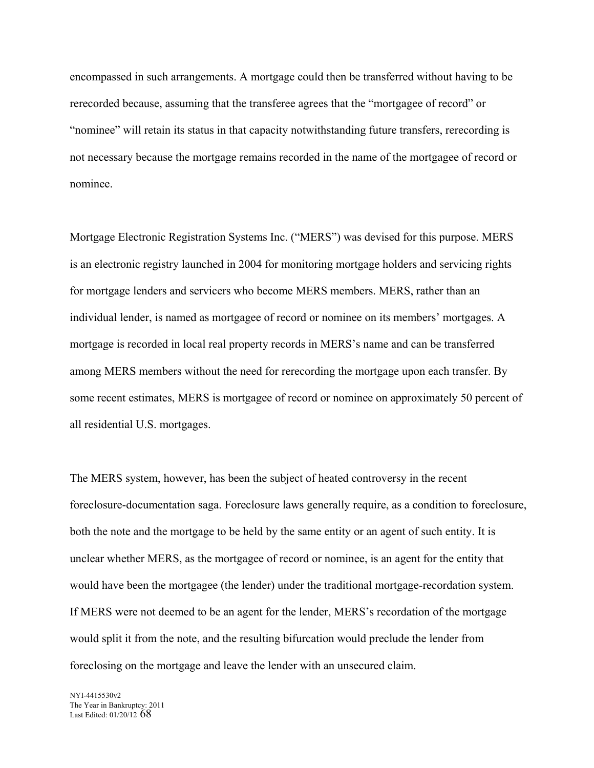encompassed in such arrangements. A mortgage could then be transferred without having to be rerecorded because, assuming that the transferee agrees that the "mortgagee of record" or "nominee" will retain its status in that capacity notwithstanding future transfers, rerecording is not necessary because the mortgage remains recorded in the name of the mortgagee of record or nominee.

Mortgage Electronic Registration Systems Inc. ("MERS") was devised for this purpose. MERS is an electronic registry launched in 2004 for monitoring mortgage holders and servicing rights for mortgage lenders and servicers who become MERS members. MERS, rather than an individual lender, is named as mortgagee of record or nominee on its members' mortgages. A mortgage is recorded in local real property records in MERS's name and can be transferred among MERS members without the need for rerecording the mortgage upon each transfer. By some recent estimates, MERS is mortgagee of record or nominee on approximately 50 percent of all residential U.S. mortgages.

The MERS system, however, has been the subject of heated controversy in the recent foreclosure-documentation saga. Foreclosure laws generally require, as a condition to foreclosure, both the note and the mortgage to be held by the same entity or an agent of such entity. It is unclear whether MERS, as the mortgagee of record or nominee, is an agent for the entity that would have been the mortgagee (the lender) under the traditional mortgage-recordation system. If MERS were not deemed to be an agent for the lender, MERS's recordation of the mortgage would split it from the note, and the resulting bifurcation would preclude the lender from foreclosing on the mortgage and leave the lender with an unsecured claim.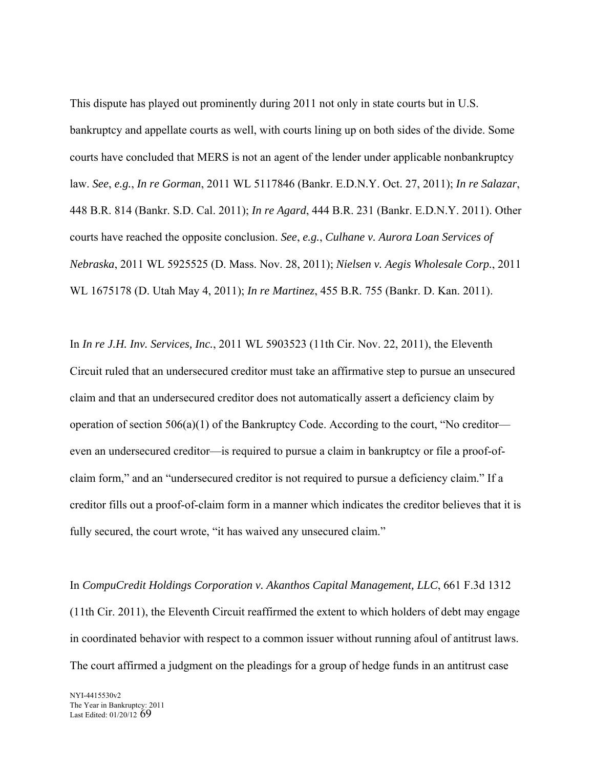This dispute has played out prominently during 2011 not only in state courts but in U.S. bankruptcy and appellate courts as well, with courts lining up on both sides of the divide. Some courts have concluded that MERS is not an agent of the lender under applicable nonbankruptcy law. *See*, *e.g.*, *In re Gorman*, 2011 WL 5117846 (Bankr. E.D.N.Y. Oct. 27, 2011); *In re Salazar*, 448 B.R. 814 (Bankr. S.D. Cal. 2011); *In re Agard*, 444 B.R. 231 (Bankr. E.D.N.Y. 2011). Other courts have reached the opposite conclusion. *See*, *e.g.*, *Culhane v. Aurora Loan Services of Nebraska*, 2011 WL 5925525 (D. Mass. Nov. 28, 2011); *Nielsen v. Aegis Wholesale Corp.*, 2011 WL 1675178 (D. Utah May 4, 2011); *In re Martinez*, 455 B.R. 755 (Bankr. D. Kan. 2011).

In *In re J.H. Inv. Services, Inc.*, 2011 WL 5903523 (11th Cir. Nov. 22, 2011), the Eleventh Circuit ruled that an undersecured creditor must take an affirmative step to pursue an unsecured claim and that an undersecured creditor does not automatically assert a deficiency claim by operation of section 506(a)(1) of the Bankruptcy Code. According to the court, "No creditor even an undersecured creditor—is required to pursue a claim in bankruptcy or file a proof-ofclaim form," and an "undersecured creditor is not required to pursue a deficiency claim." If a creditor fills out a proof-of-claim form in a manner which indicates the creditor believes that it is fully secured, the court wrote, "it has waived any unsecured claim."

In *CompuCredit Holdings Corporation v. Akanthos Capital Management, LLC*, 661 F.3d 1312 (11th Cir. 2011), the Eleventh Circuit reaffirmed the extent to which holders of debt may engage in coordinated behavior with respect to a common issuer without running afoul of antitrust laws. The court affirmed a judgment on the pleadings for a group of hedge funds in an antitrust case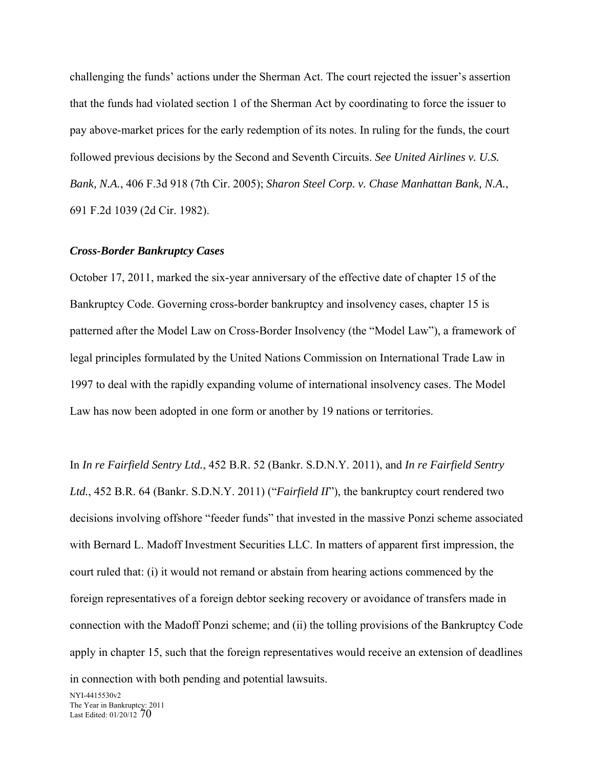challenging the funds' actions under the Sherman Act. The court rejected the issuer's assertion that the funds had violated section 1 of the Sherman Act by coordinating to force the issuer to pay above-market prices for the early redemption of its notes. In ruling for the funds, the court followed previous decisions by the Second and Seventh Circuits. *See United Airlines v. U.S. Bank, N.A.*, 406 F.3d 918 (7th Cir. 2005); *Sharon Steel Corp. v. Chase Manhattan Bank, N.A.*, 691 F.2d 1039 (2d Cir. 1982).

### *Cross-Border Bankruptcy Cases*

October 17, 2011, marked the six-year anniversary of the effective date of chapter 15 of the Bankruptcy Code. Governing cross-border bankruptcy and insolvency cases, chapter 15 is patterned after the Model Law on Cross-Border Insolvency (the "Model Law"), a framework of legal principles formulated by the United Nations Commission on International Trade Law in 1997 to deal with the rapidly expanding volume of international insolvency cases. The Model Law has now been adopted in one form or another by 19 nations or territories.

In *In re Fairfield Sentry Ltd.*, 452 B.R. 52 (Bankr. S.D.N.Y. 2011), and *In re Fairfield Sentry Ltd.*, 452 B.R. 64 (Bankr. S.D.N.Y. 2011) ("*Fairfield II*"), the bankruptcy court rendered two decisions involving offshore "feeder funds" that invested in the massive Ponzi scheme associated with Bernard L. Madoff Investment Securities LLC. In matters of apparent first impression, the court ruled that: (i) it would not remand or abstain from hearing actions commenced by the foreign representatives of a foreign debtor seeking recovery or avoidance of transfers made in connection with the Madoff Ponzi scheme; and (ii) the tolling provisions of the Bankruptcy Code apply in chapter 15, such that the foreign representatives would receive an extension of deadlines in connection with both pending and potential lawsuits.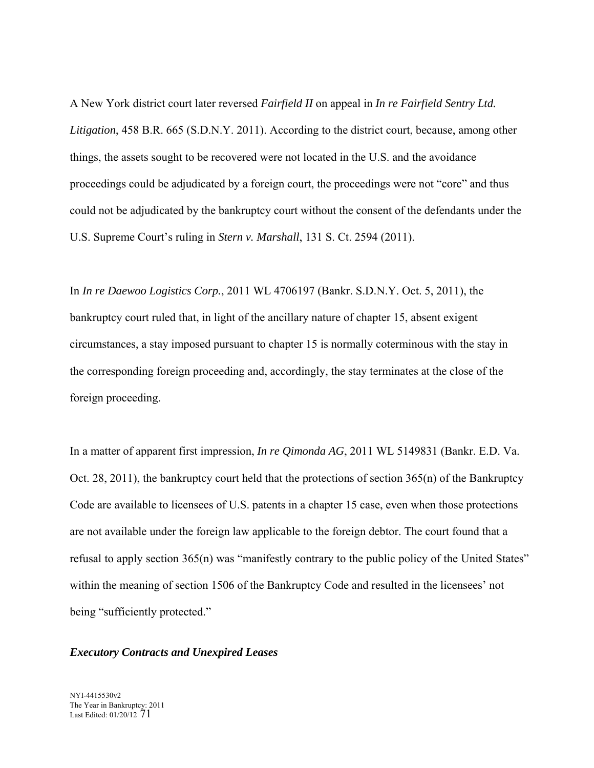A New York district court later reversed *Fairfield II* on appeal in *In re Fairfield Sentry Ltd. Litigation*, 458 B.R. 665 (S.D.N.Y. 2011). According to the district court, because, among other things, the assets sought to be recovered were not located in the U.S. and the avoidance proceedings could be adjudicated by a foreign court, the proceedings were not "core" and thus could not be adjudicated by the bankruptcy court without the consent of the defendants under the U.S. Supreme Court's ruling in *Stern v. Marshall*, 131 S. Ct. 2594 (2011).

In *In re Daewoo Logistics Corp.*, 2011 WL 4706197 (Bankr. S.D.N.Y. Oct. 5, 2011), the bankruptcy court ruled that, in light of the ancillary nature of chapter 15, absent exigent circumstances, a stay imposed pursuant to chapter 15 is normally coterminous with the stay in the corresponding foreign proceeding and, accordingly, the stay terminates at the close of the foreign proceeding.

refusal to apply section 365(n) was "manifestly contrary to the public policy of the United States" In a matter of apparent first impression, *In re Qimonda AG*, 2011 WL 5149831 (Bankr. E.D. Va. Oct. 28, 2011), the bankruptcy court held that the protections of section 365(n) of the Bankruptcy Code are available to licensees of U.S. patents in a chapter 15 case, even when those protections are not available under the foreign law applicable to the foreign debtor. The court found that a within the meaning of section 1506 of the Bankruptcy Code and resulted in the licensees' not being "sufficiently protected."

## *Executory Contracts and Unexpired Leases*

NYI-4415530v2 The Year in Bankruptcy: 2011 Last Edited: 01/20/12 71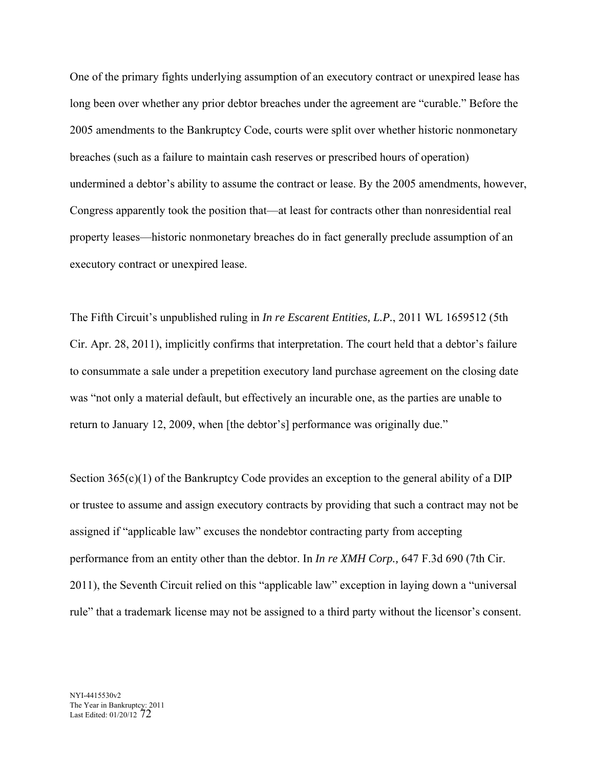One of the primary fights underlying assumption of an executory contract or unexpired lease has long been over whether any prior debtor breaches under the agreement are "curable." Before the 2005 amendments to the Bankruptcy Code, courts were split over whether historic nonmonetary breaches (such as a failure to maintain cash reserves or prescribed hours of operation) undermined a debtor's ability to assume the contract or lease. By the 2005 amendments, however, Congress apparently took the position that—at least for contracts other than nonresidential real property leases—historic nonmonetary breaches do in fact generally preclude assumption of an executory contract or unexpired lease.

The Fifth Circuit's unpublished ruling in *In re Escarent Entities, L.P.*, 2011 WL 1659512 (5th Cir. Apr. 28, 2011), implicitly confirms that interpretation. The court held that a debtor's failure to consummate a sale under a prepetition executory land purchase agreement on the closing date was "not only a material default, but effectively an incurable one, as the parties are unable to return to January 12, 2009, when [the debtor's] performance was originally due."

Section  $365(c)(1)$  of the Bankruptcy Code provides an exception to the general ability of a DIP or trustee to assume and assign executory contracts by providing that such a contract may not be assigned if "applicable law" excuses the nondebtor contracting party from accepting performance from an entity other than the debtor. In *In re XMH Corp.,* 647 F.3d 690 (7th Cir. 2011), the Seventh Circuit relied on this "applicable law" exception in laying down a "universal rule" that a trademark license may not be assigned to a third party without the licensor's consent.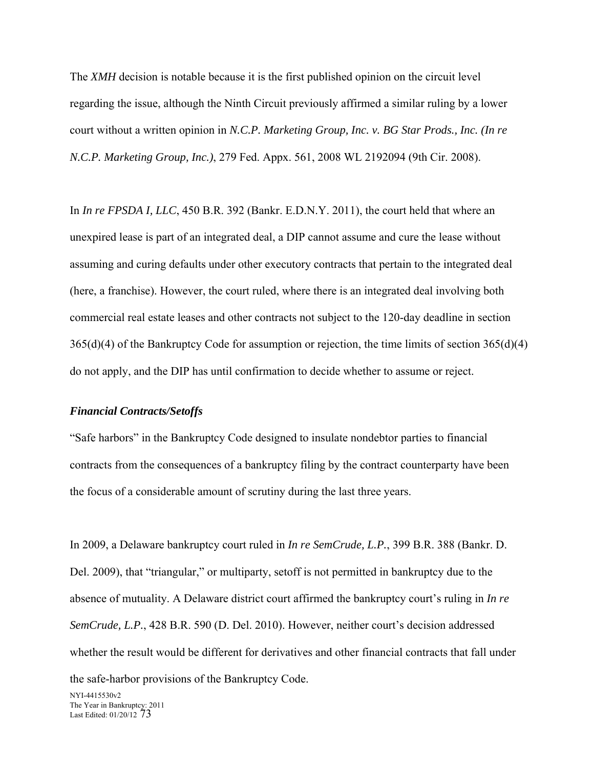The *XMH* decision is notable because it is the first published opinion on the circuit level regarding the issue, although the Ninth Circuit previously affirmed a similar ruling by a lower court without a written opinion in *N.C.P. Marketing Group, Inc. v. BG Star Prods., Inc. (In re N.C.P. Marketing Group, Inc.)*, 279 Fed. Appx. 561, 2008 WL 2192094 (9th Cir. 2008).

In *In re FPSDA I, LLC*, 450 B.R. 392 (Bankr. E.D.N.Y. 2011), the court held that where an unexpired lease is part of an integrated deal, a DIP cannot assume and cure the lease without assuming and curing defaults under other executory contracts that pertain to the integrated deal (here, a franchise). However, the court ruled, where there is an integrated deal involving both commercial real estate leases and other contracts not subject to the 120-day deadline in section 365(d)(4) of the Bankruptcy Code for assumption or rejection, the time limits of section 365(d)(4) do not apply, and the DIP has until confirmation to decide whether to assume or reject.

#### *Financial Contracts/Setoffs*

"Safe harbors" in the Bankruptcy Code designed to insulate nondebtor parties to financial contracts from the consequences of a bankruptcy filing by the contract counterparty have been the focus of a considerable amount of scrutiny during the last three years.

In 2009, a Delaware bankruptcy court ruled in *In re SemCrude, L.P.*, 399 B.R. 388 (Bankr. D. Del. 2009), that "triangular," or multiparty, setoff is not permitted in bankruptcy due to the absence of mutuality. A Delaware district court affirmed the bankruptcy court's ruling in *In re SemCrude, L.P.*, 428 B.R. 590 (D. Del. 2010). However, neither court's decision addressed whether the result would be different for derivatives and other financial contracts that fall under

the safe-harbor provisions of the Bankruptcy Code.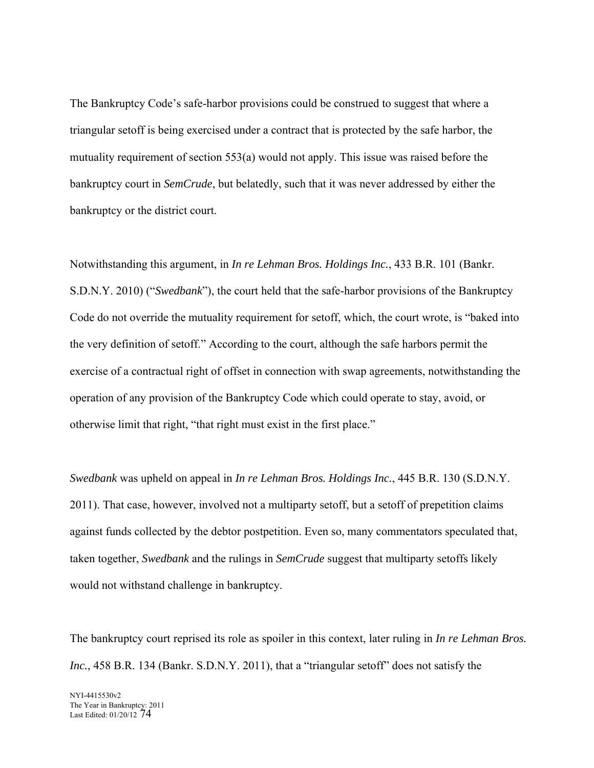The Bankruptcy Code's safe-harbor provisions could be construed to suggest that where a triangular setoff is being exercised under a contract that is protected by the safe harbor, the mutuality requirement of section 553(a) would not apply. This issue was raised before the bankruptcy court in *SemCrude*, but belatedly, such that it was never addressed by either the bankruptcy or the district court.

Notwithstanding this argument, in *In re Lehman Bros. Holdings Inc.*, 433 B.R. 101 (Bankr. S.D.N.Y. 2010) ("*Swedbank*"), the court held that the safe-harbor provisions of the Bankruptcy Code do not override the mutuality requirement for setoff, which, the court wrote, is "baked into the very definition of setoff." According to the court, although the safe harbors permit the exercise of a contractual right of offset in connection with swap agreements, notwithstanding the operation of any provision of the Bankruptcy Code which could operate to stay, avoid, or otherwise limit that right, "that right must exist in the first place."

*Swedbank* was upheld on appeal in *In re Lehman Bros. Holdings Inc.*, 445 B.R. 130 (S.D.N.Y. 2011). That case, however, involved not a multiparty setoff, but a setoff of prepetition claims against funds collected by the debtor postpetition. Even so, many commentators speculated that, taken together, *Swedbank* and the rulings in *SemCrude* suggest that multiparty setoffs likely would not withstand challenge in bankruptcy.

The bankruptcy court reprised its role as spoiler in this context, later ruling in *In re Lehman Bros. Inc.*, 458 B.R. 134 (Bankr. S.D.N.Y. 2011), that a "triangular setoff" does not satisfy the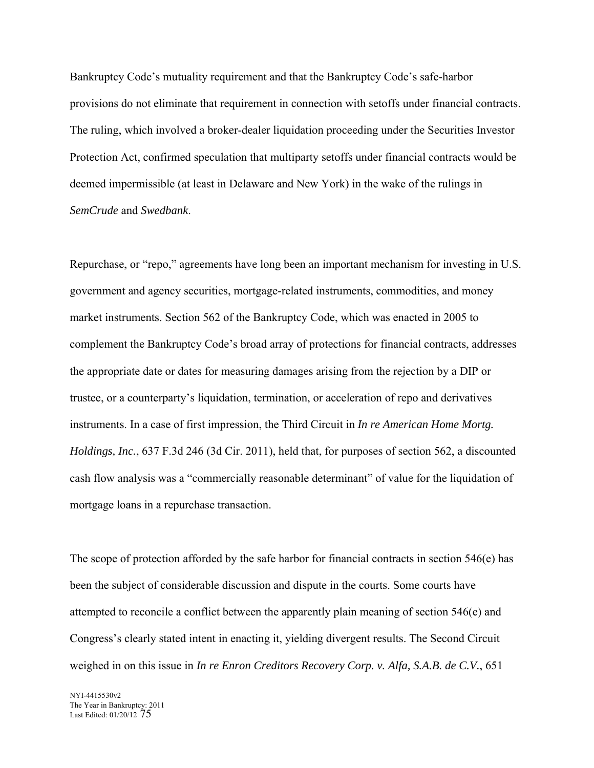Bankruptcy Code's mutuality requirement and that the Bankruptcy Code's safe-harbor provisions do not eliminate that requirement in connection with setoffs under financial contracts. The ruling, which involved a broker-dealer liquidation proceeding under the Securities Investor Protection Act, confirmed speculation that multiparty setoffs under financial contracts would be deemed impermissible (at least in Delaware and New York) in the wake of the rulings in *SemCrude* and *Swedbank*.

Repurchase, or "repo," agreements have long been an important mechanism for investing in U.S. government and agency securities, mortgage-related instruments, commodities, and money market instruments. Section 562 of the Bankruptcy Code, which was enacted in 2005 to complement the Bankruptcy Code's broad array of protections for financial contracts, addresses the appropriate date or dates for measuring damages arising from the rejection by a DIP or trustee, or a counterparty's liquidation, termination, or acceleration of repo and derivatives instruments. In a case of first impression, the Third Circuit in *In re American Home Mortg. Holdings, Inc.*, 637 F.3d 246 (3d Cir. 2011), held that, for purposes of section 562, a discounted cash flow analysis was a "commercially reasonable determinant" of value for the liquidation of mortgage loans in a repurchase transaction.

The scope of protection afforded by the safe harbor for financial contracts in section 546(e) has been the subject of considerable discussion and dispute in the courts. Some courts have attempted to reconcile a conflict between the apparently plain meaning of section 546(e) and Congress's clearly stated intent in enacting it, yielding divergent results. The Second Circuit weighed in on this issue in *In re Enron Creditors Recovery Corp. v. Alfa, S.A.B. de C.V.*, 651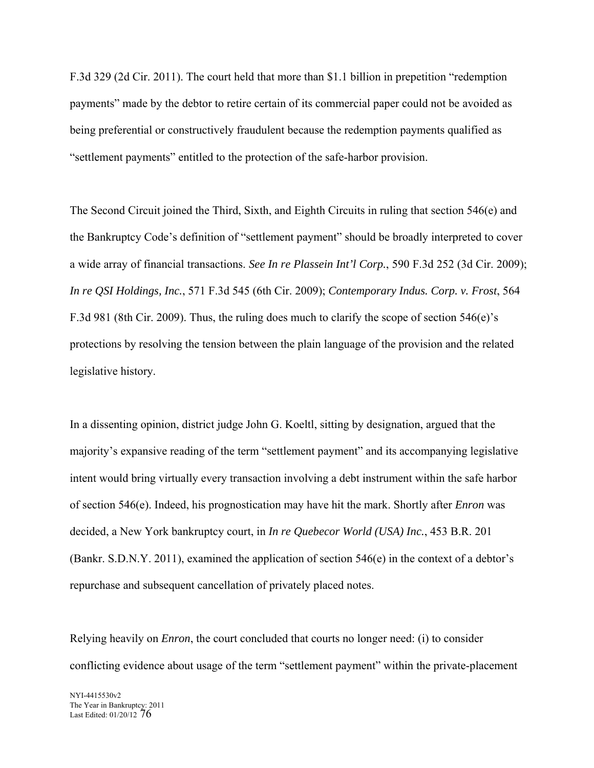F.3d 329 (2d Cir. 2011). The court held that more than \$1.1 billion in prepetition "redemption payments" made by the debtor to retire certain of its commercial paper could not be avoided as being preferential or constructively fraudulent because the redemption payments qualified as "settlement payments" entitled to the protection of the safe-harbor provision.

The Second Circuit joined the Third, Sixth, and Eighth Circuits in ruling that section 546(e) and the Bankruptcy Code's definition of "settlement payment" should be broadly interpreted to cover a wide array of financial transactions. *See In re Plassein Int'l Corp.*, 590 F.3d 252 (3d Cir. 2009); *In re QSI Holdings, Inc.*, 571 F.3d 545 (6th Cir. 2009); *Contemporary Indus. Corp. v. Frost*, 564 F.3d 981 (8th Cir. 2009). Thus, the ruling does much to clarify the scope of section 546(e)'s protections by resolving the tension between the plain language of the provision and the related legislative history.

In a dissenting opinion, district judge John G. Koeltl, sitting by designation, argued that the majority's expansive reading of the term "settlement payment" and its accompanying legislative intent would bring virtually every transaction involving a debt instrument within the safe harbor of section 546(e). Indeed, his prognostication may have hit the mark. Shortly after *Enron* was decided, a New York bankruptcy court, in *In re Quebecor World (USA) Inc.*, 453 B.R. 201 (Bankr. S.D.N.Y. 2011), examined the application of section 546(e) in the context of a debtor's repurchase and subsequent cancellation of privately placed notes.

Relying heavily on *Enron*, the court concluded that courts no longer need: (i) to consider conflicting evidence about usage of the term "settlement payment" within the private-placement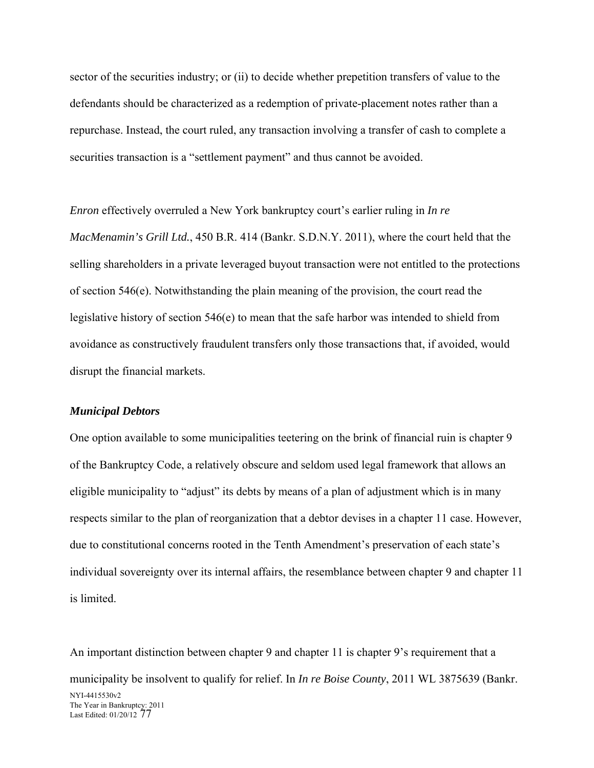sector of the securities industry; or (ii) to decide whether prepetition transfers of value to the defendants should be characterized as a redemption of private-placement notes rather than a repurchase. Instead, the court ruled, any transaction involving a transfer of cash to complete a securities transaction is a "settlement payment" and thus cannot be avoided.

*Enron* effectively overruled a New York bankruptcy court's earlier ruling in *In re MacMenamin's Grill Ltd.*, 450 B.R. 414 (Bankr. S.D.N.Y. 2011), where the court held that the selling shareholders in a private leveraged buyout transaction were not entitled to the protections of section 546(e). Notwithstanding the plain meaning of the provision, the court read the legislative history of section 546(e) to mean that the safe harbor was intended to shield from avoidance as constructively fraudulent transfers only those transactions that, if avoided, would disrupt the financial markets.

#### *Municipal Debtors*

One option available to some municipalities teetering on the brink of financial ruin is chapter 9 of the Bankruptcy Code, a relatively obscure and seldom used legal framework that allows an eligible municipality to "adjust" its debts by means of a plan of adjustment which is in many respects similar to the plan of reorganization that a debtor devises in a chapter 11 case. However, due to constitutional concerns rooted in the Tenth Amendment's preservation of each state's individual sovereignty over its internal affairs, the resemblance between chapter 9 and chapter 11 is limited.

NYI-4415530v2 The Year in Bankruptcy: 2011 Last Edited: 01/20/12 77 An important distinction between chapter 9 and chapter 11 is chapter 9's requirement that a municipality be insolvent to qualify for relief. In *In re Boise County*, 2011 WL 3875639 (Bankr.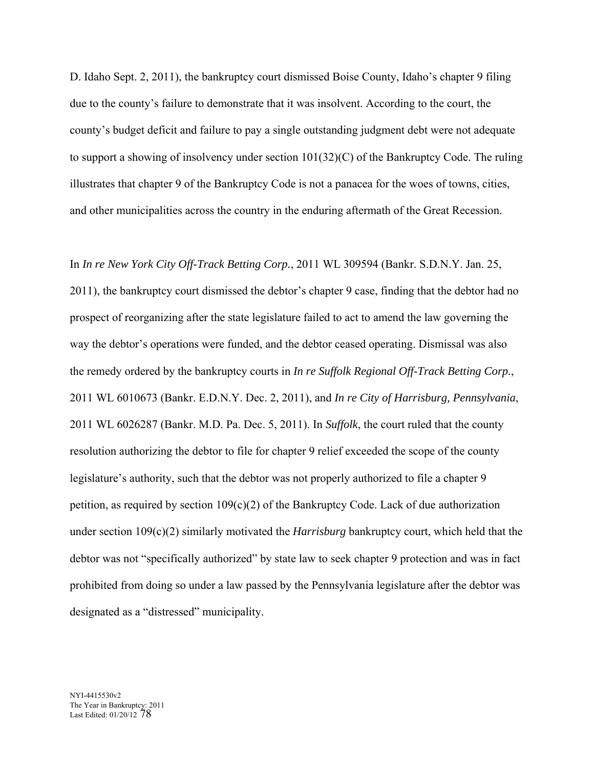D. Idaho Sept. 2, 2011), the bankruptcy court dismissed Boise County, Idaho's chapter 9 filing due to the county's failure to demonstrate that it was insolvent. According to the court, the county's budget deficit and failure to pay a single outstanding judgment debt were not adequate to support a showing of insolvency under section 101(32)(C) of the Bankruptcy Code. The ruling illustrates that chapter 9 of the Bankruptcy Code is not a panacea for the woes of towns, cities, and other municipalities across the country in the enduring aftermath of the Great Recession.

In *In re New York City Off-Track Betting Corp.*, 2011 WL 309594 (Bankr. S.D.N.Y. Jan. 25, 2011), the bankruptcy court dismissed the debtor's chapter 9 case, finding that the debtor had no prospect of reorganizing after the state legislature failed to act to amend the law governing the way the debtor's operations were funded, and the debtor ceased operating. Dismissal was also the remedy ordered by the bankruptcy courts in *In re Suffolk Regional Off-Track Betting Corp.*, 2011 WL 6010673 (Bankr. E.D.N.Y. Dec. 2, 2011), and *In re City of Harrisburg, Pennsylvania*, 2011 WL 6026287 (Bankr. M.D. Pa. Dec. 5, 2011). In *Suffolk*, the court ruled that the county resolution authorizing the debtor to file for chapter 9 relief exceeded the scope of the county legislature's authority, such that the debtor was not properly authorized to file a chapter 9 petition, as required by section  $109(c)(2)$  of the Bankruptcy Code. Lack of due authorization under section 109(c)(2) similarly motivated the *Harrisburg* bankruptcy court, which held that the debtor was not "specifically authorized" by state law to seek chapter 9 protection and was in fact prohibited from doing so under a law passed by the Pennsylvania legislature after the debtor was designated as a "distressed" municipality.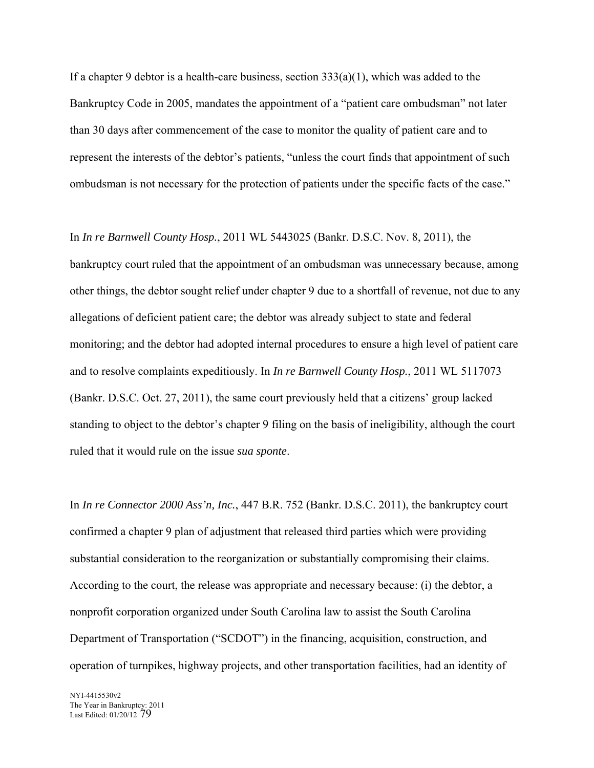If a chapter 9 debtor is a health-care business, section  $333(a)(1)$ , which was added to the Bankruptcy Code in 2005, mandates the appointment of a "patient care ombudsman" not later than 30 days after commencement of the case to monitor the quality of patient care and to represent the interests of the debtor's patients, "unless the court finds that appointment of such ombudsman is not necessary for the protection of patients under the specific facts of the case."

In *In re Barnwell County Hosp.*, 2011 WL 5443025 (Bankr. D.S.C. Nov. 8, 2011), the bankruptcy court ruled that the appointment of an ombudsman was unnecessary because, among other things, the debtor sought relief under chapter 9 due to a shortfall of revenue, not due to any allegations of deficient patient care; the debtor was already subject to state and federal monitoring; and the debtor had adopted internal procedures to ensure a high level of patient care and to resolve complaints expeditiously. In *In re Barnwell County Hosp.*, 2011 WL 5117073 (Bankr. D.S.C. Oct. 27, 2011), the same court previously held that a citizens' group lacked standing to object to the debtor's chapter 9 filing on the basis of ineligibility, although the court ruled that it would rule on the issue *sua sponte*.

In *In re Connector 2000 Ass'n, Inc.*, 447 B.R. 752 (Bankr. D.S.C. 2011), the bankruptcy court confirmed a chapter 9 plan of adjustment that released third parties which were providing substantial consideration to the reorganization or substantially compromising their claims. According to the court, the release was appropriate and necessary because: (i) the debtor, a nonprofit corporation organized under South Carolina law to assist the South Carolina Department of Transportation ("SCDOT") in the financing, acquisition, construction, and operation of turnpikes, highway projects, and other transportation facilities, had an identity of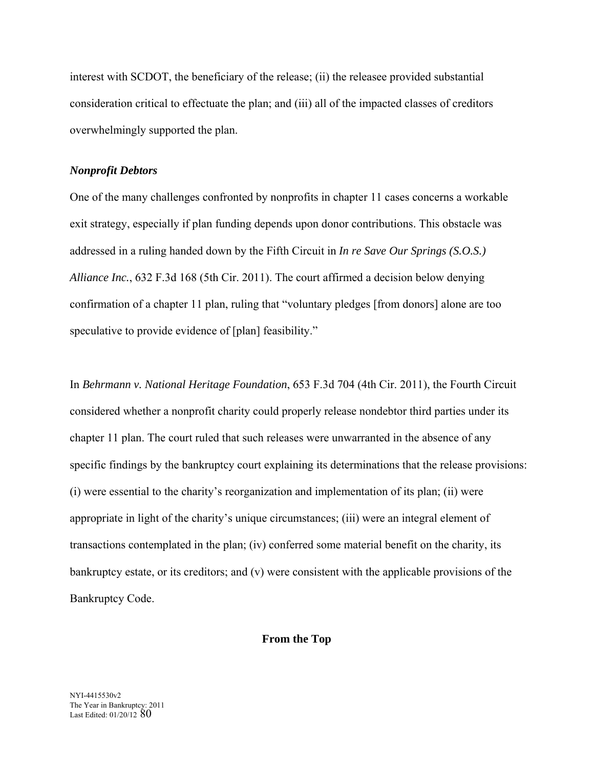interest with SCDOT, the beneficiary of the release; (ii) the releasee provided substantial consideration critical to effectuate the plan; and (iii) all of the impacted classes of creditors overwhelmingly supported the plan.

# *Nonprofit Debtors*

One of the many challenges confronted by nonprofits in chapter 11 cases concerns a workable exit strategy, especially if plan funding depends upon donor contributions. This obstacle was addressed in a ruling handed down by the Fifth Circuit in *In re Save Our Springs (S.O.S.) Alliance Inc.*, 632 F.3d 168 (5th Cir. 2011). The court affirmed a decision below denying confirmation of a chapter 11 plan, ruling that "voluntary pledges [from donors] alone are too speculative to provide evidence of [plan] feasibility."

In *Behrmann v. National Heritage Foundation*, 653 F.3d 704 (4th Cir. 2011), the Fourth Circuit considered whether a nonprofit charity could properly release nondebtor third parties under its chapter 11 plan. The court ruled that such releases were unwarranted in the absence of any specific findings by the bankruptcy court explaining its determinations that the release provisions: (i) were essential to the charity's reorganization and implementation of its plan; (ii) were appropriate in light of the charity's unique circumstances; (iii) were an integral element of transactions contemplated in the plan; (iv) conferred some material benefit on the charity, its bankruptcy estate, or its creditors; and (v) were consistent with the applicable provisions of the Bankruptcy Code.

### **From the Top**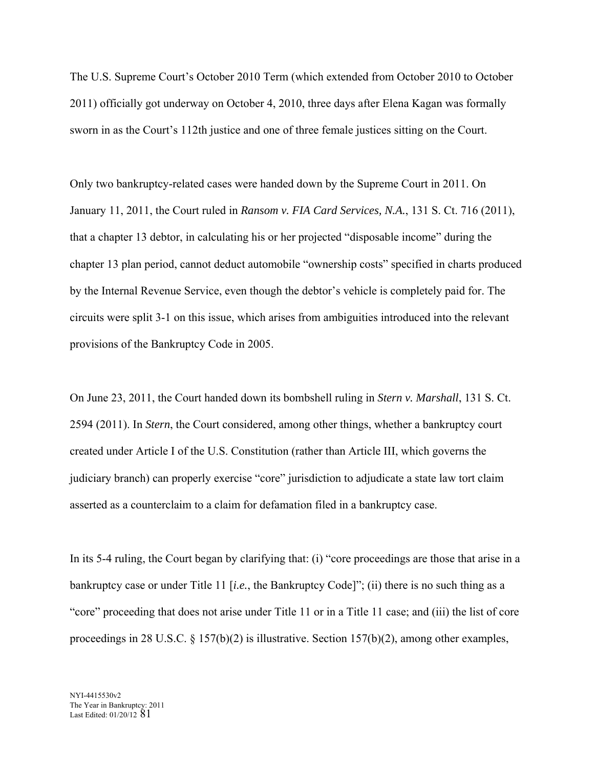The U.S. Supreme Court's October 2010 Term (which extended from October 2010 to October 2011) officially got underway on October 4, 2010, three days after Elena Kagan was formally sworn in as the Court's 112th justice and one of three female justices sitting on the Court.

Only two bankruptcy-related cases were handed down by the Supreme Court in 2011. On January 11, 2011, the Court ruled in *Ransom v. FIA Card Services, N.A.*, 131 S. Ct. 716 (2011), that a chapter 13 debtor, in calculating his or her projected "disposable income" during the chapter 13 plan period, cannot deduct automobile "ownership costs" specified in charts produced by the Internal Revenue Service, even though the debtor's vehicle is completely paid for. The circuits were split 3-1 on this issue, which arises from ambiguities introduced into the relevant provisions of the Bankruptcy Code in 2005.

On June 23, 2011, the Court handed down its bombshell ruling in *Stern v. Marshall*, 131 S. Ct. 2594 (2011). In *Stern*, the Court considered, among other things, whether a bankruptcy court created under Article I of the U.S. Constitution (rather than Article III, which governs the judiciary branch) can properly exercise "core" jurisdiction to adjudicate a state law tort claim asserted as a counterclaim to a claim for defamation filed in a bankruptcy case.

In its 5-4 ruling, the Court began by clarifying that: (i) "core proceedings are those that arise in a bankruptcy case or under Title 11 [*i.e.*, the Bankruptcy Code]"; (ii) there is no such thing as a "core" proceeding that does not arise under Title 11 or in a Title 11 case; and (iii) the list of core proceedings in 28 U.S.C.  $\S$  157(b)(2) is illustrative. Section 157(b)(2), among other examples,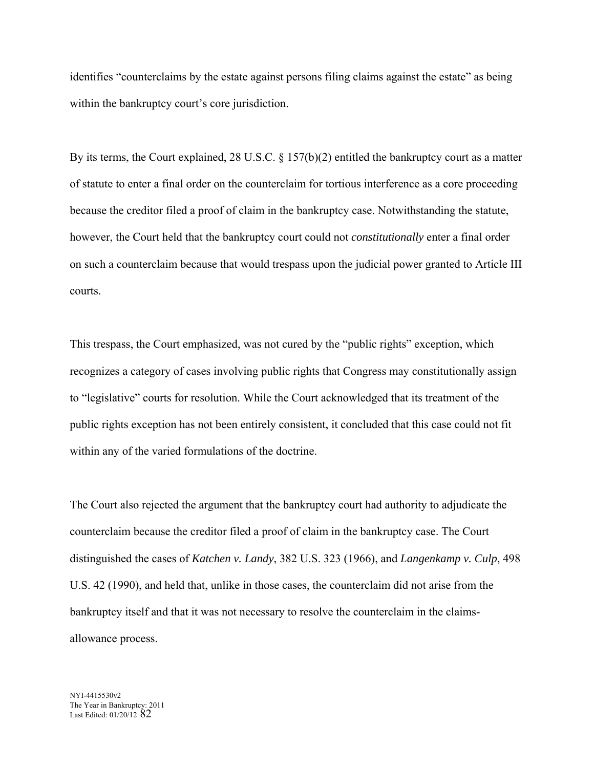identifies "counterclaims by the estate against persons filing claims against the estate" as being within the bankruptcy court's core jurisdiction.

By its terms, the Court explained, 28 U.S.C. § 157(b)(2) entitled the bankruptcy court as a matter of statute to enter a final order on the counterclaim for tortious interference as a core proceeding because the creditor filed a proof of claim in the bankruptcy case. Notwithstanding the statute, however, the Court held that the bankruptcy court could not *constitutionally* enter a final order on such a counterclaim because that would trespass upon the judicial power granted to Article III courts.

This trespass, the Court emphasized, was not cured by the "public rights" exception, which recognizes a category of cases involving public rights that Congress may constitutionally assign to "legislative" courts for resolution. While the Court acknowledged that its treatment of the public rights exception has not been entirely consistent, it concluded that this case could not fit within any of the varied formulations of the doctrine.

The Court also rejected the argument that the bankruptcy court had authority to adjudicate the counterclaim because the creditor filed a proof of claim in the bankruptcy case. The Court distinguished the cases of *Katchen v. Landy*, 382 U.S. 323 (1966), and *Langenkamp v. Culp*, 498 U.S. 42 (1990), and held that, unlike in those cases, the counterclaim did not arise from the bankruptcy itself and that it was not necessary to resolve the counterclaim in the claimsallowance process.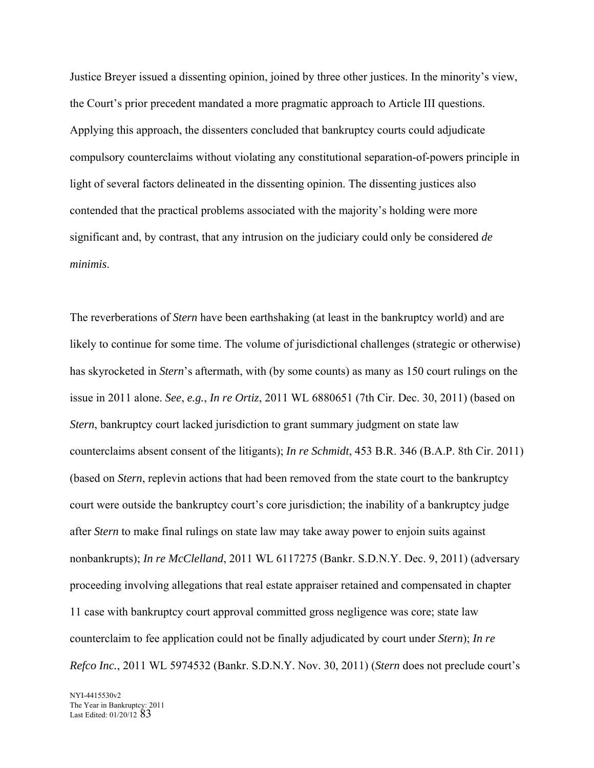Justice Breyer issued a dissenting opinion, joined by three other justices. In the minority's view, the Court's prior precedent mandated a more pragmatic approach to Article III questions. Applying this approach, the dissenters concluded that bankruptcy courts could adjudicate compulsory counterclaims without violating any constitutional separation-of-powers principle in light of several factors delineated in the dissenting opinion. The dissenting justices also contended that the practical problems associated with the majority's holding were more significant and, by contrast, that any intrusion on the judiciary could only be considered *de minimis*.

The reverberations of *Stern* have been earthshaking (at least in the bankruptcy world) and are likely to continue for some time. The volume of jurisdictional challenges (strategic or otherwise) has skyrocketed in *Stern*'s aftermath, with (by some counts) as many as 150 court rulings on the issue in 2011 alone. *See*, *e.g.*, *In re Ortiz*, 2011 WL 6880651 (7th Cir. Dec. 30, 2011) (based on *Stern*, bankruptcy court lacked jurisdiction to grant summary judgment on state law counterclaims absent consent of the litigants); *In re Schmidt*, 453 B.R. 346 (B.A.P. 8th Cir. 2011) (based on *Stern*, replevin actions that had been removed from the state court to the bankruptcy court were outside the bankruptcy court's core jurisdiction; the inability of a bankruptcy judge after *Stern* to make final rulings on state law may take away power to enjoin suits against nonbankrupts); *In re McClelland*, 2011 WL 6117275 (Bankr. S.D.N.Y. Dec. 9, 2011) (adversary proceeding involving allegations that real estate appraiser retained and compensated in chapter 11 case with bankruptcy court approval committed gross negligence was core; state law counterclaim to fee application could not be finally adjudicated by court under *Stern*); *In re Refco Inc.*, 2011 WL 5974532 (Bankr. S.D.N.Y. Nov. 30, 2011) (*Stern* does not preclude court's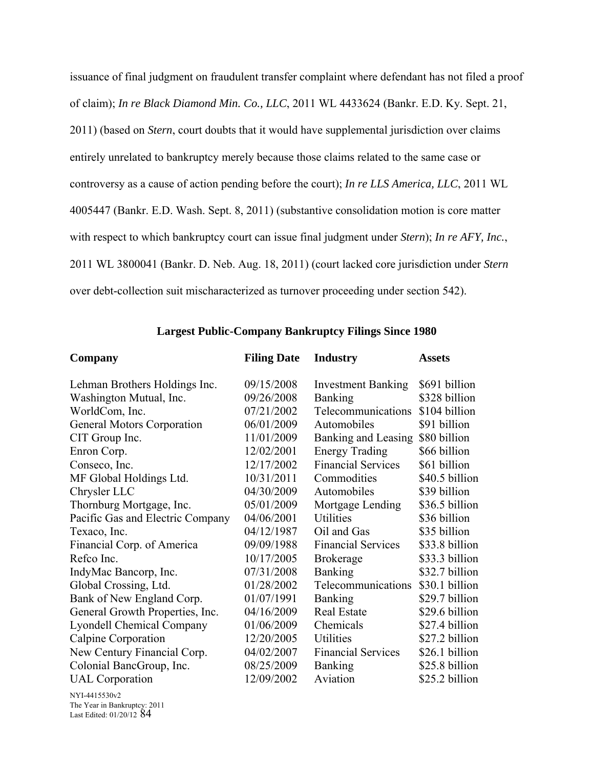issuance of final judgment on fraudulent transfer complaint where defendant has not filed a proof of claim); *In re Black Diamond Min. Co., LLC*, 2011 WL 4433624 (Bankr. E.D. Ky. Sept. 21, 2011) (based on *Stern*, court doubts that it would have supplemental jurisdiction over claims entirely unrelated to bankruptcy merely because those claims related to the same case or controversy as a cause of action pending before the court); *In re LLS America, LLC*, 2011 WL 4005447 (Bankr. E.D. Wash. Sept. 8, 2011) (substantive consolidation motion is core matter with respect to which bankruptcy court can issue final judgment under *Stern*); *In re AFY, Inc.*, 2011 WL 3800041 (Bankr. D. Neb. Aug. 18, 2011) (court lacked core jurisdiction under *Stern* over debt-collection suit mischaracterized as turnover proceeding under section 542).

| Company                          | <b>Filing Date</b> | <b>Industry</b>           | <b>Assets</b>  |
|----------------------------------|--------------------|---------------------------|----------------|
| Lehman Brothers Holdings Inc.    | 09/15/2008         | <b>Investment Banking</b> | \$691 billion  |
| Washington Mutual, Inc.          | 09/26/2008         | <b>Banking</b>            | \$328 billion  |
| WorldCom, Inc.                   | 07/21/2002         | Telecommunications        | \$104 billion  |
| General Motors Corporation       | 06/01/2009         | Automobiles               | \$91 billion   |
| CIT Group Inc.                   | 11/01/2009         | Banking and Leasing       | \$80 billion   |
| Enron Corp.                      | 12/02/2001         | <b>Energy Trading</b>     | \$66 billion   |
| Conseco, Inc.                    | 12/17/2002         | <b>Financial Services</b> | \$61 billion   |
| MF Global Holdings Ltd.          | 10/31/2011         | Commodities               | \$40.5 billion |
| Chrysler LLC                     | 04/30/2009         | Automobiles               | \$39 billion   |
| Thornburg Mortgage, Inc.         | 05/01/2009         | Mortgage Lending          | \$36.5 billion |
| Pacific Gas and Electric Company | 04/06/2001         | <b>Utilities</b>          | \$36 billion   |
| Texaco, Inc.                     | 04/12/1987         | Oil and Gas               | \$35 billion   |
| Financial Corp. of America       | 09/09/1988         | <b>Financial Services</b> | \$33.8 billion |
| Refco Inc.                       | 10/17/2005         | <b>Brokerage</b>          | \$33.3 billion |
| IndyMac Bancorp, Inc.            | 07/31/2008         | Banking                   | \$32.7 billion |
| Global Crossing, Ltd.            | 01/28/2002         | Telecommunications        | \$30.1 billion |
| Bank of New England Corp.        | 01/07/1991         | <b>Banking</b>            | \$29.7 billion |
| General Growth Properties, Inc.  | 04/16/2009         | <b>Real Estate</b>        | \$29.6 billion |
| <b>Lyondell Chemical Company</b> | 01/06/2009         | Chemicals                 | \$27.4 billion |
| Calpine Corporation              | 12/20/2005         | Utilities                 | \$27.2 billion |
| New Century Financial Corp.      | 04/02/2007         | <b>Financial Services</b> | \$26.1 billion |
| Colonial BancGroup, Inc.         | 08/25/2009         | <b>Banking</b>            | \$25.8 billion |
| <b>UAL</b> Corporation           | 12/09/2002         | Aviation                  | \$25.2 billion |

# **Largest Public-Company Bankruptcy Filings Since 1980**

NYI-4415530v2 The Year in Bankruptcy: 2011 Last Edited: 01/20/12 84